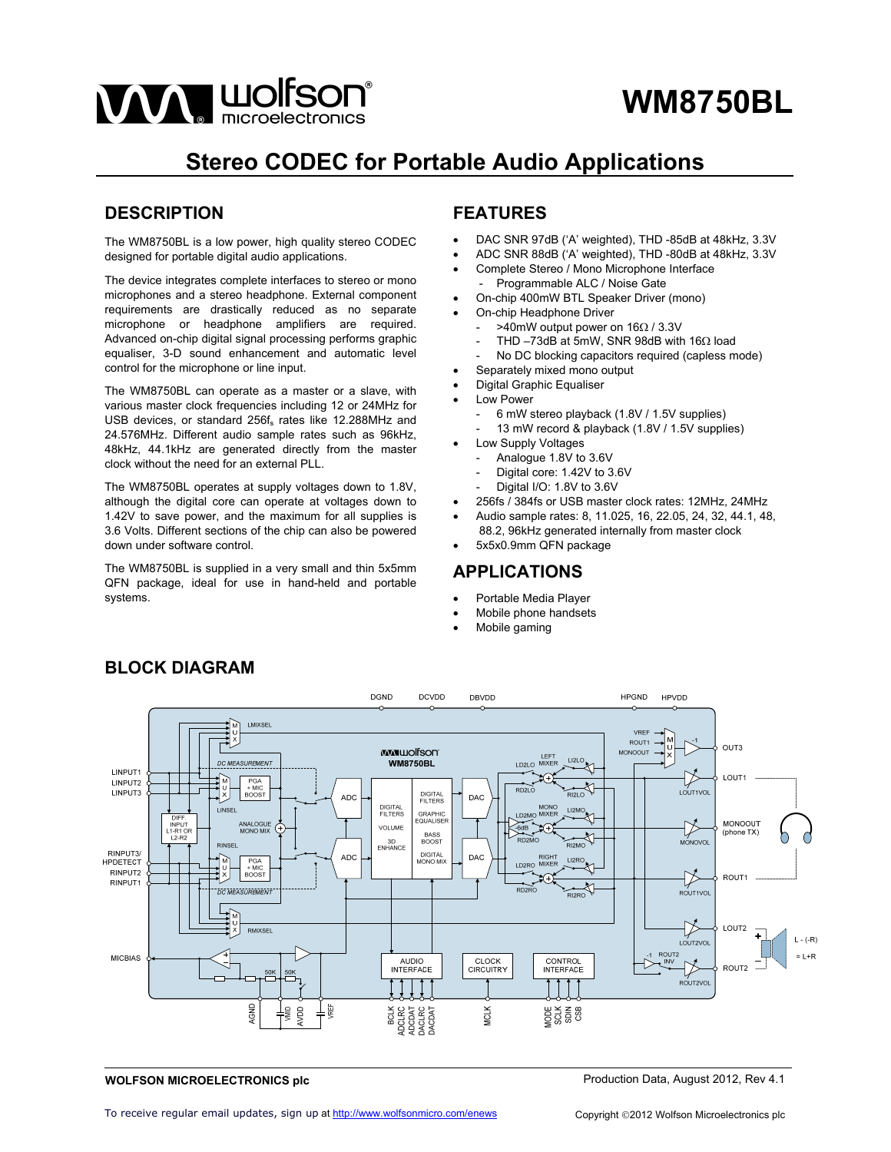

# **Stereo CODEC for Portable Audio Applications**

## **DESCRIPTION**

The WM8750BL is a low power, high quality stereo CODEC designed for portable digital audio applications.

The device integrates complete interfaces to stereo or mono microphones and a stereo headphone. External component requirements are drastically reduced as no separate microphone or headphone amplifiers are required. Advanced on-chip digital signal processing performs graphic equaliser, 3-D sound enhancement and automatic level control for the microphone or line input.

The WM8750BL can operate as a master or a slave, with various master clock frequencies including 12 or 24MHz for USB devices, or standard 256f<sub>s</sub> rates like 12.288MHz and 24.576MHz. Different audio sample rates such as 96kHz, 48kHz, 44.1kHz are generated directly from the master clock without the need for an external PLL.

The WM8750BL operates at supply voltages down to 1.8V, although the digital core can operate at voltages down to 1.42V to save power, and the maximum for all supplies is 3.6 Volts. Different sections of the chip can also be powered down under software control.

The WM8750BL is supplied in a very small and thin 5x5mm QFN package, ideal for use in hand-held and portable systems.

## **FEATURES**

- DAC SNR 97dB ('A' weighted), THD -85dB at 48kHz, 3.3V
- ADC SNR 88dB ('A' weighted), THD -80dB at 48kHz, 3.3V
- Complete Stereo / Mono Microphone Interface Programmable ALC / Noise Gate
- On-chip 400mW BTL Speaker Driver (mono)
- On-chip Headphone Driver
	- $>$  40mW output power on 16 $\Omega$  / 3.3V
	- THD  $-73$ dB at 5mW, SNR 98dB with 16 $\Omega$  load
	- No DC blocking capacitors required (capless mode)
- Separately mixed mono output
- Digital Graphic Equaliser
- Low Power
	- 6 mW stereo playback (1.8V / 1.5V supplies)
	- 13 mW record & playback (1.8V / 1.5V supplies)
	- Low Supply Voltages
	- Analogue 1.8V to 3.6V
	- Digital core: 1.42V to 3.6V
	- Digital I/O: 1.8V to 3.6V
- 256fs / 384fs or USB master clock rates: 12MHz, 24MHz
- Audio sample rates: 8, 11.025, 16, 22.05, 24, 32, 44.1, 48,
- 88.2, 96kHz generated internally from master clock 5x5x0.9mm QFN package

### **APPLICATIONS**

- Portable Media Player
- Mobile phone handsets
- Mobile gaming



#### **WOLFSON MICROELECTRONICS plc**

### **BLOCK DIAGRAM**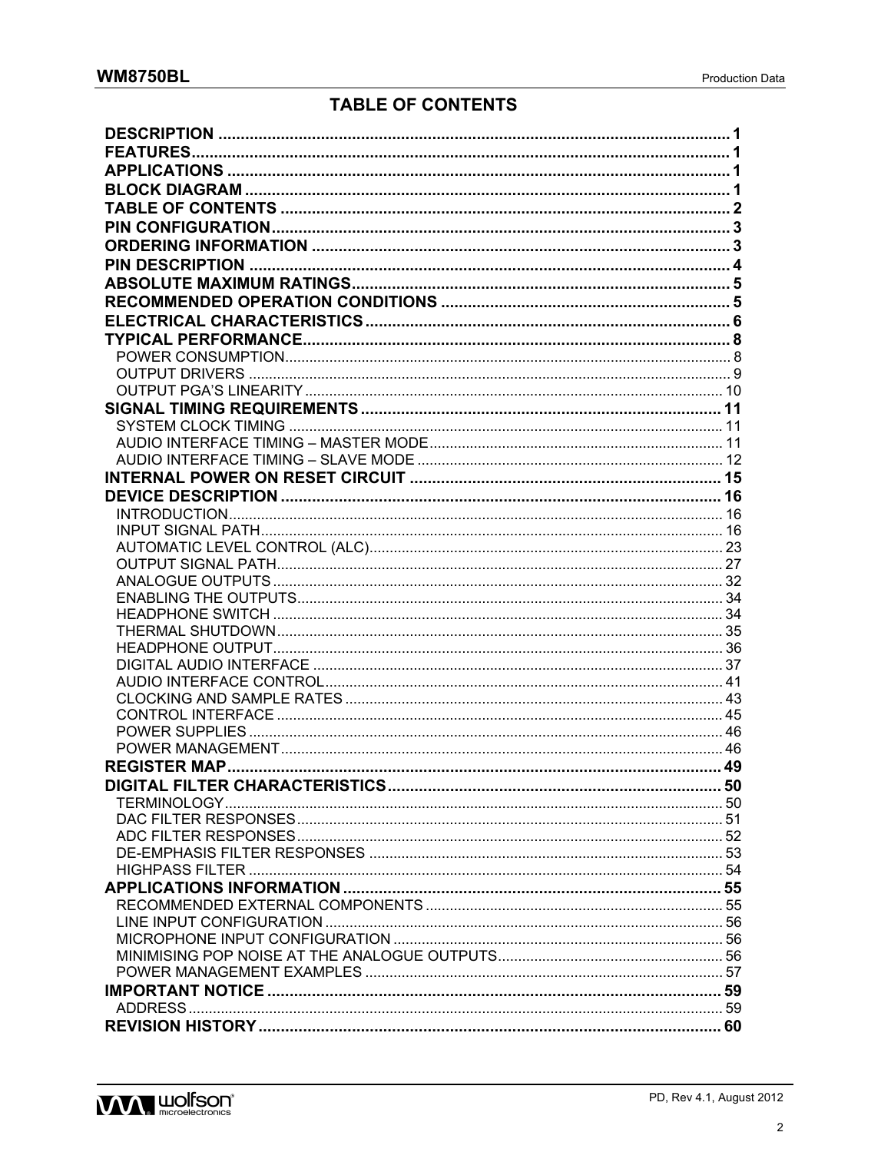## **TABLE OF CONTENTS**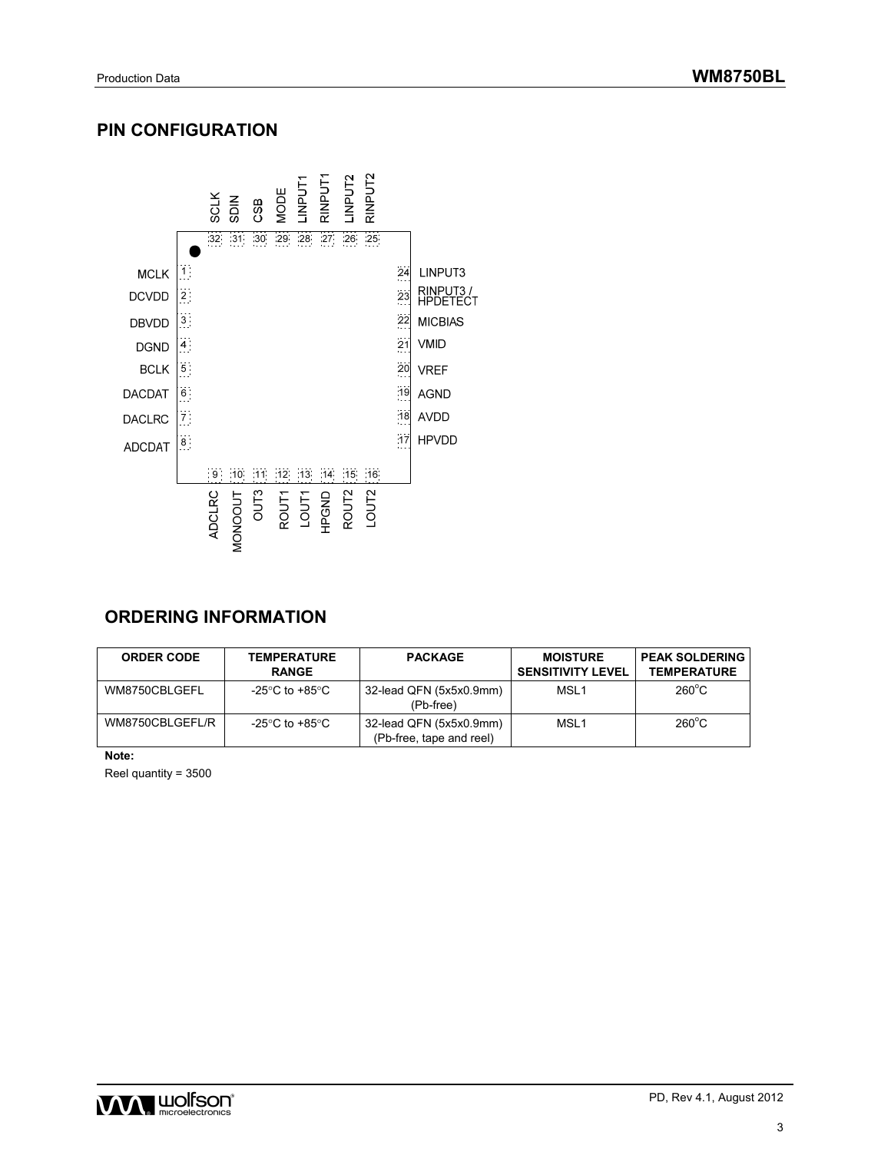## **PIN CONFIGURATION**



## **ORDERING INFORMATION**

| <b>ORDER CODE</b> | <b>TEMPERATURE</b><br><b>RANGE</b> | <b>PACKAGE</b>                                      | <b>MOISTURE</b><br><b>SENSITIVITY LEVEL</b> | <b>PEAK SOLDERING</b><br><b>TEMPERATURE</b> |
|-------------------|------------------------------------|-----------------------------------------------------|---------------------------------------------|---------------------------------------------|
| WM8750CBLGEFL     | -25°C to +85°C                     | 32-lead QFN (5x5x0.9mm)<br>(Pb-free)                | MSL <sub>1</sub>                            | $260^{\circ}$ C                             |
| WM8750CBLGEFL/R   | -25°C to +85°C                     | 32-lead QFN (5x5x0.9mm)<br>(Pb-free, tape and reel) | MSL <sub>1</sub>                            | $260^{\circ}$ C                             |

**Note:** 

Reel quantity = 3500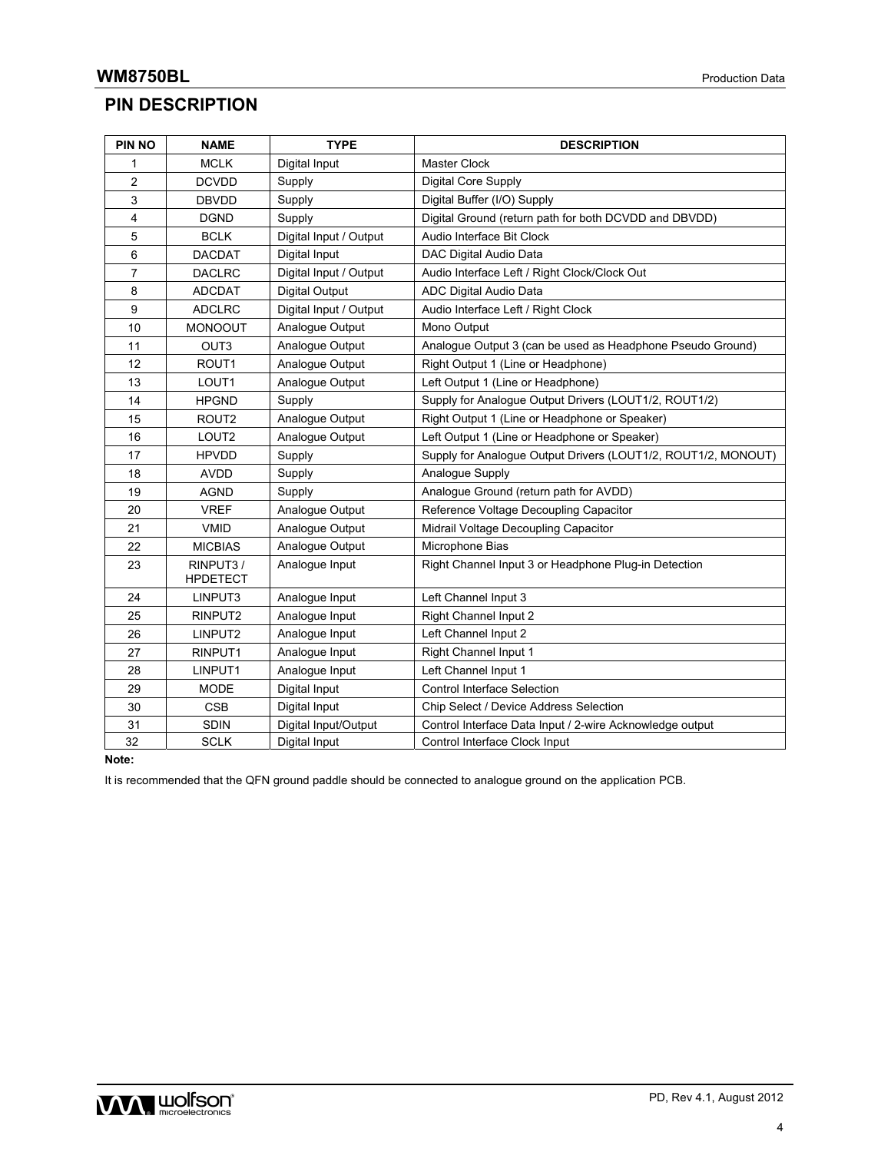## **PIN DESCRIPTION**

| PIN NO         | <b>NAME</b>                 | <b>TYPE</b>            | <b>DESCRIPTION</b>                                            |
|----------------|-----------------------------|------------------------|---------------------------------------------------------------|
| 1              | <b>MCLK</b>                 | Digital Input          | Master Clock                                                  |
| $\overline{c}$ | <b>DCVDD</b>                | Supply                 | Digital Core Supply                                           |
| 3              | <b>DBVDD</b>                | Supply                 | Digital Buffer (I/O) Supply                                   |
| 4              | <b>DGND</b>                 | Supply                 | Digital Ground (return path for both DCVDD and DBVDD)         |
| 5              | <b>BCLK</b>                 | Digital Input / Output | Audio Interface Bit Clock                                     |
| 6              | <b>DACDAT</b>               | Digital Input          | DAC Digital Audio Data                                        |
| 7              | <b>DACLRC</b>               | Digital Input / Output | Audio Interface Left / Right Clock/Clock Out                  |
| 8              | <b>ADCDAT</b>               | <b>Digital Output</b>  | ADC Digital Audio Data                                        |
| 9              | <b>ADCLRC</b>               | Digital Input / Output | Audio Interface Left / Right Clock                            |
| 10             | <b>MONOOUT</b>              | Analogue Output        | Mono Output                                                   |
| 11             | OUT3                        | Analogue Output        | Analogue Output 3 (can be used as Headphone Pseudo Ground)    |
| 12             | ROUT1                       | Analogue Output        | Right Output 1 (Line or Headphone)                            |
| 13             | LOUT1                       | Analogue Output        | Left Output 1 (Line or Headphone)                             |
| 14             | <b>HPGND</b>                | Supply                 | Supply for Analogue Output Drivers (LOUT1/2, ROUT1/2)         |
| 15             | ROUT <sub>2</sub>           | Analogue Output        | Right Output 1 (Line or Headphone or Speaker)                 |
| 16             | LOUT <sub>2</sub>           | Analogue Output        | Left Output 1 (Line or Headphone or Speaker)                  |
| 17             | <b>HPVDD</b>                | Supply                 | Supply for Analogue Output Drivers (LOUT1/2, ROUT1/2, MONOUT) |
| 18             | <b>AVDD</b>                 | Supply                 | Analogue Supply                                               |
| 19             | <b>AGND</b>                 | Supply                 | Analogue Ground (return path for AVDD)                        |
| 20             | <b>VREF</b>                 | Analogue Output        | Reference Voltage Decoupling Capacitor                        |
| 21             | <b>VMID</b>                 | Analogue Output        | Midrail Voltage Decoupling Capacitor                          |
| 22             | <b>MICBIAS</b>              | Analogue Output        | Microphone Bias                                               |
| 23             | RINPUT3/<br><b>HPDETECT</b> | Analogue Input         | Right Channel Input 3 or Headphone Plug-in Detection          |
| 24             | LINPUT3                     | Analogue Input         | Left Channel Input 3                                          |
| 25             | RINPUT2                     | Analogue Input         | Right Channel Input 2                                         |
| 26             | LINPUT2                     | Analogue Input         | Left Channel Input 2                                          |
| 27             | RINPUT1                     | Analogue Input         | Right Channel Input 1                                         |
| 28             | LINPUT1                     | Analogue Input         | Left Channel Input 1                                          |
| 29             | MODE                        | Digital Input          | <b>Control Interface Selection</b>                            |
| 30             | <b>CSB</b>                  | Digital Input          | Chip Select / Device Address Selection                        |
| 31             | <b>SDIN</b>                 | Digital Input/Output   | Control Interface Data Input / 2-wire Acknowledge output      |
| 32             | <b>SCLK</b>                 | Digital Input          | Control Interface Clock Input                                 |

**Note:** 

It is recommended that the QFN ground paddle should be connected to analogue ground on the application PCB.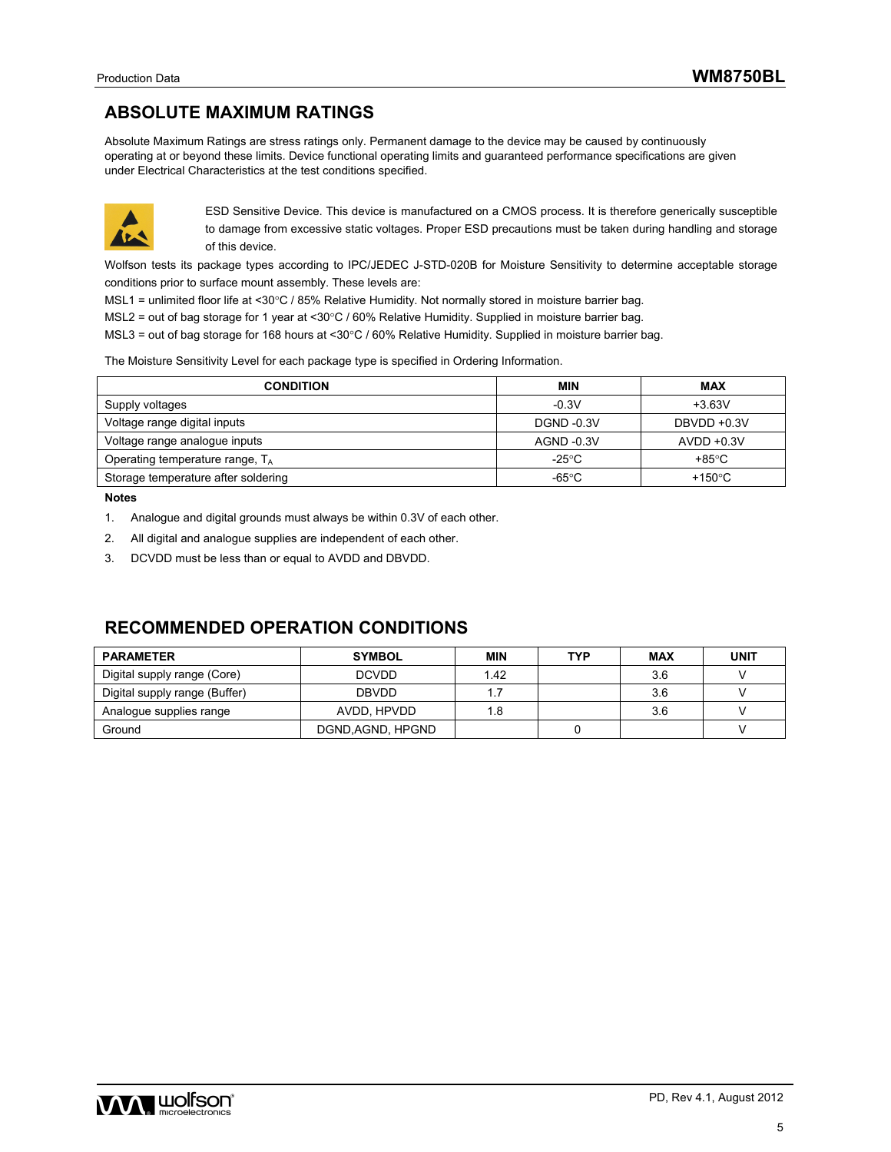## **ABSOLUTE MAXIMUM RATINGS**

Absolute Maximum Ratings are stress ratings only. Permanent damage to the device may be caused by continuously operating at or beyond these limits. Device functional operating limits and guaranteed performance specifications are given under Electrical Characteristics at the test conditions specified.



ESD Sensitive Device. This device is manufactured on a CMOS process. It is therefore generically susceptible to damage from excessive static voltages. Proper ESD precautions must be taken during handling and storage of this device.

Wolfson tests its package types according to IPC/JEDEC J-STD-020B for Moisture Sensitivity to determine acceptable storage conditions prior to surface mount assembly. These levels are:

MSL1 = unlimited floor life at <30°C / 85% Relative Humidity. Not normally stored in moisture barrier bag.

MSL2 = out of bag storage for 1 year at <30°C / 60% Relative Humidity. Supplied in moisture barrier bag.

MSL3 = out of bag storage for 168 hours at <30°C / 60% Relative Humidity. Supplied in moisture barrier bag.

The Moisture Sensitivity Level for each package type is specified in Ordering Information.

| <b>CONDITION</b>                    | <b>MIN</b>               | <b>MAX</b>       |
|-------------------------------------|--------------------------|------------------|
| Supply voltages                     | $-0.3V$                  | $+3.63V$         |
| Voltage range digital inputs        | <b>DGND -0.3V</b>        | DBVDD +0.3V      |
| Voltage range analogue inputs       | AGND -0.3V               | $AVDD +0.3V$     |
| Operating temperature range, $T_A$  | -25 $\mathrm{^{\circ}C}$ | $+85^{\circ}$ C  |
| Storage temperature after soldering | $-65^{\circ}$ C          | +150 $\degree$ C |

**Notes** 

- 1. Analogue and digital grounds must always be within 0.3V of each other.
- 2. All digital and analogue supplies are independent of each other.
- 3. DCVDD must be less than or equal to AVDD and DBVDD.

## **RECOMMENDED OPERATION CONDITIONS**

| <b>PARAMETER</b>              | <b>SYMBOL</b>     | <b>MIN</b> | <b>TYP</b> | <b>MAX</b> | <b>UNIT</b> |
|-------------------------------|-------------------|------------|------------|------------|-------------|
| Digital supply range (Core)   | <b>DCVDD</b>      | 1.42       |            | 3.6        |             |
| Digital supply range (Buffer) | <b>DBVDD</b>      |            |            | 3.6        |             |
| Analogue supplies range       | AVDD, HPVDD       | 1.8        |            | 3.6        |             |
| Ground                        | DGND, AGND, HPGND |            |            |            |             |

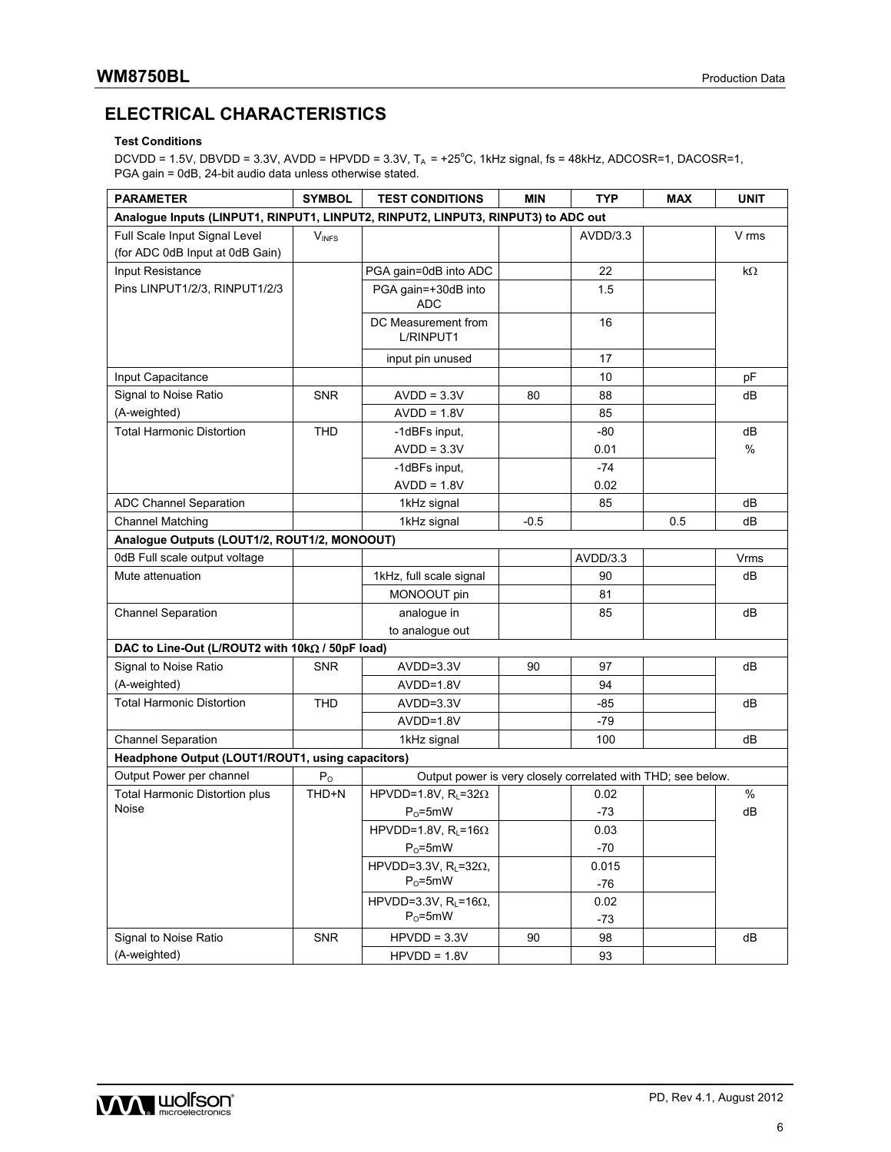## **ELECTRICAL CHARACTERISTICS**

### **Test Conditions**

 $DCVDD = 1.5V$ ,  $DBVDD = 3.3V$ ,  $AVDD = HPVDD = 3.3V$ ,  $T_A = +25^{\circ}C$ , 1kHz signal, fs = 48kHz,  $ADCOSR=1$ ,  $DACOSR=1$ , PGA gain = 0dB, 24-bit audio data unless otherwise stated.

| <b>PARAMETER</b>                                                                  | <b>SYMBOL</b> | <b>TEST CONDITIONS</b>                                       | <b>MIN</b> | <b>TYP</b> | <b>MAX</b> | <b>UNIT</b> |
|-----------------------------------------------------------------------------------|---------------|--------------------------------------------------------------|------------|------------|------------|-------------|
| Analogue Inputs (LINPUT1, RINPUT1, LINPUT2, RINPUT2, LINPUT3, RINPUT3) to ADC out |               |                                                              |            |            |            |             |
| Full Scale Input Signal Level                                                     | $V_{INFS}$    |                                                              |            | AVDD/3.3   |            | V rms       |
| (for ADC 0dB Input at 0dB Gain)                                                   |               |                                                              |            |            |            |             |
| Input Resistance                                                                  |               | PGA gain=0dB into ADC                                        |            | 22         |            | $k\Omega$   |
| Pins LINPUT1/2/3, RINPUT1/2/3                                                     |               | PGA gain=+30dB into                                          |            | 1.5        |            |             |
|                                                                                   |               | <b>ADC</b>                                                   |            |            |            |             |
|                                                                                   |               | DC Measurement from<br>L/RINPUT1                             |            | 16         |            |             |
|                                                                                   |               | input pin unused                                             |            | 17         |            |             |
| Input Capacitance                                                                 |               |                                                              |            | 10         |            | pF          |
| Signal to Noise Ratio                                                             | <b>SNR</b>    | $AVDD = 3.3V$                                                | 80         | 88         |            | dB          |
| (A-weighted)                                                                      |               | $AVDD = 1.8V$                                                |            | 85         |            |             |
| <b>Total Harmonic Distortion</b>                                                  | <b>THD</b>    | -1dBFs input,                                                |            | -80        |            | dB          |
|                                                                                   |               | $AVDD = 3.3V$                                                |            | 0.01       |            | %           |
|                                                                                   |               | -1dBFs input,                                                |            | $-74$      |            |             |
|                                                                                   |               | $AVDD = 1.8V$                                                |            | 0.02       |            |             |
| ADC Channel Separation                                                            |               | 1kHz signal                                                  |            | 85         |            | dB          |
| <b>Channel Matching</b>                                                           |               | 1kHz signal                                                  | $-0.5$     |            | 0.5        | dB          |
| Analogue Outputs (LOUT1/2, ROUT1/2, MONOOUT)                                      |               |                                                              |            |            |            |             |
| 0dB Full scale output voltage                                                     |               |                                                              |            | AVDD/3.3   |            | Vrms        |
| Mute attenuation                                                                  |               | 1kHz, full scale signal                                      |            | 90         |            | dВ          |
|                                                                                   |               | MONOOUT pin                                                  |            | 81         |            |             |
| <b>Channel Separation</b>                                                         |               | analogue in                                                  |            | 85         |            | dB          |
|                                                                                   |               | to analogue out                                              |            |            |            |             |
| DAC to Line-Out (L/ROUT2 with 10kΩ / 50pF load)                                   |               |                                                              |            |            |            |             |
| Signal to Noise Ratio                                                             | <b>SNR</b>    | AVDD=3.3V                                                    | 90         | 97         |            | dB          |
| (A-weighted)                                                                      |               | AVDD=1.8V                                                    |            | 94         |            |             |
| <b>Total Harmonic Distortion</b>                                                  | <b>THD</b>    | $AVDD = 3.3V$                                                |            | -85        |            | dB          |
|                                                                                   |               | AVDD=1.8V                                                    |            | $-79$      |            |             |
| <b>Channel Separation</b>                                                         |               | 1kHz signal                                                  |            | 100        |            | dB          |
| Headphone Output (LOUT1/ROUT1, using capacitors)                                  |               |                                                              |            |            |            |             |
| Output Power per channel                                                          | $P_{O}$       | Output power is very closely correlated with THD; see below. |            |            |            |             |
| <b>Total Harmonic Distortion plus</b>                                             | THD+N         | HPVDD=1.8V, $R_1$ =32 $\Omega$                               |            | 0.02       |            | %           |
| Noise                                                                             |               | $P_0 = 5mW$                                                  |            | $-73$      |            | dB          |
|                                                                                   |               | HPVDD=1.8V, $R_L$ =16 $\Omega$                               |            | 0.03       |            |             |
|                                                                                   |               | $P_0 = 5mW$                                                  |            | $-70$      |            |             |
|                                                                                   |               | HPVDD=3.3V, $RL=32\Omega,$                                   |            | 0.015      |            |             |
|                                                                                   |               | $P_0 = 5mW$                                                  |            | $-76$      |            |             |
|                                                                                   |               | HPVDD=3.3V, $R_L$ =16 $\Omega$ ,                             |            | 0.02       |            |             |
|                                                                                   |               | $P_0 = 5mW$                                                  |            | $-73$      |            |             |
| Signal to Noise Ratio                                                             | <b>SNR</b>    | $HPVDD = 3.3V$                                               | 90         | 98         |            | dB          |
| (A-weighted)                                                                      |               | $HPVDD = 1.8V$                                               |            | 93         |            |             |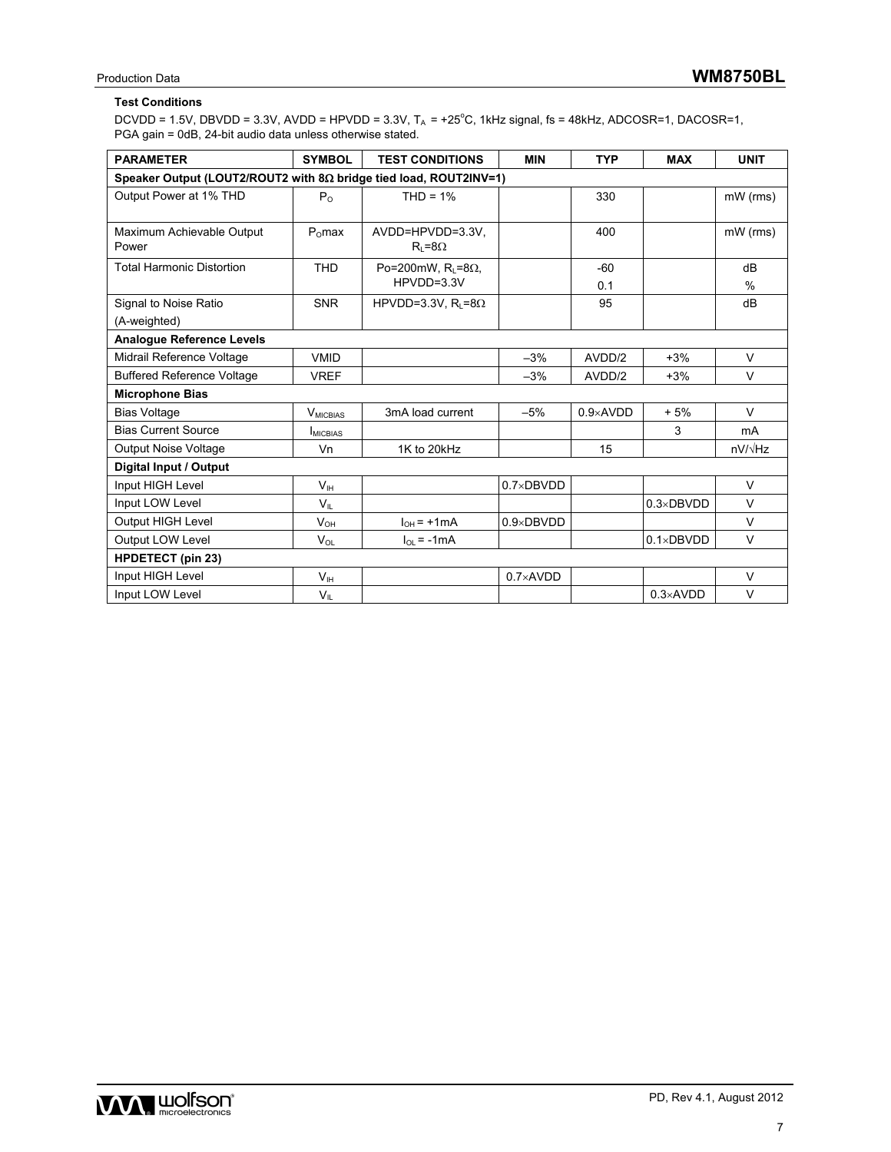### **Test Conditions**

 $DCVDD = 1.5V$ ,  $DBVDD = 3.3V$ ,  $AVDD = HPVDD = 3.3V$ ,  $T_A = +25^{\circ}C$ , 1kHz signal, fs = 48kHz,  $ADCOSR=1$ ,  $DACOSR=1$ , PGA gain = 0dB, 24-bit audio data unless otherwise stated.

| <b>PARAMETER</b>                                                         | <b>SYMBOL</b>      | <b>TEST CONDITIONS</b>              | <b>MIN</b>         | <b>TYP</b>        | <b>MAX</b>         | <b>UNIT</b> |
|--------------------------------------------------------------------------|--------------------|-------------------------------------|--------------------|-------------------|--------------------|-------------|
| Speaker Output (LOUT2/ROUT2 with $8\Omega$ bridge tied load, ROUT2INV=1) |                    |                                     |                    |                   |                    |             |
| Output Power at 1% THD                                                   | $P_{\Omega}$       | $THD = 1%$                          |                    | 330               |                    | mW (rms)    |
|                                                                          |                    |                                     |                    |                   |                    |             |
| Maximum Achievable Output<br>Power                                       | P <sub>o</sub> max | AVDD=HPVDD=3.3V.<br>$R_i = 8\Omega$ |                    | 400               |                    | mW (rms)    |
| <b>Total Harmonic Distortion</b>                                         | <b>THD</b>         | Po=200mW, $R_L = 8\Omega$ ,         |                    | $-60$             |                    | dB          |
|                                                                          |                    | HPVDD=3.3V                          |                    | 0.1               |                    | $\%$        |
| Signal to Noise Ratio                                                    | <b>SNR</b>         | HPVDD=3.3V, $R_1 = 8\Omega$         |                    | 95                |                    | dB          |
| (A-weighted)                                                             |                    |                                     |                    |                   |                    |             |
| <b>Analogue Reference Levels</b>                                         |                    |                                     |                    |                   |                    |             |
| Midrail Reference Voltage                                                | <b>VMID</b>        |                                     | $-3%$              | AVDD/2            | $+3%$              | $\vee$      |
| <b>Buffered Reference Voltage</b>                                        | <b>VREF</b>        |                                     | $-3%$              | AVDD/2            | $+3%$              | $\vee$      |
| <b>Microphone Bias</b>                                                   |                    |                                     |                    |                   |                    |             |
| <b>Bias Voltage</b>                                                      | $V_{MICBIAS}$      | 3mA load current                    | $-5%$              | $0.9 \times$ AVDD | $+5%$              | $\vee$      |
| <b>Bias Current Source</b>                                               | MICBIAS            |                                     |                    |                   | 3                  | mA          |
| <b>Output Noise Voltage</b>                                              | Vn                 | 1K to 20kHz                         |                    | 15                |                    | nV/√Hz      |
| Digital Input / Output                                                   |                    |                                     |                    |                   |                    |             |
| Input HIGH Level                                                         | V <sub>IH</sub>    |                                     | $0.7\times$ DBVDD  |                   |                    | $\vee$      |
| Input LOW Level                                                          | $V_{IL}$           |                                     |                    |                   | $0.3 \times DBVDD$ | $\vee$      |
| Output HIGH Level                                                        | $V_{OH}$           | $I_{OH}$ = +1mA                     | $0.9 \times DBVDD$ |                   |                    | $\vee$      |
| Output LOW Level                                                         | $V_{OL}$           | $I_{OL}$ = -1 mA                    |                    |                   | $0.1 \times DBVDD$ | $\vee$      |
| <b>HPDETECT (pin 23)</b>                                                 |                    |                                     |                    |                   |                    |             |
| Input HIGH Level                                                         | V <sub>IH</sub>    |                                     | $0.7\times$ AVDD   |                   |                    | $\vee$      |
| Input LOW Level                                                          | $V_{IL}$           |                                     |                    |                   | $0.3 \times$ AVDD  | $\vee$      |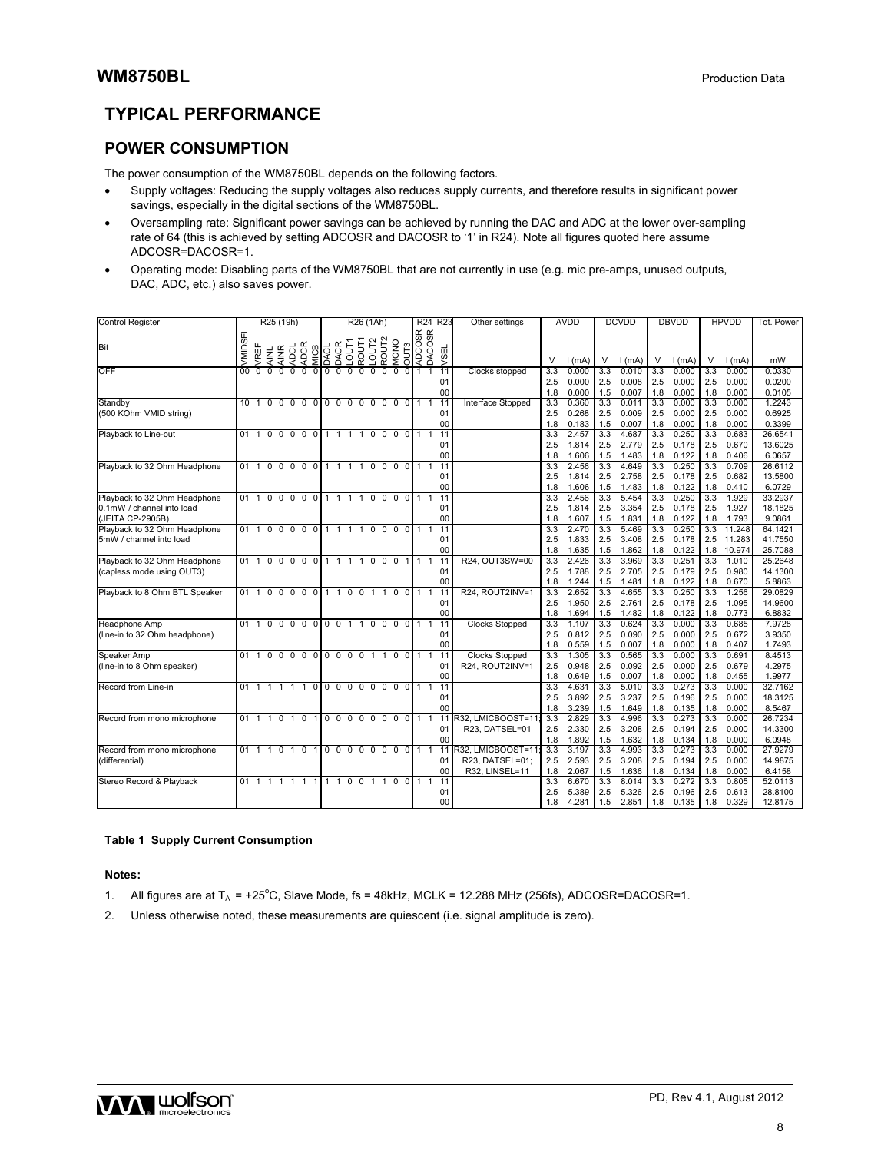## **TYPICAL PERFORMANCE**

### **POWER CONSUMPTION**

The power consumption of the WM8750BL depends on the following factors.

- Supply voltages: Reducing the supply voltages also reduces supply currents, and therefore results in significant power savings, especially in the digital sections of the WM8750BL.
- Oversampling rate: Significant power savings can be achieved by running the DAC and ADC at the lower over-sampling rate of 64 (this is achieved by setting ADCOSR and DACOSR to '1' in R24). Note all figures quoted here assume ADCOSR=DACOSR=1.
- Operating mode: Disabling parts of the WM8750BL that are not currently in use (e.g. mic pre-amps, unused outputs, DAC, ADC, etc.) also saves power.

| <b>Control Register</b>                   |              |                |              | R25 (19h)                 |                                    |                 |                     |               |             | R26 (1Ah)        |                   |                     |          | R <sub>24</sub> R <sub>23</sub> |            |                 | Other settings                           |            | <b>AVDD</b>    |            | <b>DCVDD</b>   |            | <b>DBVDD</b>   |            | <b>HPVDD</b>   | Tot. Power       |
|-------------------------------------------|--------------|----------------|--------------|---------------------------|------------------------------------|-----------------|---------------------|---------------|-------------|------------------|-------------------|---------------------|----------|---------------------------------|------------|-----------------|------------------------------------------|------------|----------------|------------|----------------|------------|----------------|------------|----------------|------------------|
|                                           | ᇤ            |                |              |                           |                                    |                 |                     |               |             |                  |                   |                     |          | OUT3<br>ADCOSR<br>DACOSR        |            |                 |                                          |            |                |            |                |            |                |            |                |                  |
| Bit                                       | VMIDSE       |                |              |                           |                                    |                 |                     | DACR<br>LOUTY | ROUT1       | OUT <sub>2</sub> | ROUT <sub>2</sub> |                     |          |                                 |            |                 |                                          |            |                |            |                |            |                |            |                |                  |
|                                           |              | RËF            | AINL<br>AINR | g                         | DCR                                | <b>AICB</b>     | DACL                |               |             |                  |                   | <b>ONOM</b>         |          |                                 |            | ySEl            |                                          | $\vee$     |                |            |                |            |                |            |                |                  |
|                                           |              |                |              | ⋖                         | ਟ                                  |                 |                     |               |             |                  |                   |                     |          |                                 |            |                 |                                          |            | 1(mA)          | V          | 1(mA)          | V          | 1(mA)          | V          | 1(mA)          | mW               |
| OFF                                       | $00 \,$      | $\Omega$       | 0            | $\mathbf 0$<br>$^{\circ}$ | $\mathbf 0$                        | 0 <sup>10</sup> | $\mathbf 0$         | $\mathbf 0$   | $\mathbf 0$ | $\mathbf 0$      | $\mathbf 0$       | $\mathbf 0$         | 011      |                                 | 1 I        | 11              | Clocks stopped                           | 3.3<br>2.5 | 0.000          | 3.3<br>2.5 | 0.010          | 3.3<br>2.5 | 0.000          | 3.3<br>2.5 | 0.000          | 0.0330<br>0.0200 |
|                                           |              |                |              |                           |                                    |                 |                     |               |             |                  |                   |                     |          |                                 |            | 01<br>00        |                                          | 1.8        | 0.000<br>0.000 | 1.5        | 0.008<br>0.007 | 1.8        | 0.000<br>0.000 | 1.8        | 0.000<br>0.000 | 0.0105           |
| Standby                                   |              |                |              |                           | 101000000000000011                 |                 |                     |               |             |                  |                   |                     |          |                                 |            | 11              | Interface Stopped                        | 3.3        | 0.360          | 3.3        | 0.011          | 3.3        | 0.000          | 3.3        | 0.000          | 1.2243           |
| (500 KOhm VMID string)                    |              |                |              |                           |                                    |                 |                     |               |             |                  |                   |                     |          |                                 |            | 01              |                                          | 2.5        | 0.268          | 2.5        | 0.009          | 2.5        | 0.000          | 2.5        | 0.000          | 0.6925           |
|                                           |              |                |              |                           |                                    |                 |                     |               |             |                  |                   |                     |          |                                 |            | 00              |                                          | 1.8        | 0.183          | 1.5        | 0.007          | 1.8        | 0.000          | 1.8        | 0.000          | 0.3399           |
| Playback to Line-out                      |              |                |              |                           | 01100000 11110000 111              |                 |                     |               |             |                  |                   |                     |          |                                 |            | 11              |                                          | 3.3        | 2.457          | 3.3        | 4.687          | 3.3        | 0.250          | 3.3        | 0.683          | 26.6541          |
|                                           |              |                |              |                           |                                    |                 |                     |               |             |                  |                   |                     |          |                                 |            | 01              |                                          | 2.5        | 1.814          | 2.5        | 2.779          | 2.5        | 0.178          | 2.5        | 0.670          | 13.6025          |
|                                           |              |                |              |                           |                                    |                 |                     |               |             |                  |                   |                     |          |                                 |            | 00              |                                          | 1.8        | 1.606          | 1.5        | 1.483          | 1.8        | 0.122          | 1.8        | 0.406          | 6.0657           |
| Playback to 32 Ohm Headphone              |              |                |              |                           | 01 1 0 0 0 0 0 1 1 1 1 0 0 0 0 1 1 |                 |                     |               |             |                  |                   |                     |          |                                 |            | $\overline{11}$ |                                          | 3.3        | 2.456          | 3.3        | 4.649          | 3.3        | 0.250          | 3.3        | 0.709          | 26.6112          |
|                                           |              |                |              |                           |                                    |                 |                     |               |             |                  |                   |                     |          |                                 |            | 01              |                                          | 2.5        | 1.814          | 2.5        | 2.758          | 2.5        | 0.178          | 2.5        | 0.682          | 13.5800          |
|                                           |              |                |              |                           |                                    |                 |                     |               |             |                  |                   |                     |          |                                 |            | 00              |                                          | 1.8        | 1.606          | 1.5        | 1.483          | 1.8        | 0.122          | 1.8        | 0.410          | 6.0729           |
| Playback to 32 Ohm Headphone              |              |                |              |                           | 01 1 0 0 0 0 0 1 1 1 1 0 0 0 0 1 1 |                 |                     |               |             |                  |                   |                     |          |                                 |            | 11              |                                          | 3.3        | 2.456          | 3.3        | 5.454          | 3.3        | 0.250          | 3.3        | 1.929          | 33.2937          |
| 0.1mW / channel into load                 |              |                |              |                           |                                    |                 |                     |               |             |                  |                   |                     |          |                                 |            | 01              |                                          | 2.5        | 1.814          | 2.5        | 3.354          | 2.5        | 0.178          | 2.5        | 1.927          | 18.1825          |
| JEITA CP-2905B)                           |              |                |              |                           |                                    |                 |                     |               |             |                  |                   |                     |          |                                 |            | 00              |                                          | 1.8        | 1.607          | 1.5        | 1.831          | 1.8        | 0.122          | 1.8        | 1.793          | 9.0861           |
| Playback to 32 Ohm Headphone              |              |                |              |                           | 01 1 0 0 0 0                       |                 | 0 1 1 1 1 0 0 0 0 1 |               |             |                  |                   |                     |          |                                 |            | 11              |                                          | 3.3        | 2.470          | 3.3        | 5.469          | 3.3        | 0.250          | 3.3        | 11.248         | 64.1421          |
| 5mW / channel into load                   |              |                |              |                           |                                    |                 |                     |               |             |                  |                   |                     |          |                                 |            | 01              |                                          | 2.5        | 1.833          | 2.5        | 3.408          | 2.5        | 0.178          | 2.5        | 11.283         | 41.7550          |
|                                           |              |                |              |                           |                                    |                 |                     |               |             |                  |                   |                     |          |                                 |            | 00              |                                          | 1.8        | 1.635          | 1.5        | 1.862          | 1.8        | 0.122          | 1.8        | 10.974         | 25.7088          |
| Playback to 32 Ohm Headphone              |              |                |              |                           | 01 1 0 0 0 0                       | $\mathbf 0$     | 1111000111          |               |             |                  |                   |                     |          |                                 |            | 11              | R24. OUT3SW=00                           | 3.3        | 2.426          | 3.3        | 3.969          | 3.3        | 0.251          | 3.3        | 1.010          | 25.2648          |
| (capless mode using OUT3)                 |              |                |              |                           |                                    |                 |                     |               |             |                  |                   |                     |          |                                 |            | 01              |                                          | 2.5        | 1.788          | 2.5        | 2.705          | 2.5        | 0.179          | 2.5        | 0.980          | 14.1300          |
|                                           |              |                |              |                           |                                    |                 |                     |               |             |                  |                   |                     |          |                                 |            | 00              |                                          | 1.8        | 1.244          | 1.5        | 1.481          | 1.8        | 0.122          | 1.8        | 0.670          | 5.8863           |
| Playback to 8 Ohm BTL Speaker             | 01           | $\overline{1}$ |              |                           | $0\quad 0\quad 0\quad 0$           |                 | 0 1 1 0 0 1 1       |               |             |                  |                   | 0 <sub>0</sub>      |          | $\mathbf{1}$                    | l 11       |                 | R24, ROUT2INV=1                          | 3.3        | 2.652          | 3.3        | 4.655          | 3.3        | 0.250          | 3.3        | 1.256          | 29.0829          |
|                                           |              |                |              |                           |                                    |                 |                     |               |             |                  |                   |                     |          |                                 |            | 01              |                                          | 2.5        | 1.950          | 2.5        | 2.761          | 2.5        | 0.178          | 2.5        | 1.095          | 14.9600          |
|                                           |              |                |              |                           |                                    |                 |                     |               |             |                  |                   |                     |          |                                 |            | 00              |                                          | 1.8        | 1.694          | 1.5        | 1.482          | 1.8        | 0.122          | 1.8        | 0.773          | 6.8832           |
| <b>Headphone Amp</b>                      | 011          |                |              |                           | $0\quad 0\quad 0\quad 0$           |                 | 0001100             |               |             |                  |                   | 0 <sub>0</sub>      |          |                                 | 111        |                 | <b>Clocks Stopped</b>                    | 3.3        | 1.107          | 3.3        | 0.624          | 3.3        | 0.000          | 3.3        | 0.685          | 7.9728           |
| (line-in to 32 Ohm headphone)             |              |                |              |                           |                                    |                 |                     |               |             |                  |                   |                     |          |                                 |            | 01<br>00        |                                          | 2.5        | 0.812          | 2.5        | 0.090          | 2.5        | 0.000          | 2.5        | 0.672          | 3.9350           |
|                                           |              |                |              |                           | 01 1 0 0 0 0                       |                 | 0000011             |               |             |                  |                   | 0.011               |          |                                 | 1111       |                 |                                          | 1.8<br>3.3 | 0.559<br>1.305 | 1.5<br>3.3 | 0.007<br>0.565 | 1.8<br>3.3 | 0.000<br>0.000 | 1.8<br>3.3 | 0.407<br>0.691 | 1.7493<br>8.4513 |
| Speaker Amp<br>(line-in to 8 Ohm speaker) |              |                |              |                           |                                    |                 |                     |               |             |                  |                   |                     |          |                                 |            | 01              | <b>Clocks Stopped</b><br>R24, ROUT2INV=1 | 2.5        | 0.948          | 2.5        | 0.092          | 2.5        | 0.000          | 2.5        | 0.679          | 4.2975           |
|                                           |              |                |              |                           |                                    |                 |                     |               |             |                  |                   |                     |          |                                 |            | 00              |                                          | 1.8        | 0.649          | 1.5        | 0.007          | 1.8        | 0.000          | 1.8        | 0.455          | 1.9977           |
| Record from Line-in                       |              |                |              |                           | 01 1 1 1 1 1                       |                 | 00000000011         |               |             |                  |                   |                     |          | 11                              |            | 11              |                                          | 3.3        | 4.631          | 3.3        | 5.010          | 3.3        | 0.273          | 3.3        | 0.000          | 32.7162          |
|                                           |              |                |              |                           |                                    |                 |                     |               |             |                  |                   |                     |          |                                 |            | 01              |                                          | 2.5        | 3.892          | 2.5        | 3.237          | 2.5        | 0.196          | 2.5        | 0.000          | 18.3125          |
|                                           |              |                |              |                           |                                    |                 |                     |               |             |                  |                   |                     |          |                                 |            | 00              |                                          | 1.8        | 3.239          | 1.5        | 1.649          | 1.8        | 0.135          | 1.8        | 0.000          | 8.5467           |
| Record from mono microphone               | $01 \quad 1$ |                |              |                           | 1 0 1 0                            | $\mathbf{1}$    | 000000001           |               |             |                  |                   |                     |          |                                 | $\vert$ 11 |                 | R32, LMICBOOST=11;                       | 3.3        | 2.829          | 3.3        | 4.996          | 3.3        | 0.273          | 3.3        | 0.000          | 26.7234          |
|                                           |              |                |              |                           |                                    |                 |                     |               |             |                  |                   |                     |          |                                 |            | 01              | R23, DATSEL=01                           | 2.5        | 2.330          | 2.5        | 3.208          | 2.5        | 0.194          | 2.5        | 0.000          | 14.3300          |
|                                           |              |                |              |                           |                                    |                 |                     |               |             |                  |                   |                     |          |                                 |            | 00              |                                          | 1.8        | 1.892          | 1.5        | 1.632          | 1.8        | 0.134          | 1.8        | 0.000          | 6.0948           |
| Record from mono microphone               |              |                |              |                           | 01 1 1 0 1 0                       | 1               | 000000              |               |             |                  |                   | $0 \quad 0 \quad 1$ |          | 1                               |            | 11              | R32. LMICBOOST=11:                       | 3.3        | 3.197          | 3.3        | 4.993          | 3.3        | 0.273          | 3.3        | 0.000          | 27,9279          |
| (differential)                            |              |                |              |                           |                                    |                 |                     |               |             |                  |                   |                     |          |                                 |            | 01              | R23, DATSEL=01;                          | 2.5        | 2.593          | 2.5        | 3.208          | 2.5        | 0.194          | 2.5        | 0.000          | 14.9875          |
|                                           |              |                |              |                           |                                    |                 |                     |               |             |                  |                   |                     |          |                                 |            | 00              | R32, LINSEL=11                           | 1.8        | 2.067          | 1.5        | 1.636          | 1.8        | 0.134          | 1.8        | 0.000          | 6.4158           |
| Stereo Record & Playback                  |              |                |              |                           | 01 1 1 1 1 1                       | 1               | 1 1 0 0             |               |             |                  | $1 \quad 1$       | $\Omega$            | $\Omega$ |                                 |            | 11              |                                          | 3.3        | 6.670          | 3.3        | 8.014          | 3.3        | 0.272          | 3.3        | 0.805          | 52.0113          |
|                                           |              |                |              |                           |                                    |                 |                     |               |             |                  |                   |                     |          |                                 |            | 01              |                                          | 2.5        | 5.389          | 2.5        | 5.326          | 2.5        | 0.196          | 2.5        | 0.613          | 28.8100          |
|                                           |              |                |              |                           |                                    |                 |                     |               |             |                  |                   |                     |          |                                 |            | 00              |                                          | 1.8        | 4.281          | 1.5        | 2.851          | 1.8        | 0.135          | 1.8        | 0.329          | 12.8175          |

#### **Table 1 Supply Current Consumption**

**Notes:** 

- 1. All figures are at  $T_A = +25^{\circ}C$ , Slave Mode, fs = 48kHz, MCLK = 12.288 MHz (256fs), ADCOSR=DACOSR=1.
- 2. Unless otherwise noted, these measurements are quiescent (i.e. signal amplitude is zero).

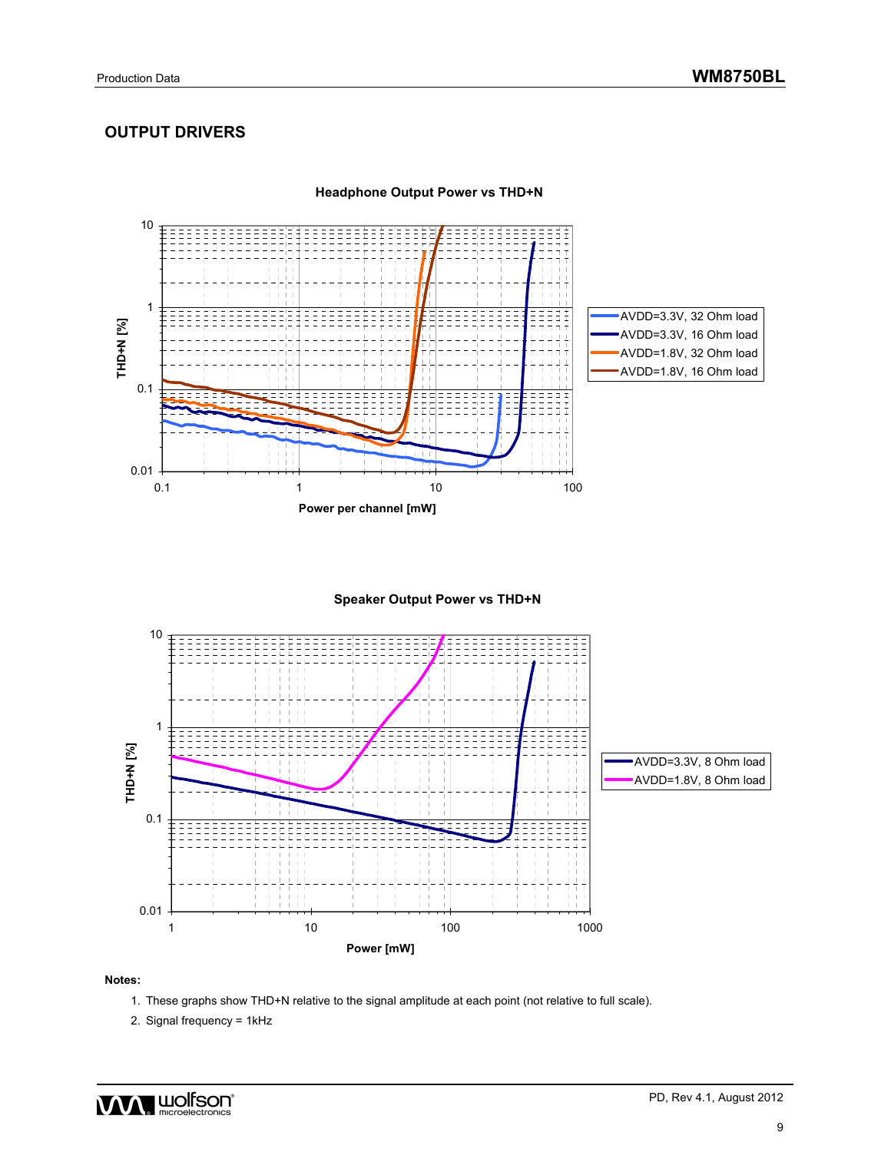## **OUTPUT DRIVERS**



**Headphone Output Power vs THD+N**





#### **Notes:**

- 1. These graphs show THD+N relative to the signal amplitude at each point (not relative to full scale).
- 2. Signal frequency = 1kHz

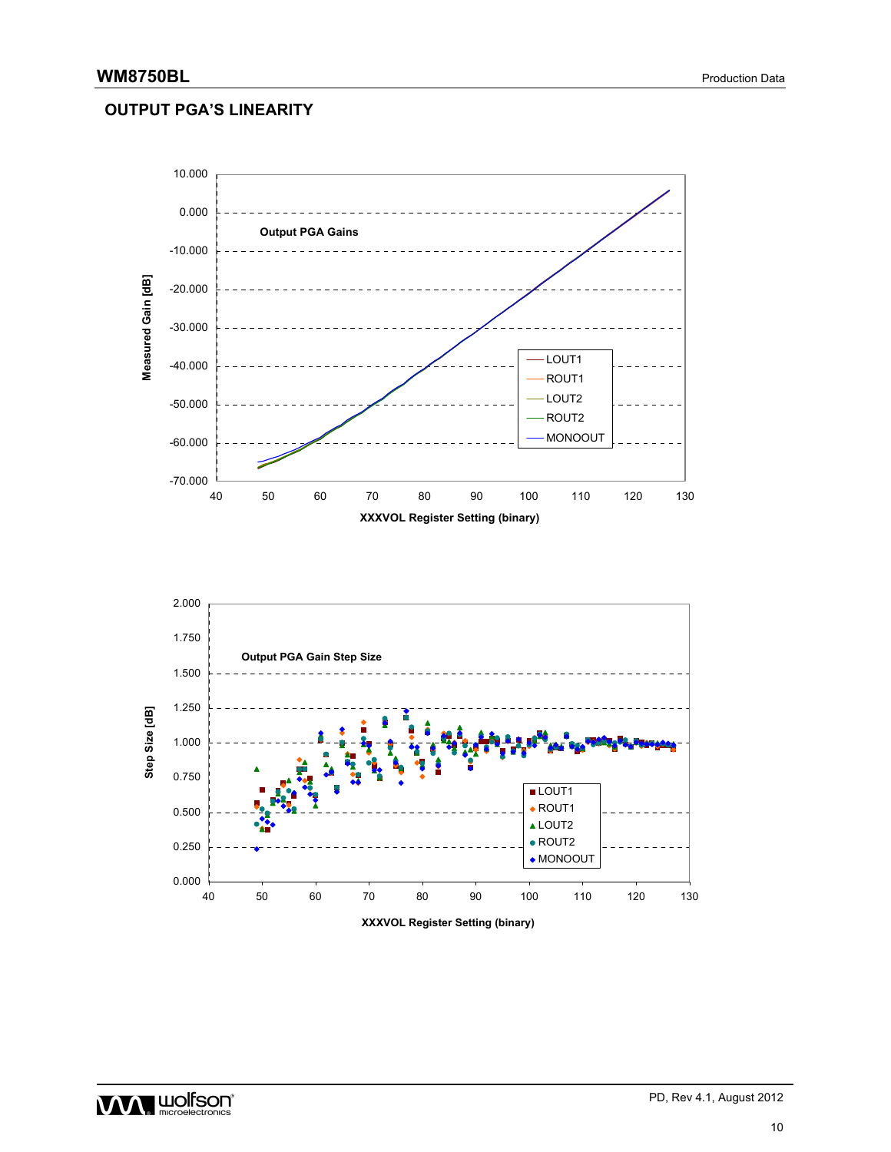### **OUTPUT PGA'S LINEARITY**



WWW. HIMPISON<sup>®</sup> PD, Rev 4.1, August 2012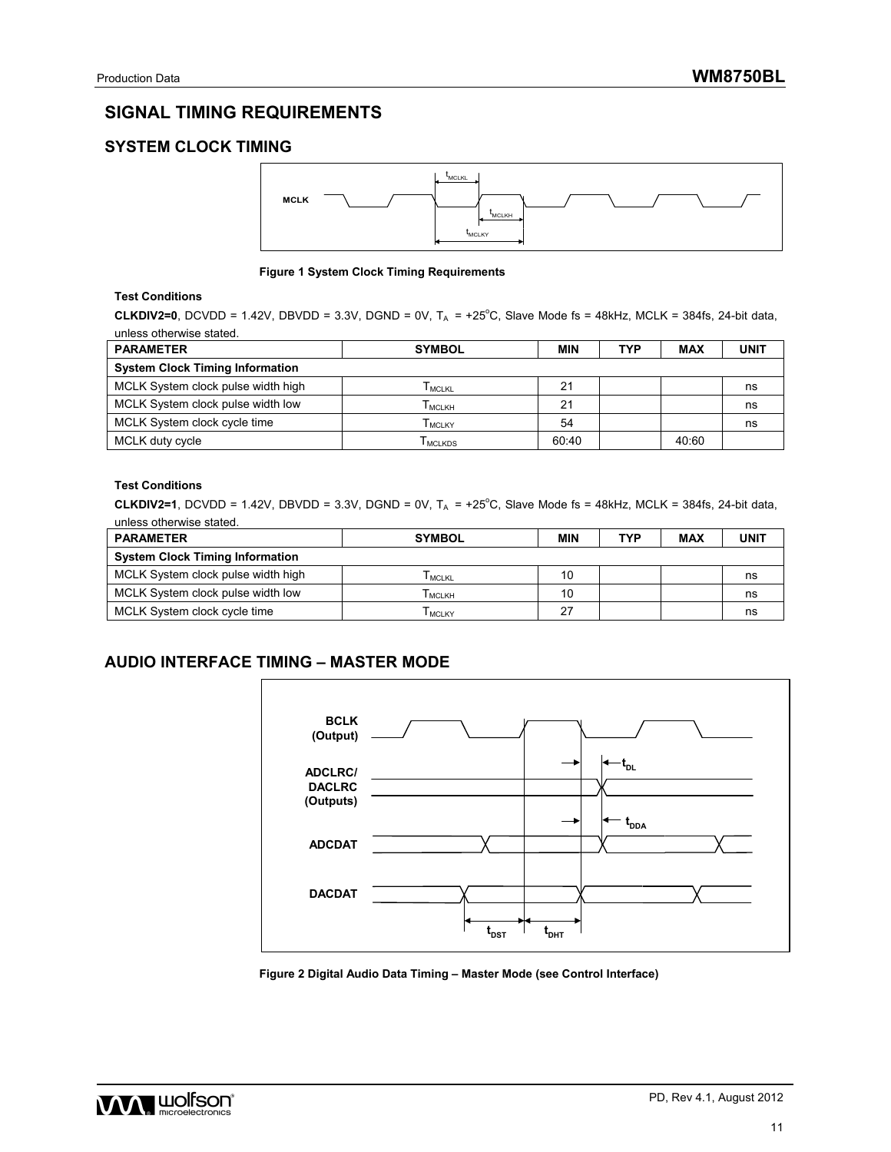## **SIGNAL TIMING REQUIREMENTS**

## **SYSTEM CLOCK TIMING**



#### **Figure 1 System Clock Timing Requirements**

### **Test Conditions**

**CLKDIV2=0**, DCVDD = 1.42V, DBVDD = 3.3V, DGND = 0V,  $T_A$  = +25°C, Slave Mode fs = 48kHz, MCLK = 384fs, 24-bit data, unless otherwise stated.

| <b>PARAMETER</b>                       | <b>SYMBOL</b>   | <b>MIN</b> | <b>TYP</b> | <b>MAX</b> | <b>UNIT</b> |
|----------------------------------------|-----------------|------------|------------|------------|-------------|
| <b>System Clock Timing Information</b> |                 |            |            |            |             |
| MCLK System clock pulse width high     | <b>L</b> MCLKL  | 21         |            |            | ns          |
| MCLK System clock pulse width low      | Гмськн          | 21         |            |            | ns          |
| MCLK System clock cycle time           | <b>L</b> MCLKY  | 54         |            |            | ns          |
| MCLK duty cycle                        | <b>I</b> MCLKDS | 60:40      |            | 40:60      |             |

#### **Test Conditions**

**CLKDIV2=1**, DCVDD = 1.42V, DBVDD = 3.3V, DGND = 0V,  $T_A$  = +25°C, Slave Mode fs = 48kHz, MCLK = 384fs, 24-bit data, unless otherwise stated.

| <b>PARAMETER</b>                       | <b>SYMBOL</b> | MIN | <b>TYP</b> | <b>MAX</b> | <b>UNIT</b> |
|----------------------------------------|---------------|-----|------------|------------|-------------|
| <b>System Clock Timing Information</b> |               |     |            |            |             |
| MCLK System clock pulse width high     | <b>MCLKL</b>  | 10  |            |            | ns          |
| MCLK System clock pulse width low      | I мськн       | 10  |            |            | ns          |
| MCLK System clock cycle time           | <b>MCLKY</b>  | 27  |            |            | ns          |

### **AUDIO INTERFACE TIMING – MASTER MODE**



**Figure 2 Digital Audio Data Timing – Master Mode (see Control Interface)** 

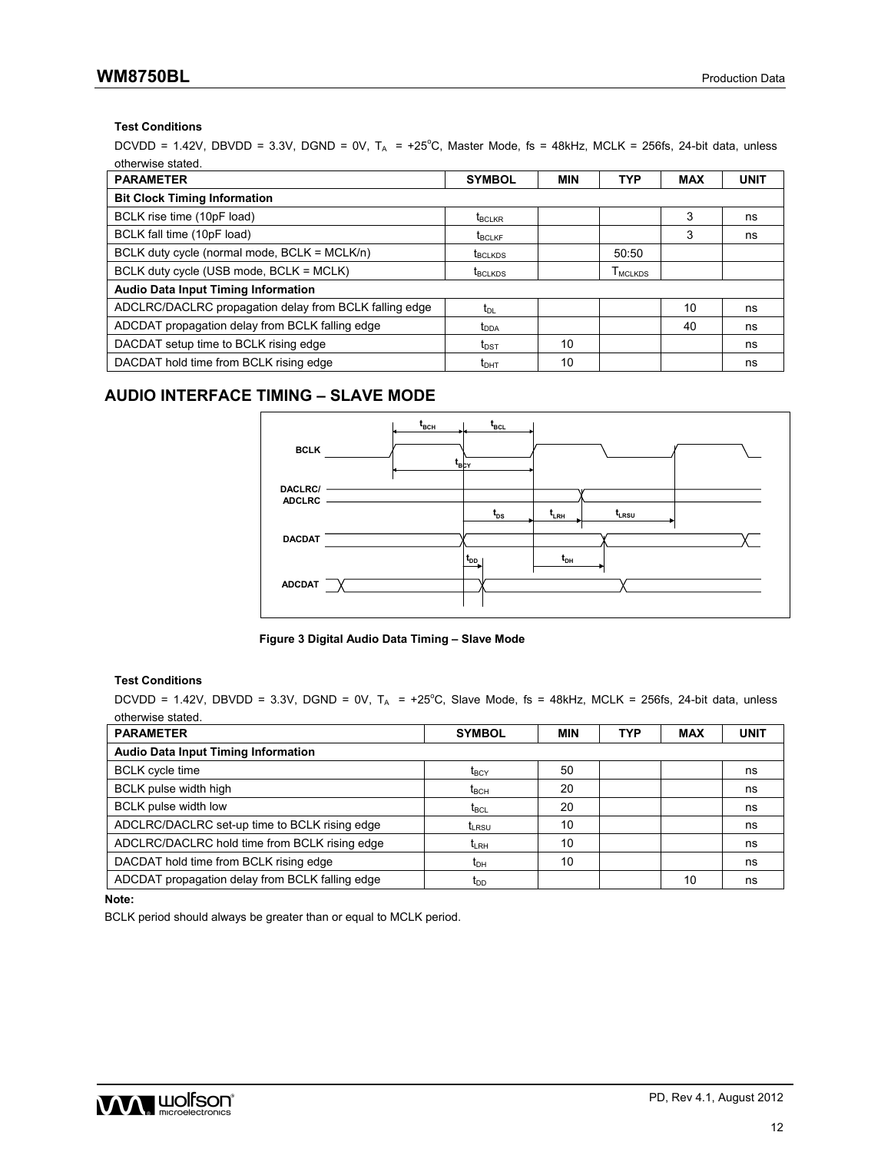## **WM8750BL** Production Data

### **Test Conditions**

DCVDD = 1.42V, DBVDD = 3.3V, DGND = 0V,  $T_A$  = +25°C, Master Mode, fs = 48kHz, MCLK = 256fs, 24-bit data, unless otherwise stated.

| <b>PARAMETER</b>                                       | <b>SYMBOL</b>                          | <b>MIN</b> | <b>TYP</b>                        | <b>MAX</b> | <b>UNIT</b> |
|--------------------------------------------------------|----------------------------------------|------------|-----------------------------------|------------|-------------|
| <b>Bit Clock Timing Information</b>                    |                                        |            |                                   |            |             |
| BCLK rise time (10pF load)                             | <b>t</b> <sub>BCLKR</sub>              |            |                                   | 3          | ns          |
| BCLK fall time (10pF load)                             | $t_{\scriptscriptstyle\mathrm{BCLKF}}$ |            |                                   | 3          | ns          |
| BCLK duty cycle (normal mode, BCLK = MCLK/n)           | <b>t</b> <sub>BCLKDS</sub>             |            | 50:50                             |            |             |
| BCLK duty cycle (USB mode, BCLK = MCLK)                | t <sub>BCLKDS</sub>                    |            | $T_{\scriptsize \textsf{MCLKDS}}$ |            |             |
| <b>Audio Data Input Timing Information</b>             |                                        |            |                                   |            |             |
| ADCLRC/DACLRC propagation delay from BCLK falling edge | $t_{\text{DL}}$                        |            |                                   | 10         | ns          |
| ADCDAT propagation delay from BCLK falling edge        | $t_{\text{DDA}}$                       |            |                                   | 40         | ns          |
| DACDAT setup time to BCLK rising edge                  | $t_{\text{DST}}$                       | 10         |                                   |            | ns          |
| DACDAT hold time from BCLK rising edge                 | $t_{\text{DHT}}$                       | 10         |                                   |            | ns          |

### **AUDIO INTERFACE TIMING – SLAVE MODE**





### **Test Conditions**

 $DCVDD = 1.42V$ ,  $DBVDD = 3.3V$ ,  $DGND = 0V$ ,  $T_A = +25^{\circ}C$ , Slave Mode, fs = 48kHz, MCLK = 256fs, 24-bit data, unless otherwise stated.

| <b>PARAMETER</b>                                | <b>SYMBOL</b>       | <b>MIN</b> | <b>TYP</b> | <b>MAX</b> | <b>UNIT</b> |
|-------------------------------------------------|---------------------|------------|------------|------------|-------------|
| <b>Audio Data Input Timing Information</b>      |                     |            |            |            |             |
| <b>BCLK</b> cycle time                          | $\rm{t}_{\rm{BCY}}$ | 50         |            |            | ns          |
| BCLK pulse width high                           | $t_{\rm BCH}$       | 20         |            |            | ns          |
| <b>BCLK</b> pulse width low                     | $t_{\mathsf{BCL}}$  | 20         |            |            | ns          |
| ADCLRC/DACLRC set-up time to BCLK rising edge   | t <sub>i RSU</sub>  | 10         |            |            | ns          |
| ADCLRC/DACLRC hold time from BCLK rising edge   | $t_{\rm I, RH}$     | 10         |            |            | ns          |
| DACDAT hold time from BCLK rising edge          | t <sub>DH</sub>     | 10         |            |            | ns          |
| ADCDAT propagation delay from BCLK falling edge | $t_{DD}$            |            |            | 10         | ns          |

**Note:** 

BCLK period should always be greater than or equal to MCLK period.

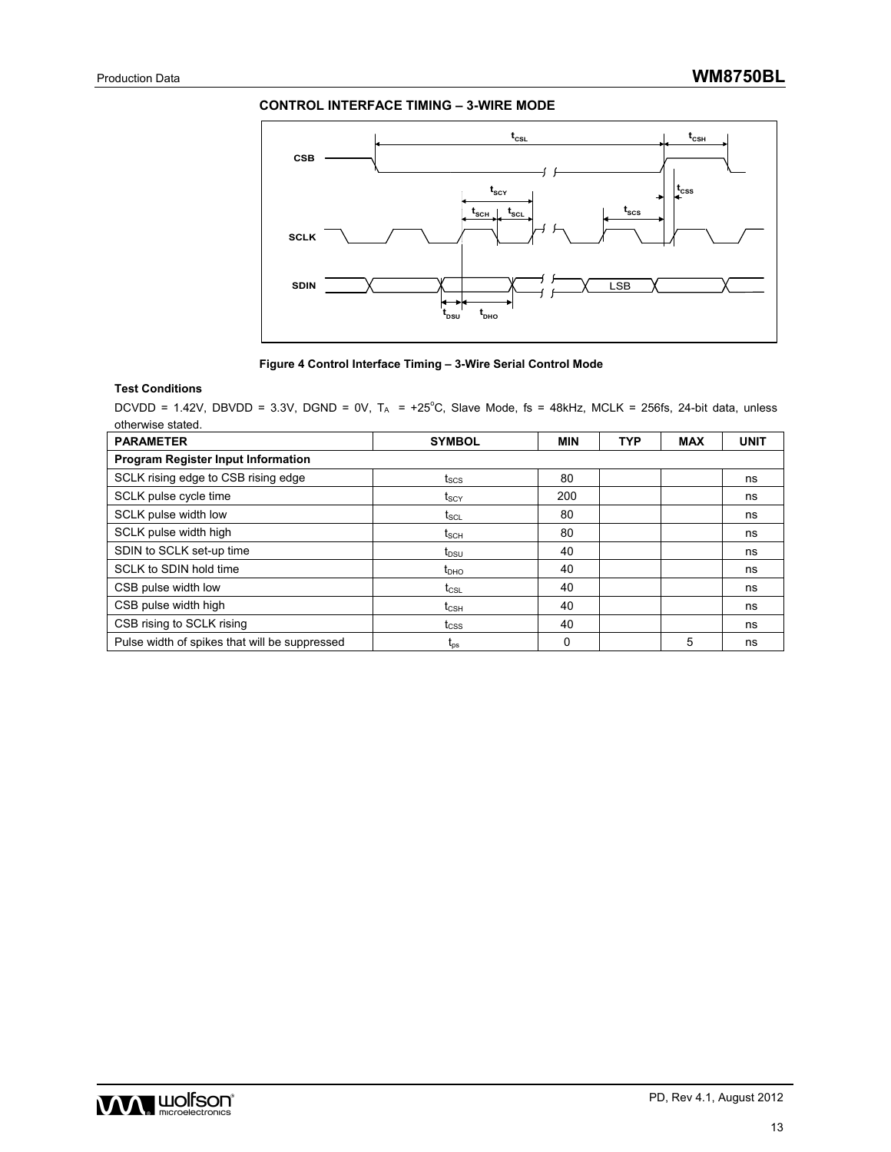### **CONTROL INTERFACE TIMING – 3-WIRE MODE**





#### **Test Conditions**

 $DCVDD = 1.42V$ ,  $DBVDD = 3.3V$ ,  $DGND = 0V$ ,  $T_A = +25^{\circ}C$ , Slave Mode, fs = 48kHz, MCLK = 256fs, 24-bit data, unless otherwise stated.

| <b>PARAMETER</b>                              | <b>SYMBOL</b>                        | <b>MIN</b> | <b>TYP</b> | <b>MAX</b> | <b>UNIT</b> |  |  |  |
|-----------------------------------------------|--------------------------------------|------------|------------|------------|-------------|--|--|--|
| Program Register Input Information            |                                      |            |            |            |             |  |  |  |
| SCLK rising edge to CSB rising edge           | $t_{\scriptstyle\rm SCS}$            | 80         |            |            | ns          |  |  |  |
| SCLK pulse cycle time                         | t <sub>scy</sub>                     | 200        |            |            | ns          |  |  |  |
| SCLK pulse width low                          | $t_{\scriptstyle\rm SCL}$            | 80         |            |            | ns          |  |  |  |
| SCLK pulse width high                         | $t_{\text{SCH}}$                     | 80         |            |            | ns          |  |  |  |
| SDIN to SCLK set-up time                      | $t_{DSU}$                            | 40         |            |            | ns          |  |  |  |
| SCLK to SDIN hold time                        | $t_{\text{DHO}}$                     | 40         |            |            | ns          |  |  |  |
| CSB pulse width low                           | $t_{\textsf{CSL}}$                   | 40         |            |            | ns          |  |  |  |
| CSB pulse width high                          | $t_{\scriptscriptstyle{\text{CSH}}}$ | 40         |            |            | ns          |  |  |  |
| CSB rising to SCLK rising                     | $t_{\text{CSS}}$                     | 40         |            |            | ns          |  |  |  |
| Pulse width of spikes that will be suppressed | $\mathsf{L}_{\mathsf{DS}}$           | 0          |            | 5          | ns          |  |  |  |

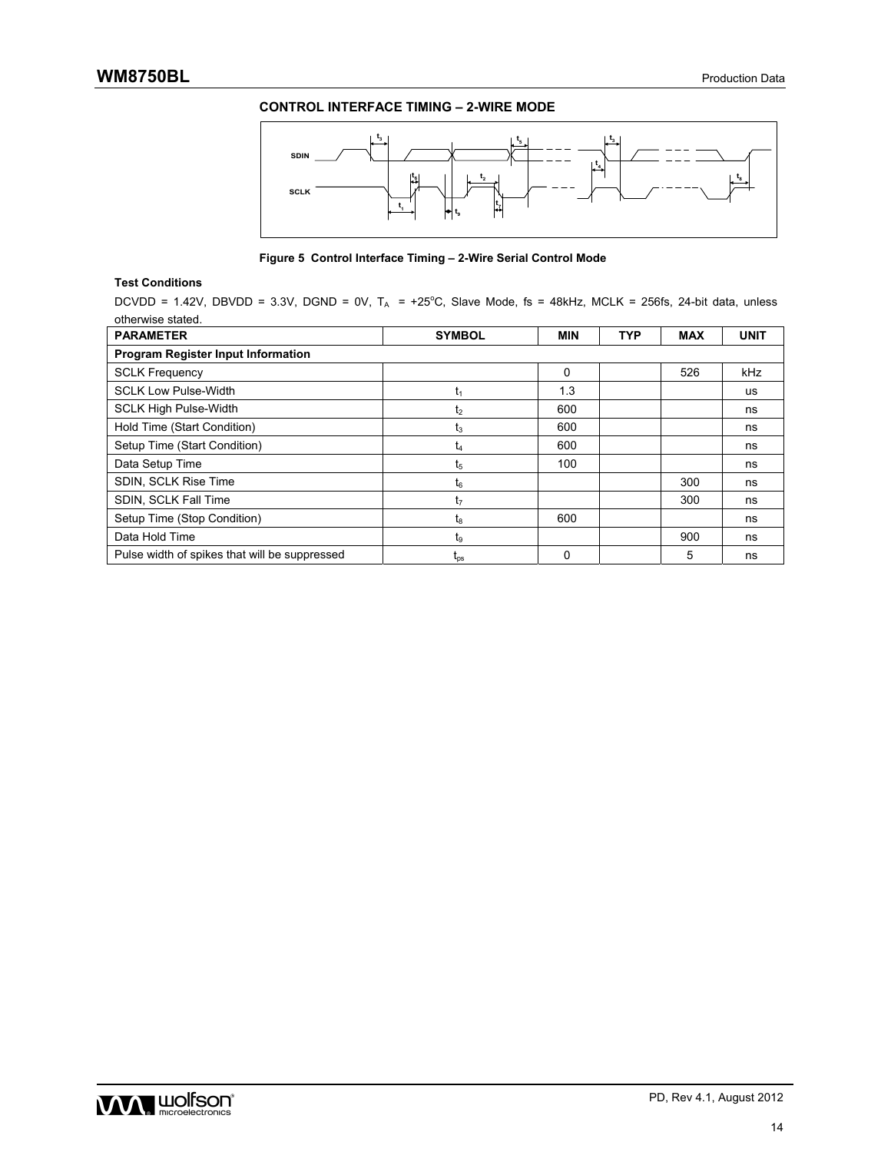### **CONTROL INTERFACE TIMING – 2-WIRE MODE**



**Figure 5 Control Interface Timing – 2-Wire Serial Control Mode** 

#### **Test Conditions**

DCVDD = 1.42V, DBVDD = 3.3V, DGND = 0V,  $T_A$  = +25°C, Slave Mode, fs = 48kHz, MCLK = 256fs, 24-bit data, unless otherwise stated.

| <b>PARAMETER</b>                              | <b>SYMBOL</b>       | <b>MIN</b> | <b>TYP</b> | <b>MAX</b> | <b>UNIT</b> |  |  |  |
|-----------------------------------------------|---------------------|------------|------------|------------|-------------|--|--|--|
| <b>Program Register Input Information</b>     |                     |            |            |            |             |  |  |  |
| <b>SCLK Frequency</b>                         |                     | $\Omega$   |            | 526        | kHz         |  |  |  |
| <b>SCLK Low Pulse-Width</b>                   | U۱                  | 1.3        |            |            | <b>us</b>   |  |  |  |
| <b>SCLK High Pulse-Width</b>                  | t2                  | 600        |            |            | ns          |  |  |  |
| Hold Time (Start Condition)                   | lз                  | 600        |            |            | ns          |  |  |  |
| Setup Time (Start Condition)                  | t4                  | 600        |            |            | ns          |  |  |  |
| Data Setup Time                               | t,                  | 100        |            |            | ns          |  |  |  |
| SDIN, SCLK Rise Time                          | t <sub>6</sub>      |            |            | 300        | ns          |  |  |  |
| SDIN, SCLK Fall Time                          | t7                  |            |            | 300        | ns          |  |  |  |
| Setup Time (Stop Condition)                   | tg                  | 600        |            |            | ns          |  |  |  |
| Data Hold Time                                | t,                  |            |            | 900        | ns          |  |  |  |
| Pulse width of spikes that will be suppressed | $\iota_{\text{ps}}$ | 0          |            | 5          | ns          |  |  |  |

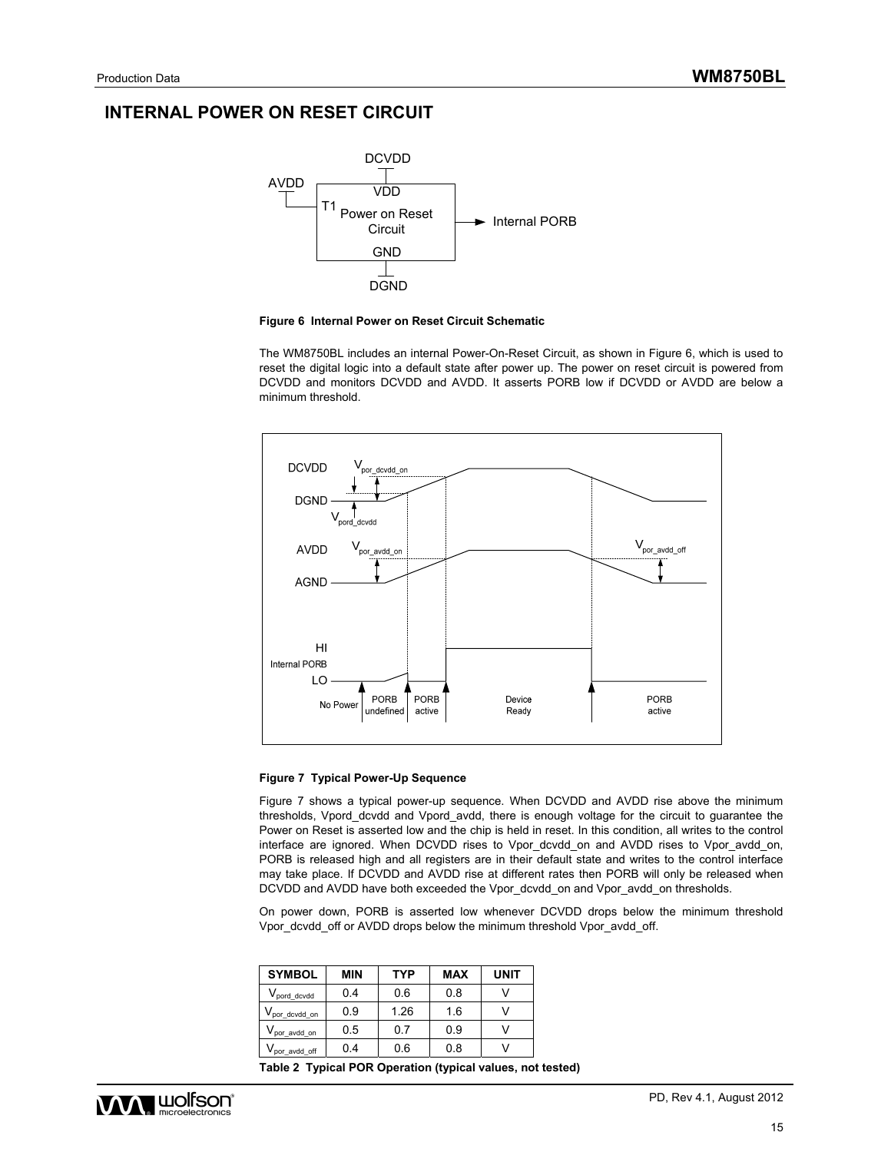## **INTERNAL POWER ON RESET CIRCUIT**





The WM8750BL includes an internal Power-On-Reset Circuit, as shown in Figure 6, which is used to reset the digital logic into a default state after power up. The power on reset circuit is powered from DCVDD and monitors DCVDD and AVDD. It asserts PORB low if DCVDD or AVDD are below a minimum threshold.



#### **Figure 7 Typical Power-Up Sequence**

Figure 7 shows a typical power-up sequence. When DCVDD and AVDD rise above the minimum thresholds, Vpord\_dcvdd and Vpord\_avdd, there is enough voltage for the circuit to guarantee the Power on Reset is asserted low and the chip is held in reset. In this condition, all writes to the control interface are ignored. When DCVDD rises to Vpor\_dcvdd\_on and AVDD rises to Vpor\_avdd\_on, PORB is released high and all registers are in their default state and writes to the control interface may take place. If DCVDD and AVDD rise at different rates then PORB will only be released when DCVDD and AVDD have both exceeded the Vpor\_dcvdd\_on and Vpor\_avdd\_on thresholds.

On power down, PORB is asserted low whenever DCVDD drops below the minimum threshold Vpor\_dcvdd\_off or AVDD drops below the minimum threshold Vpor\_avdd\_off.

| <b>SYMBOL</b>                          | <b>MIN</b> | <b>TYP</b> | <b>MAX</b> | <b>UNIT</b> |
|----------------------------------------|------------|------------|------------|-------------|
| V <sub>pord_dcvdd</sub>                | 0.4        | 0.6        | 0.8        |             |
| $V_{\text{por\_dcvdd\_on}}$            | 0.9        | 1.26       | 1.6        |             |
| $V_{\mathsf{por\_avdd\_on}}$           | 0.5        | 07         | 0.9        |             |
| $\mathsf{V}_{\mathsf{por\_avdd\_off}}$ | 0.4        | 0.6        | 0.8        |             |

**Table 2 Typical POR Operation (typical values, not tested)** 

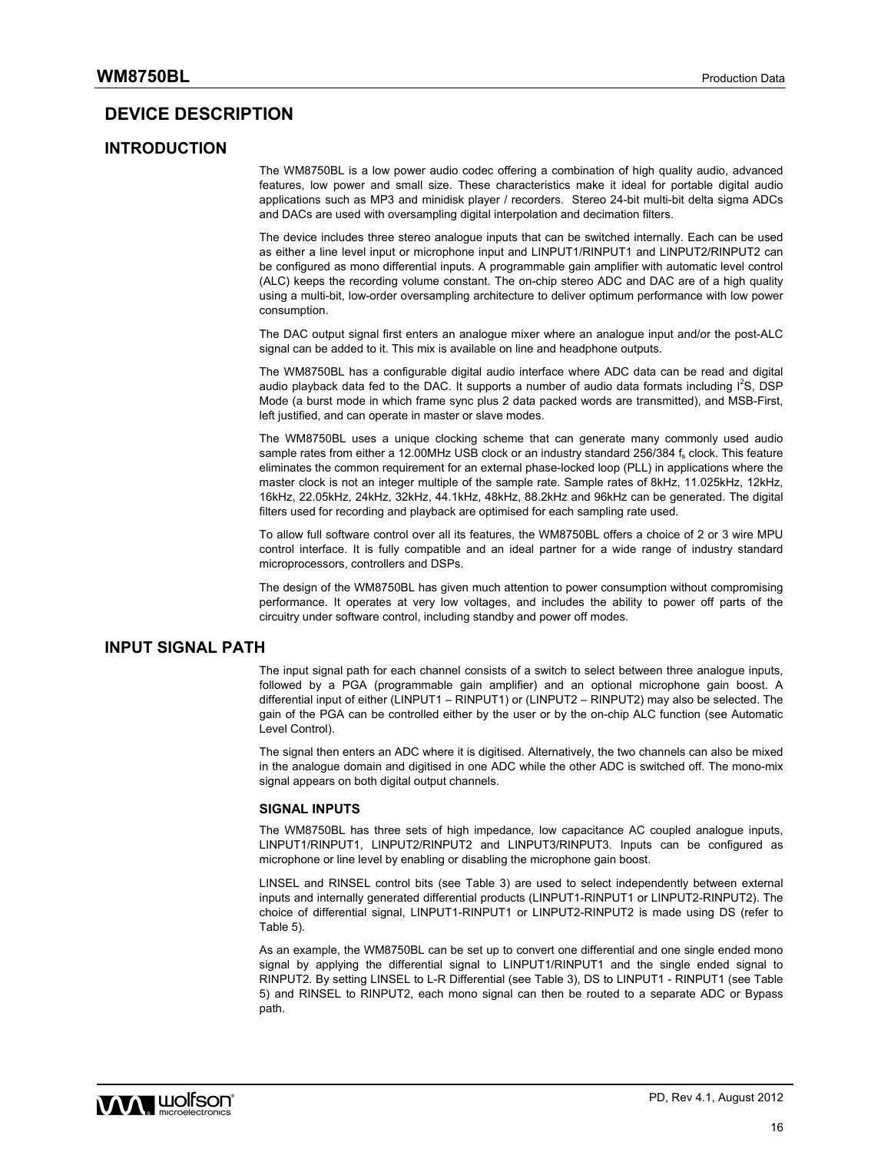### **DEVICE DESCRIPTION**

### **INTRODUCTION**

The WM8750BL is a low power audio codec offering a combination of high quality audio, advanced features, low power and small size. These characteristics make it ideal for portable digital audio applications such as MP3 and minidisk player / recorders. Stereo 24-bit multi-bit delta sigma ADCs and DACs are used with oversampling digital interpolation and decimation filters.

The device includes three stereo analogue inputs that can be switched internally. Each can be used as either a line level input or microphone input and LINPUT1/RINPUT1 and LINPUT2/RINPUT2 can be configured as mono differential inputs. A programmable gain amplifier with automatic level control (ALC) keeps the recording volume constant. The on-chip stereo ADC and DAC are of a high quality using a multi-bit, low-order oversampling architecture to deliver optimum performance with low power consumption.

The DAC output signal first enters an analogue mixer where an analogue input and/or the post-ALC signal can be added to it. This mix is available on line and headphone outputs.

The WM8750BL has a configurable digital audio interface where ADC data can be read and digital audio playback data fed to the DAC. It supports a number of audio data formats including  $I^2S$ , DSP Mode (a burst mode in which frame sync plus 2 data packed words are transmitted), and MSB-First, left justified, and can operate in master or slave modes.

The WM8750BL uses a unique clocking scheme that can generate many commonly used audio sample rates from either a 12.00MHz USB clock or an industry standard 256/384 fs clock. This feature eliminates the common requirement for an external phase-locked loop (PLL) in applications where the master clock is not an integer multiple of the sample rate. Sample rates of 8kHz, 11.025kHz, 12kHz, 16kHz, 22.05kHz, 24kHz, 32kHz, 44.1kHz, 48kHz, 88.2kHz and 96kHz can be generated. The digital filters used for recording and playback are optimised for each sampling rate used.

To allow full software control over all its features, the WM8750BL offers a choice of 2 or 3 wire MPU control interface. It is fully compatible and an ideal partner for a wide range of industry standard microprocessors, controllers and DSPs.

The design of the WM8750BL has given much attention to power consumption without compromising performance. It operates at very low voltages, and includes the ability to power off parts of the circuitry under software control, including standby and power off modes.

### **INPUT SIGNAL PATH**

The input signal path for each channel consists of a switch to select between three analogue inputs, followed by a PGA (programmable gain amplifier) and an optional microphone gain boost. A differential input of either (LINPUT1 – RINPUT1) or (LINPUT2 – RINPUT2) may also be selected. The gain of the PGA can be controlled either by the user or by the on-chip ALC function (see Automatic Level Control).

The signal then enters an ADC where it is digitised. Alternatively, the two channels can also be mixed in the analogue domain and digitised in one ADC while the other ADC is switched off. The mono-mix signal appears on both digital output channels.

#### **SIGNAL INPUTS**

The WM8750BL has three sets of high impedance, low capacitance AC coupled analogue inputs, LINPUT1/RINPUT1, LINPUT2/RINPUT2 and LINPUT3/RINPUT3. Inputs can be configured as microphone or line level by enabling or disabling the microphone gain boost.

LINSEL and RINSEL control bits (see Table 3) are used to select independently between external inputs and internally generated differential products (LINPUT1-RINPUT1 or LINPUT2-RINPUT2). The choice of differential signal, LINPUT1-RINPUT1 or LINPUT2-RINPUT2 is made using DS (refer to Table 5).

As an example, the WM8750BL can be set up to convert one differential and one single ended mono signal by applying the differential signal to LINPUT1/RINPUT1 and the single ended signal to RINPUT2. By setting LINSEL to L-R Differential (see Table 3), DS to LINPUT1 - RINPUT1 (see Table 5) and RINSEL to RINPUT2, each mono signal can then be routed to a separate ADC or Bypass path.

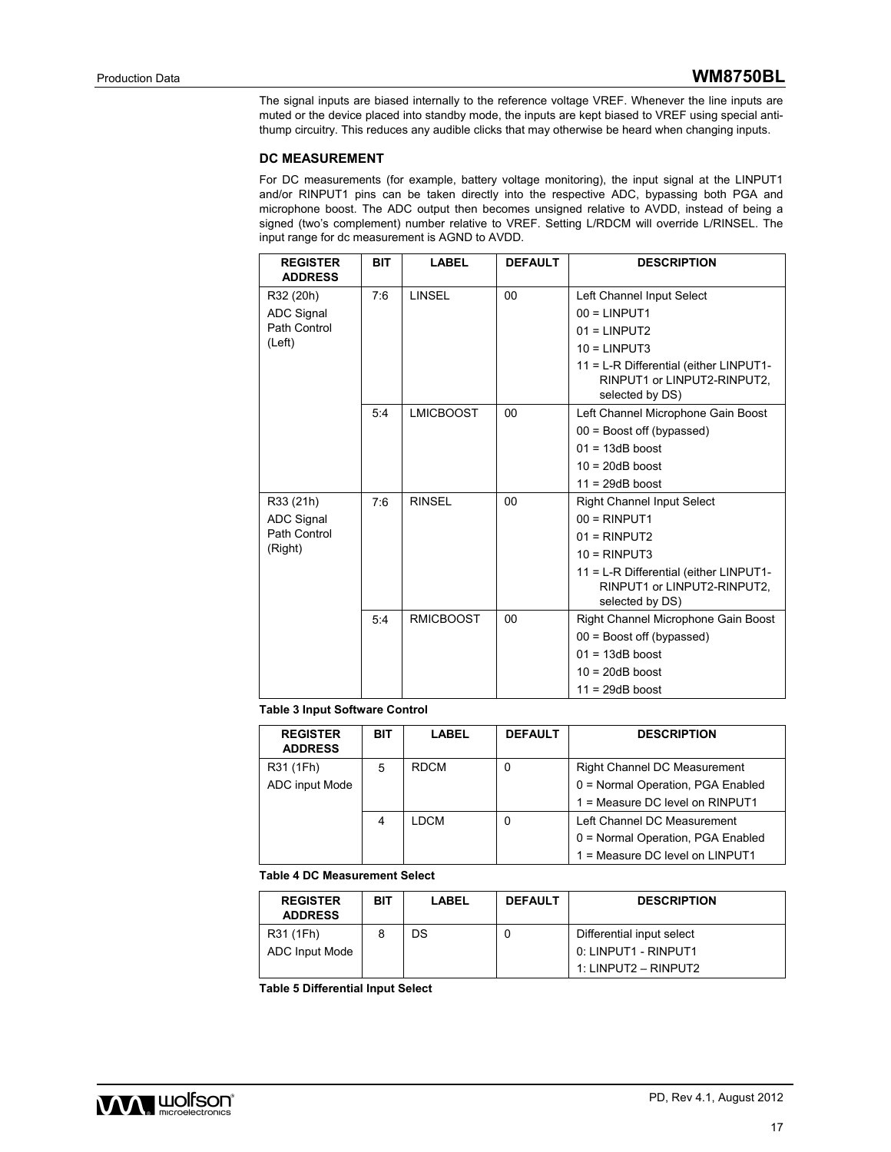The signal inputs are biased internally to the reference voltage VREF. Whenever the line inputs are muted or the device placed into standby mode, the inputs are kept biased to VREF using special antithump circuitry. This reduces any audible clicks that may otherwise be heard when changing inputs.

#### **DC MEASUREMENT**

For DC measurements (for example, battery voltage monitoring), the input signal at the LINPUT1 and/or RINPUT1 pins can be taken directly into the respective ADC, bypassing both PGA and microphone boost. The ADC output then becomes unsigned relative to AVDD, instead of being a signed (two's complement) number relative to VREF. Setting L/RDCM will override L/RINSEL. The input range for dc measurement is AGND to AVDD.

| <b>REGISTER</b><br><b>ADDRESS</b> | <b>BIT</b> | <b>LABEL</b>     | <b>DEFAULT</b> | <b>DESCRIPTION</b>                                                                       |
|-----------------------------------|------------|------------------|----------------|------------------------------------------------------------------------------------------|
| R32 (20h)                         | 7:6        | <b>LINSEL</b>    | 00             | Left Channel Input Select                                                                |
| <b>ADC Signal</b>                 |            |                  |                | $00 = LINPUT1$                                                                           |
| Path Control                      |            |                  |                | $01 = LINPUT2$                                                                           |
| (Left)                            |            |                  |                | $10 = LINPUT3$                                                                           |
|                                   |            |                  |                | 11 = L-R Differential (either LINPUT1-<br>RINPUT1 or LINPUT2-RINPUT2,<br>selected by DS) |
|                                   | 5:4        | <b>LMICBOOST</b> | 00             | Left Channel Microphone Gain Boost                                                       |
|                                   |            |                  |                | $00 =$ Boost off (bypassed)                                                              |
|                                   |            |                  |                | $01 = 13dB$ boost                                                                        |
|                                   |            |                  |                | $10 = 20dB$ boost                                                                        |
|                                   |            |                  |                | $11 = 29dB$ boost                                                                        |
| R33 (21h)                         | 7.6        | <b>RINSEL</b>    | 00             | <b>Right Channel Input Select</b>                                                        |
| <b>ADC Signal</b>                 |            |                  |                | $00 = RINPUT1$                                                                           |
| Path Control                      |            |                  |                | $01 = RINPUT2$                                                                           |
| (Right)                           |            |                  |                | $10 = RINPUT3$                                                                           |
|                                   |            |                  |                | 11 = L-R Differential (either LINPUT1-<br>RINPUT1 or LINPUT2-RINPUT2,<br>selected by DS) |
|                                   | 5:4        | <b>RMICBOOST</b> | 00             | Right Channel Microphone Gain Boost                                                      |
|                                   |            |                  |                | $00 =$ Boost off (bypassed)                                                              |
|                                   |            |                  |                | $01 = 13dB$ boost                                                                        |
|                                   |            |                  |                | $10 = 20dB$ boost                                                                        |
|                                   |            |                  |                | $11 = 29dB$ boost                                                                        |

#### **Table 3 Input Software Control**

| <b>REGISTER</b><br><b>ADDRESS</b> | <b>BIT</b> | LABEL       | <b>DEFAULT</b> | <b>DESCRIPTION</b>                  |
|-----------------------------------|------------|-------------|----------------|-------------------------------------|
| R31 (1Fh)                         | 5          | <b>RDCM</b> | 0              | <b>Right Channel DC Measurement</b> |
| ADC input Mode                    |            |             |                | 0 = Normal Operation, PGA Enabled   |
|                                   |            |             |                | 1 = Measure DC level on RINPUT1     |
|                                   | 4          | LDCM        | 0              | Left Channel DC Measurement         |
|                                   |            |             |                | 0 = Normal Operation, PGA Enabled   |
|                                   |            |             |                | 1 = Measure DC level on LINPUT1     |

#### **Table 4 DC Measurement Select**

| <b>REGISTER</b><br><b>ADDRESS</b> | BIT | <b>LABEL</b> | <b>DEFAULT</b> | <b>DESCRIPTION</b>        |
|-----------------------------------|-----|--------------|----------------|---------------------------|
| R31 (1Fh)                         |     | DS           |                | Differential input select |
| ADC Input Mode                    |     |              |                | 0: LINPUT1 - RINPUT1      |
|                                   |     |              |                | 1: LINPUT2 - RINPUT2      |

**Table 5 Differential Input Select**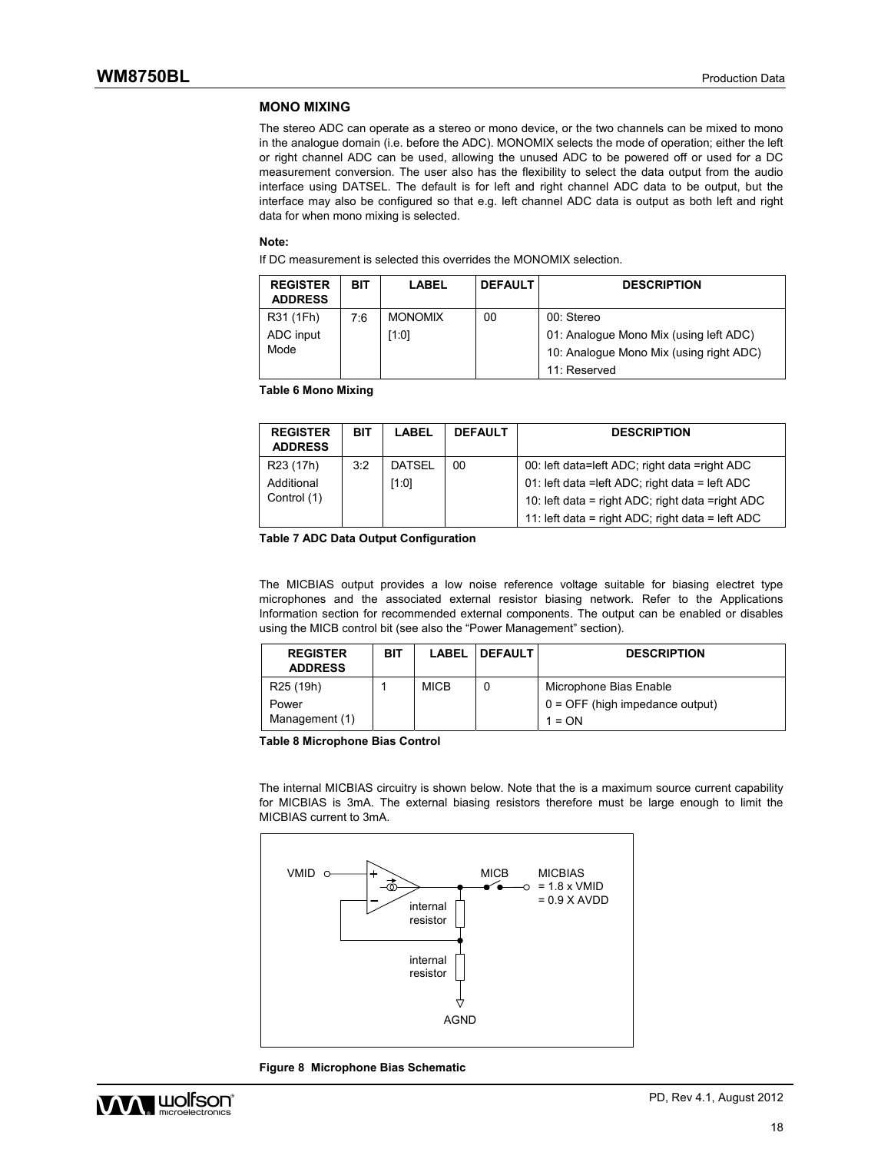### **MONO MIXING**

The stereo ADC can operate as a stereo or mono device, or the two channels can be mixed to mono in the analogue domain (i.e. before the ADC). MONOMIX selects the mode of operation; either the left or right channel ADC can be used, allowing the unused ADC to be powered off or used for a DC measurement conversion. The user also has the flexibility to select the data output from the audio interface using DATSEL. The default is for left and right channel ADC data to be output, but the interface may also be configured so that e.g. left channel ADC data is output as both left and right data for when mono mixing is selected.

#### **Note:**

If DC measurement is selected this overrides the MONOMIX selection.

| <b>REGISTER</b><br><b>ADDRESS</b> | <b>BIT</b> | <b>LABEL</b>   | <b>DEFAULT</b> | <b>DESCRIPTION</b>                      |
|-----------------------------------|------------|----------------|----------------|-----------------------------------------|
| R31 (1Fh)                         | 7:6        | <b>MONOMIX</b> | 00             | 00: Stereo                              |
| ADC input                         |            | [1:0]          |                | 01: Analogue Mono Mix (using left ADC)  |
| Mode                              |            |                |                | 10: Analogue Mono Mix (using right ADC) |
|                                   |            |                |                | 11: Reserved                            |

**Table 6 Mono Mixing** 

| <b>REGISTER</b><br><b>ADDRESS</b>                  | <b>BIT</b> | LABEL                 | <b>DEFAULT</b> | <b>DESCRIPTION</b>                                                                                                                                    |
|----------------------------------------------------|------------|-----------------------|----------------|-------------------------------------------------------------------------------------------------------------------------------------------------------|
| R <sub>23</sub> (17h)<br>Additional<br>Control (1) | 3:2        | <b>DATSEL</b><br>1:01 | 00             | 00: left data=left ADC; right data =right ADC<br>01: left data = left ADC; right data = left ADC<br>10: left data = right ADC; right data = right ADC |
|                                                    |            |                       |                | 11: left data = right ADC; right data = left ADC                                                                                                      |

**Table 7 ADC Data Output Configuration** 

The MICBIAS output provides a low noise reference voltage suitable for biasing electret type microphones and the associated external resistor biasing network. Refer to the Applications Information section for recommended external components. The output can be enabled or disables using the MICB control bit (see also the "Power Management" section).

| <b>REGISTER</b><br><b>ADDRESS</b> | <b>BIT</b> | <b>LABEL</b> | <b>DEFAULT</b> | <b>DESCRIPTION</b>                |
|-----------------------------------|------------|--------------|----------------|-----------------------------------|
| R <sub>25</sub> (19h)             |            | <b>MICB</b>  | 0              | Microphone Bias Enable            |
| Power                             |            |              |                | $0 =$ OFF (high impedance output) |
| Management (1)                    |            |              |                | $1 = ON$                          |

**Table 8 Microphone Bias Control** 

The internal MICBIAS circuitry is shown below. Note that the is a maximum source current capability for MICBIAS is 3mA. The external biasing resistors therefore must be large enough to limit the MICBIAS current to 3mA.



**Figure 8 Microphone Bias Schematic** 

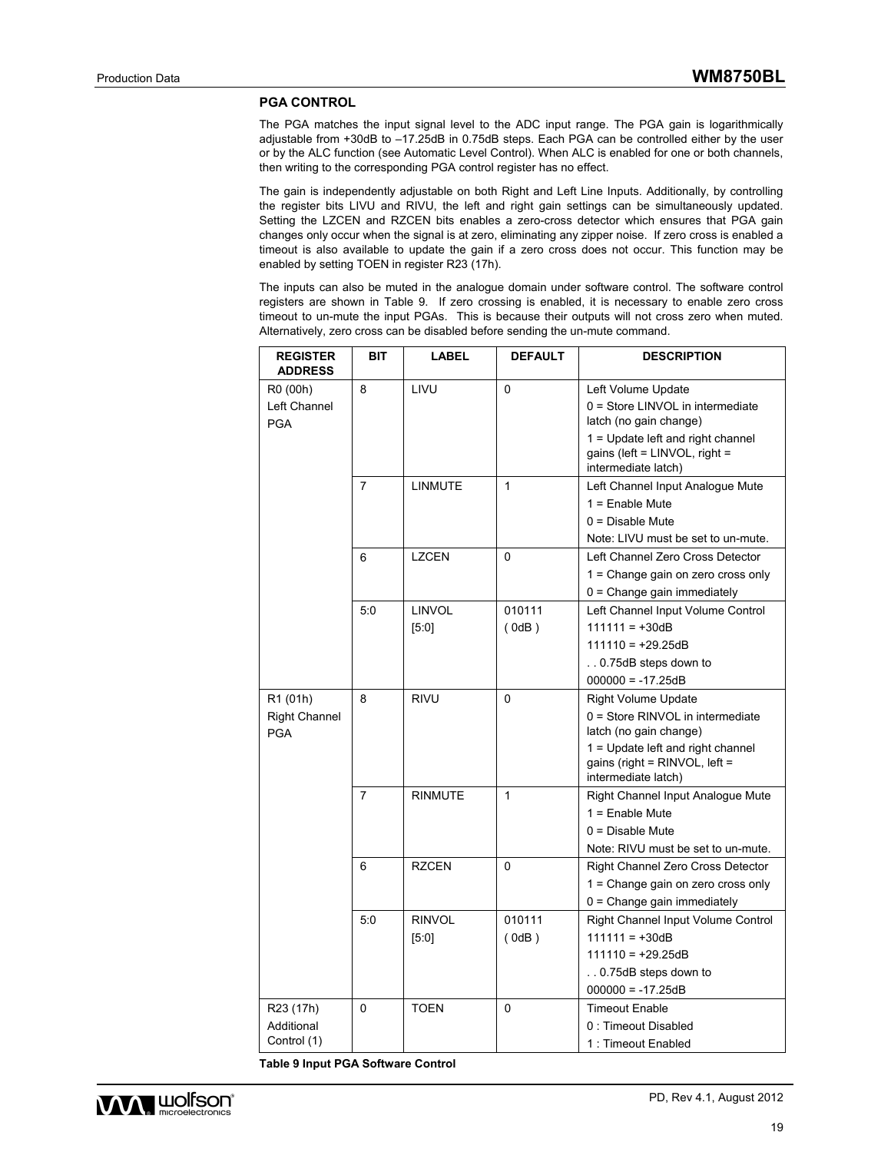#### **PGA CONTROL**

The PGA matches the input signal level to the ADC input range. The PGA gain is logarithmically adjustable from +30dB to –17.25dB in 0.75dB steps. Each PGA can be controlled either by the user or by the ALC function (see Automatic Level Control). When ALC is enabled for one or both channels, then writing to the corresponding PGA control register has no effect.

The gain is independently adjustable on both Right and Left Line Inputs. Additionally, by controlling the register bits LIVU and RIVU, the left and right gain settings can be simultaneously updated. Setting the LZCEN and RZCEN bits enables a zero-cross detector which ensures that PGA gain changes only occur when the signal is at zero, eliminating any zipper noise. If zero cross is enabled a timeout is also available to update the gain if a zero cross does not occur. This function may be enabled by setting TOEN in register R23 (17h).

The inputs can also be muted in the analogue domain under software control. The software control registers are shown in Table 9. If zero crossing is enabled, it is necessary to enable zero cross timeout to un-mute the input PGAs. This is because their outputs will not cross zero when muted. Alternatively, zero cross can be disabled before sending the un-mute command.

| <b>REGISTER</b><br><b>ADDRESS</b>      | BIT            | <b>LABEL</b>   | <b>DEFAULT</b> | <b>DESCRIPTION</b>                                                                          |
|----------------------------------------|----------------|----------------|----------------|---------------------------------------------------------------------------------------------|
| R0 (00h)<br>Left Channel<br><b>PGA</b> | 8              | LIVU           | 0              | Left Volume Update<br>$0 =$ Store LINVOL in intermediate<br>latch (no gain change)          |
|                                        |                |                |                | $1 =$ Update left and right channel<br>gains (left = LINVOL, right =<br>intermediate latch) |
|                                        | 7              | <b>LINMUTE</b> | $\mathbf{1}$   | Left Channel Input Analogue Mute<br>$1 =$ Enable Mute                                       |
|                                        |                |                |                | $0 = Disable$ Mute                                                                          |
|                                        |                |                |                | Note: LIVU must be set to un-mute.                                                          |
|                                        | 6              | <b>LZCEN</b>   | $\Omega$       | Left Channel Zero Cross Detector                                                            |
|                                        |                |                |                | 1 = Change gain on zero cross only                                                          |
|                                        |                |                |                | $0 =$ Change gain immediately                                                               |
|                                        | 5:0            | <b>LINVOL</b>  | 010111         | Left Channel Input Volume Control                                                           |
|                                        |                | [5:0]          | (0dB)          | $111111 = +30dB$                                                                            |
|                                        |                |                |                | $111110 = +29.25dB$                                                                         |
|                                        |                |                |                | 0.75dB steps down to<br>$000000 = -17.25dB$                                                 |
| R1 (01h)                               | 8              | <b>RIVU</b>    | 0              | <b>Right Volume Update</b>                                                                  |
| <b>Right Channel</b>                   |                |                |                | 0 = Store RINVOL in intermediate                                                            |
| <b>PGA</b>                             |                |                |                | latch (no gain change)                                                                      |
|                                        |                |                |                | $1 =$ Update left and right channel<br>gains (right = RINVOL, left =<br>intermediate latch) |
|                                        | $\overline{7}$ | <b>RINMUTE</b> | $\mathbf{1}$   | Right Channel Input Analogue Mute                                                           |
|                                        |                |                |                | $1 =$ Enable Mute                                                                           |
|                                        |                |                |                | $0 = Disable$ Mute                                                                          |
|                                        |                |                |                | Note: RIVU must be set to un-mute.                                                          |
|                                        | 6              | <b>RZCEN</b>   | $\Omega$       | Right Channel Zero Cross Detector                                                           |
|                                        |                |                |                | 1 = Change gain on zero cross only                                                          |
|                                        |                |                |                | $0 =$ Change gain immediately                                                               |
|                                        | 5:0            | <b>RINVOL</b>  | 010111         | Right Channel Input Volume Control                                                          |
|                                        |                | [5:0]          | (0dB)          | $111111 = +30dB$                                                                            |
|                                        |                |                |                | $111110 = +29.25dB$                                                                         |
|                                        |                |                |                | 0.75dB steps down to                                                                        |
|                                        |                |                |                | $000000 = -17.25dB$                                                                         |
| R23 (17h)<br>Additional                | 0              | TOEN           | 0              | <b>Timeout Enable</b><br>0 : Timeout Disabled                                               |
| Control (1)                            |                |                |                | 1: Timeout Enabled                                                                          |
|                                        |                |                |                |                                                                                             |

**Table 9 Input PGA Software Control** 

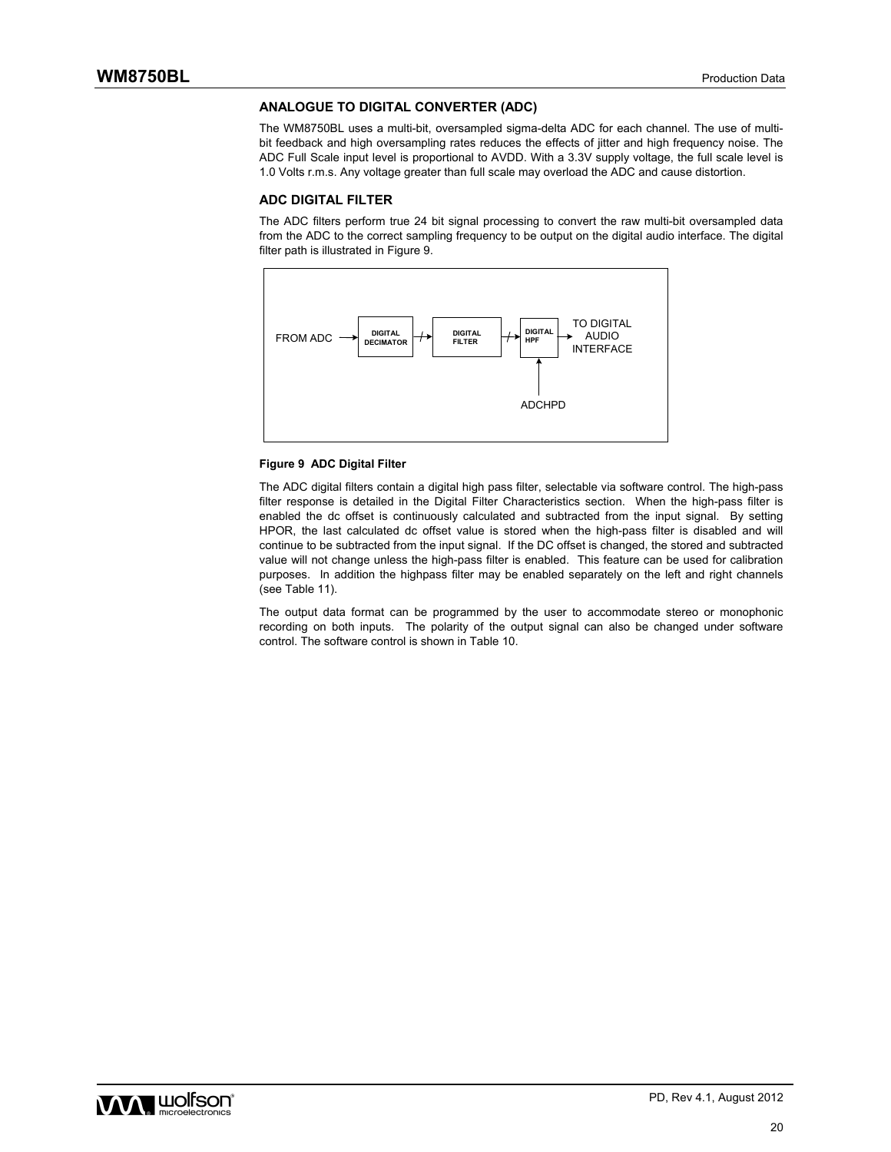#### **ANALOGUE TO DIGITAL CONVERTER (ADC)**

The WM8750BL uses a multi-bit, oversampled sigma-delta ADC for each channel. The use of multibit feedback and high oversampling rates reduces the effects of jitter and high frequency noise. The ADC Full Scale input level is proportional to AVDD. With a 3.3V supply voltage, the full scale level is 1.0 Volts r.m.s. Any voltage greater than full scale may overload the ADC and cause distortion.

#### **ADC DIGITAL FILTER**

The ADC filters perform true 24 bit signal processing to convert the raw multi-bit oversampled data from the ADC to the correct sampling frequency to be output on the digital audio interface. The digital filter path is illustrated in Figure 9.



#### **Figure 9 ADC Digital Filter**

The ADC digital filters contain a digital high pass filter, selectable via software control. The high-pass filter response is detailed in the Digital Filter Characteristics section. When the high-pass filter is enabled the dc offset is continuously calculated and subtracted from the input signal. By setting HPOR, the last calculated dc offset value is stored when the high-pass filter is disabled and will continue to be subtracted from the input signal. If the DC offset is changed, the stored and subtracted value will not change unless the high-pass filter is enabled. This feature can be used for calibration purposes. In addition the highpass filter may be enabled separately on the left and right channels (see Table 11).

The output data format can be programmed by the user to accommodate stereo or monophonic recording on both inputs. The polarity of the output signal can also be changed under software control. The software control is shown in Table 10.

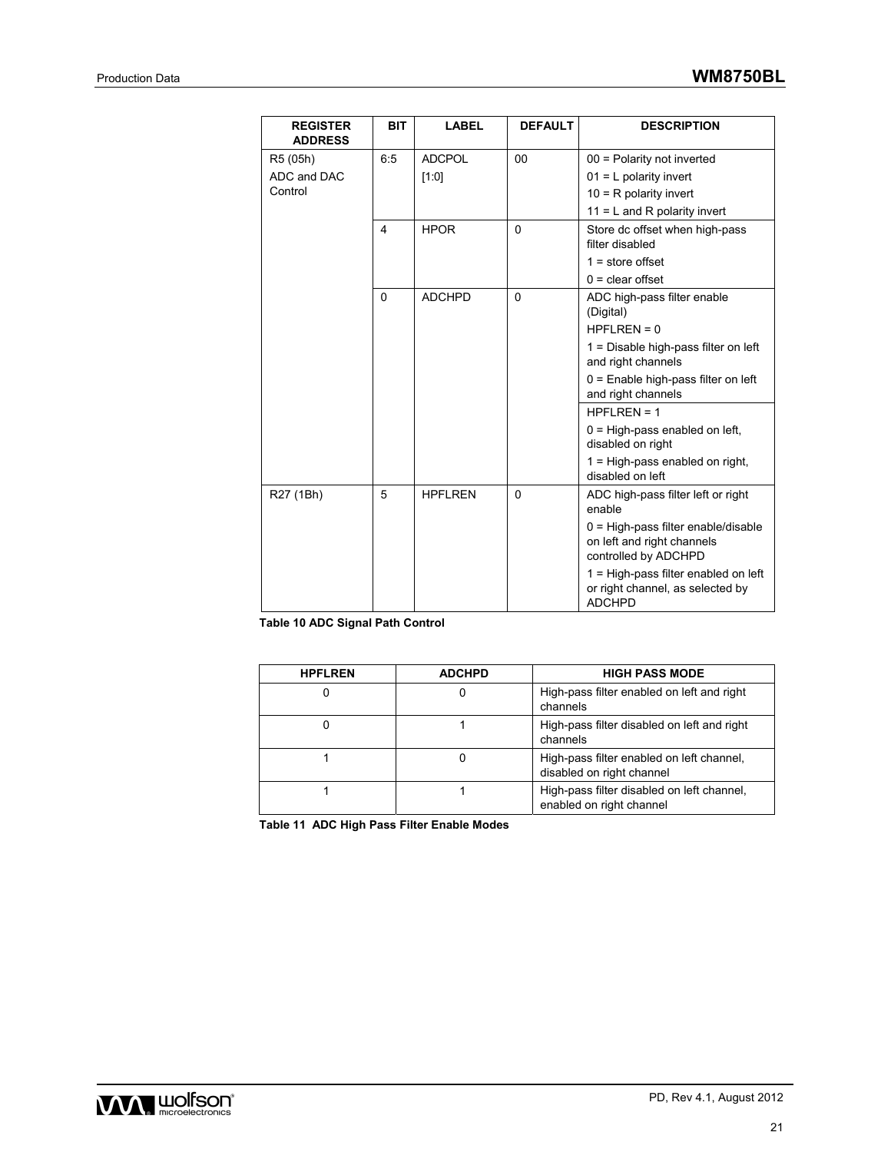| <b>REGISTER</b><br><b>ADDRESS</b> | <b>BIT</b> | <b>LABEL</b>   | <b>DEFAULT</b> | <b>DESCRIPTION</b>                                                                          |
|-----------------------------------|------------|----------------|----------------|---------------------------------------------------------------------------------------------|
| R5 (05h)                          | 6:5        | <b>ADCPOL</b>  | 00             | 00 = Polarity not inverted                                                                  |
| ADC and DAC                       |            | [1:0]          |                | $01 = L$ polarity invert                                                                    |
| Control                           |            |                |                | $10 = R$ polarity invert                                                                    |
|                                   |            |                |                | $11 = L$ and R polarity invert                                                              |
|                                   | 4          | <b>HPOR</b>    | $\mathbf{0}$   | Store dc offset when high-pass<br>filter disabled                                           |
|                                   |            |                |                | $1 = store offset$                                                                          |
|                                   |            |                |                | $0 =$ clear offset                                                                          |
|                                   | $\Omega$   | <b>ADCHPD</b>  | $\Omega$       | ADC high-pass filter enable<br>(Digital)                                                    |
|                                   |            |                |                | $HPFLREN = 0$                                                                               |
|                                   |            |                |                | 1 = Disable high-pass filter on left<br>and right channels                                  |
|                                   |            |                |                | $0 =$ Enable high-pass filter on left<br>and right channels                                 |
|                                   |            |                |                | $HPFLREN = 1$                                                                               |
|                                   |            |                |                | $0 = High-pass enabled on left,$<br>disabled on right                                       |
|                                   |            |                |                | 1 = High-pass enabled on right,<br>disabled on left                                         |
| R27 (1Bh)                         | 5          | <b>HPFLREN</b> | $\Omega$       | ADC high-pass filter left or right<br>enable                                                |
|                                   |            |                |                | $0 = High-pass filter enable/disable$<br>on left and right channels<br>controlled by ADCHPD |
|                                   |            |                |                | 1 = High-pass filter enabled on left<br>or right channel, as selected by<br><b>ADCHPD</b>   |

**Table 10 ADC Signal Path Control** 

| <b>HPFLREN</b> | <b>ADCHPD</b> | <b>HIGH PASS MODE</b>                                                  |
|----------------|---------------|------------------------------------------------------------------------|
|                |               | High-pass filter enabled on left and right<br>channels                 |
|                |               | High-pass filter disabled on left and right<br>channels                |
|                |               | High-pass filter enabled on left channel,<br>disabled on right channel |
|                |               | High-pass filter disabled on left channel,<br>enabled on right channel |

**Table 11 ADC High Pass Filter Enable Modes** 

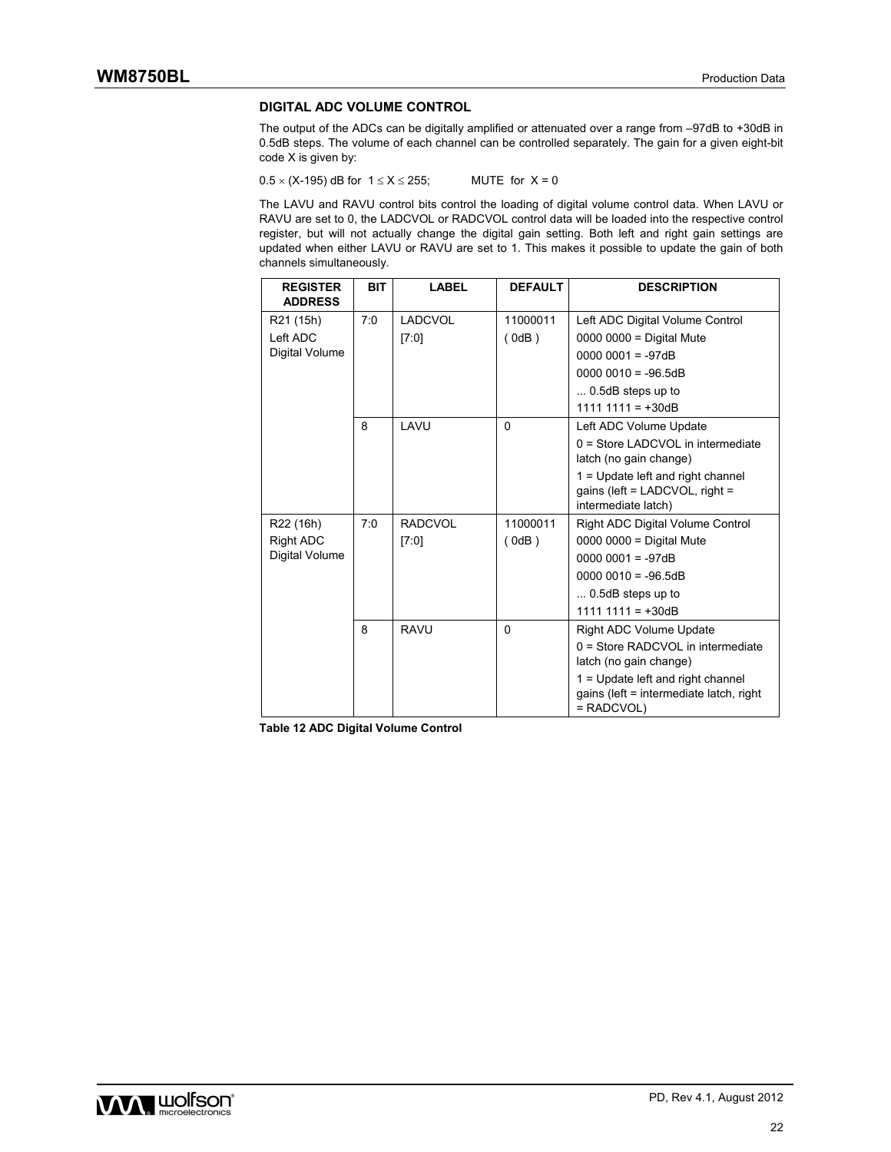### **DIGITAL ADC VOLUME CONTROL**

The output of the ADCs can be digitally amplified or attenuated over a range from –97dB to +30dB in 0.5dB steps. The volume of each channel can be controlled separately. The gain for a given eight-bit code X is given by:

 $0.5 \times (X-195)$  dB for  $1 \le X \le 255$ ; MUTE for  $X = 0$ 

The LAVU and RAVU control bits control the loading of digital volume control data. When LAVU or RAVU are set to 0, the LADCVOL or RADCVOL control data will be loaded into the respective control register, but will not actually change the digital gain setting. Both left and right gain settings are updated when either LAVU or RAVU are set to 1. This makes it possible to update the gain of both channels simultaneously.

| <b>REGISTER</b><br><b>ADDRESS</b>  | <b>BIT</b> | <b>LABEL</b>   | <b>DEFAULT</b> | <b>DESCRIPTION</b>                                                                           |
|------------------------------------|------------|----------------|----------------|----------------------------------------------------------------------------------------------|
| R21 (15h)                          | 7:0        | <b>LADCVOL</b> | 11000011       | Left ADC Digital Volume Control                                                              |
| Left ADC                           |            | [7:0]          | (0dB)          | $0000 0000 =$ Digital Mute                                                                   |
| Digital Volume                     |            |                |                | $00000001 = -97dB$                                                                           |
|                                    |            |                |                | $00000010 = -96.5dB$                                                                         |
|                                    |            |                |                | $\dots$ 0.5dB steps up to                                                                    |
|                                    |            |                |                | $1111 1111 = +30dB$                                                                          |
|                                    | 8          | LAVU           | $\Omega$       | Left ADC Volume Update                                                                       |
|                                    |            |                |                | $0 =$ Store LADCVOL in intermediate<br>latch (no gain change)                                |
|                                    |            |                |                | 1 = Update left and right channel                                                            |
|                                    |            |                |                | gains (left = $LADCVOL$ , right =                                                            |
|                                    | 7:0        | <b>RADCVOL</b> | 11000011       | intermediate latch)                                                                          |
| R22 (16h)                          |            |                |                | Right ADC Digital Volume Control                                                             |
| <b>Right ADC</b><br>Digital Volume |            | [7:0]          | (0dB)          | $0000 0000 =$ Digital Mute<br>$00000001 = -97dB$                                             |
|                                    |            |                |                | $00000010 = -96.5dB$                                                                         |
|                                    |            |                |                | $\dots$ 0.5dB steps up to                                                                    |
|                                    |            |                |                | $1111 1111 = +30dB$                                                                          |
|                                    | 8          | <b>RAVU</b>    | $\Omega$       | <b>Right ADC Volume Update</b>                                                               |
|                                    |            |                |                | 0 = Store RADCVOL in intermediate                                                            |
|                                    |            |                |                | latch (no gain change)                                                                       |
|                                    |            |                |                | 1 = Update left and right channel<br>gains (left = intermediate latch, right<br>$=$ RADCVOL) |

**Table 12 ADC Digital Volume Control** 

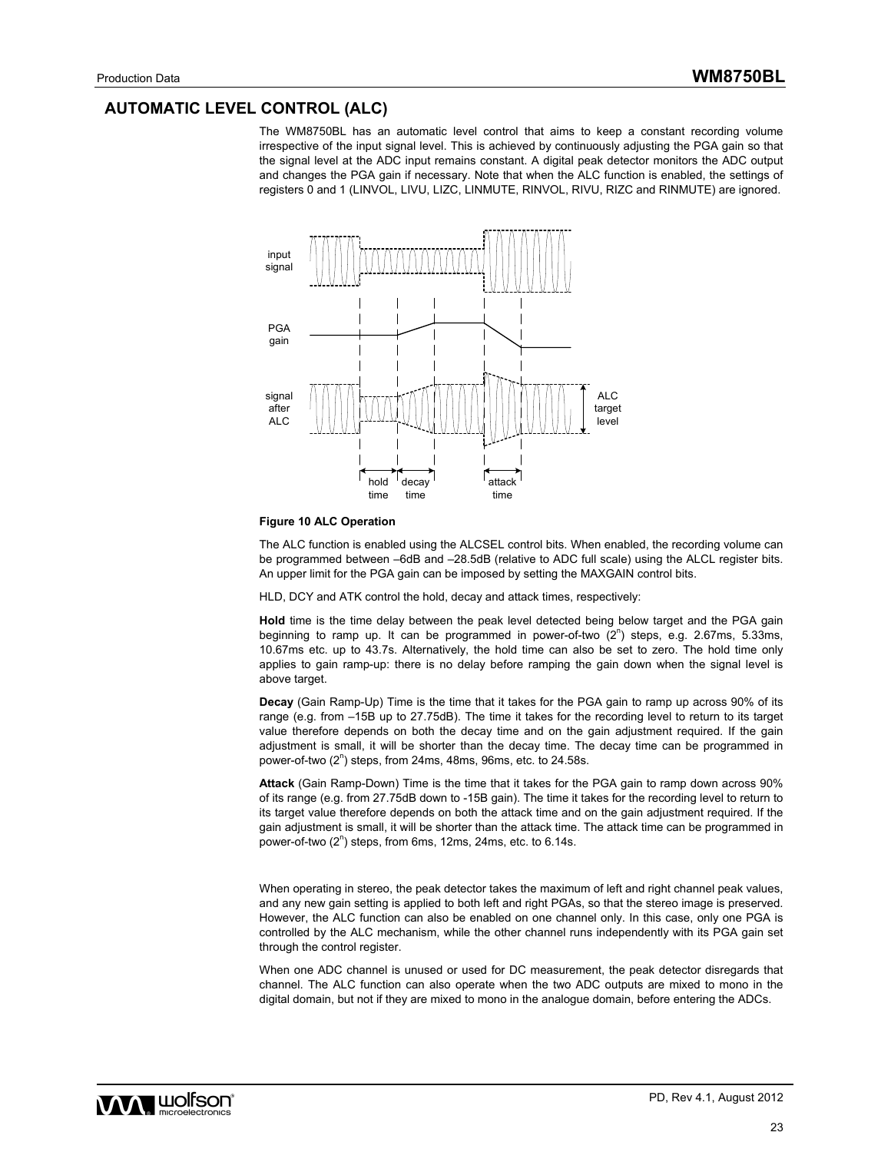### **AUTOMATIC LEVEL CONTROL (ALC)**

The WM8750BL has an automatic level control that aims to keep a constant recording volume irrespective of the input signal level. This is achieved by continuously adjusting the PGA gain so that the signal level at the ADC input remains constant. A digital peak detector monitors the ADC output and changes the PGA gain if necessary. Note that when the ALC function is enabled, the settings of registers 0 and 1 (LINVOL, LIVU, LIZC, LINMUTE, RINVOL, RIVU, RIZC and RINMUTE) are ignored.



#### **Figure 10 ALC Operation**

The ALC function is enabled using the ALCSEL control bits. When enabled, the recording volume can be programmed between –6dB and –28.5dB (relative to ADC full scale) using the ALCL register bits. An upper limit for the PGA gain can be imposed by setting the MAXGAIN control bits.

HLD, DCY and ATK control the hold, decay and attack times, respectively:

**Hold** time is the time delay between the peak level detected being below target and the PGA gain beginning to ramp up. It can be programmed in power-of-two  $(2^n)$  steps, e.g. 2.67ms, 5.33ms, 10.67ms etc. up to 43.7s. Alternatively, the hold time can also be set to zero. The hold time only applies to gain ramp-up: there is no delay before ramping the gain down when the signal level is above target.

**Decay** (Gain Ramp-Up) Time is the time that it takes for the PGA gain to ramp up across 90% of its range (e.g. from –15B up to 27.75dB). The time it takes for the recording level to return to its target value therefore depends on both the decay time and on the gain adjustment required. If the gain adjustment is small, it will be shorter than the decay time. The decay time can be programmed in power-of-two (2<sup>n</sup>) steps, from 24ms, 48ms, 96ms, etc. to 24.58s.

**Attack** (Gain Ramp-Down) Time is the time that it takes for the PGA gain to ramp down across 90% of its range (e.g. from 27.75dB down to -15B gain). The time it takes for the recording level to return to its target value therefore depends on both the attack time and on the gain adjustment required. If the gain adjustment is small, it will be shorter than the attack time. The attack time can be programmed in power-of-two  $(2^n)$  steps, from 6ms, 12ms, 24ms, etc. to 6.14s.

When operating in stereo, the peak detector takes the maximum of left and right channel peak values, and any new gain setting is applied to both left and right PGAs, so that the stereo image is preserved. However, the ALC function can also be enabled on one channel only. In this case, only one PGA is controlled by the ALC mechanism, while the other channel runs independently with its PGA gain set through the control register.

When one ADC channel is unused or used for DC measurement, the peak detector disregards that channel. The ALC function can also operate when the two ADC outputs are mixed to mono in the digital domain, but not if they are mixed to mono in the analogue domain, before entering the ADCs.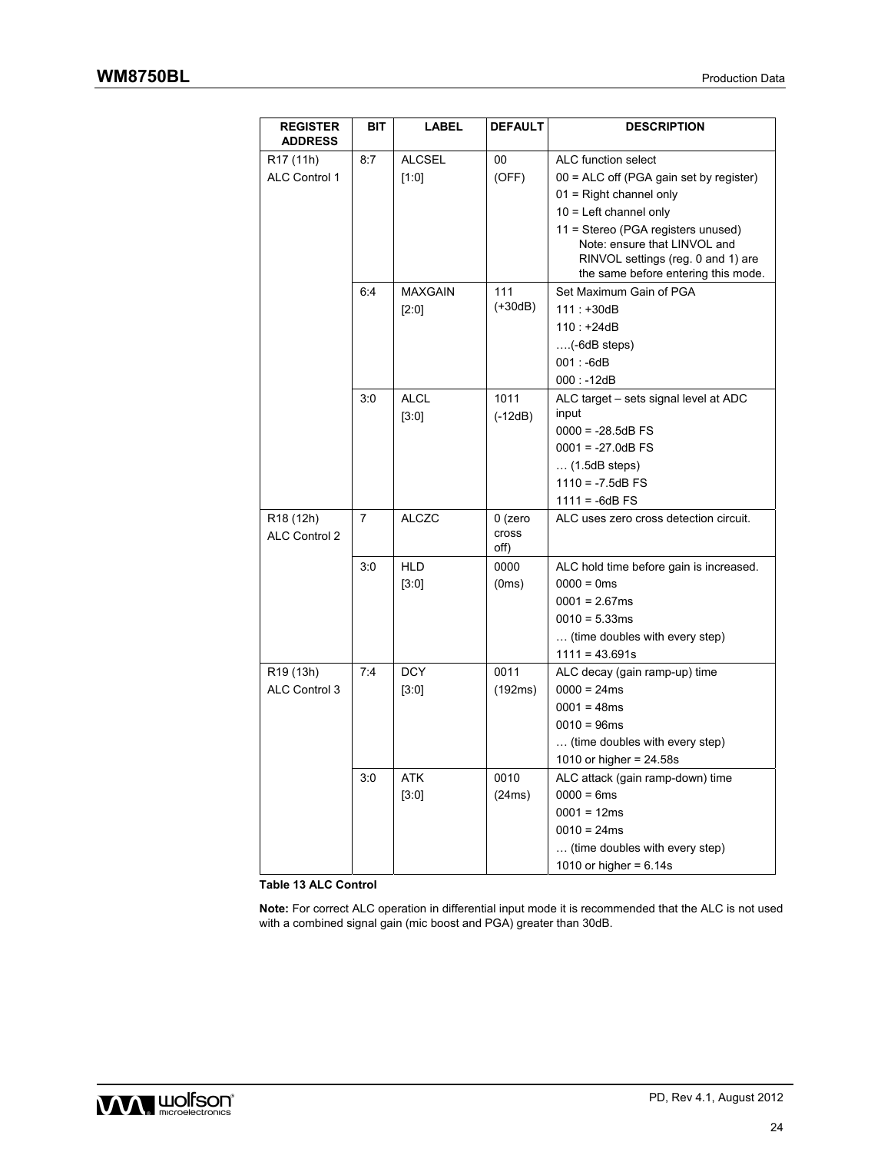| <b>REGISTER</b><br><b>ADDRESS</b>      | <b>BIT</b> | <b>LABEL</b>   | <b>DEFAULT</b>             | <b>DESCRIPTION</b>                                                                                                                              |
|----------------------------------------|------------|----------------|----------------------------|-------------------------------------------------------------------------------------------------------------------------------------------------|
| R17 (11h)                              | 8:7        | <b>ALCSEL</b>  | 00                         | ALC function select                                                                                                                             |
| <b>ALC Control 1</b>                   |            | [1:0]          | (OFF)                      | 00 = ALC off (PGA gain set by register)                                                                                                         |
|                                        |            |                |                            | $01$ = Right channel only                                                                                                                       |
|                                        |            |                |                            | $10$ = Left channel only                                                                                                                        |
|                                        |            |                |                            | 11 = Stereo (PGA registers unused)<br>Note: ensure that LINVOL and<br>RINVOL settings (reg. 0 and 1) are<br>the same before entering this mode. |
|                                        | 6:4        | <b>MAXGAIN</b> | 111                        | Set Maximum Gain of PGA                                                                                                                         |
|                                        |            | [2:0]          | $(+30dB)$                  | $111: +30dB$                                                                                                                                    |
|                                        |            |                |                            | $110: +24dB$                                                                                                                                    |
|                                        |            |                |                            | $\ldots$ (-6dB steps)                                                                                                                           |
|                                        |            |                |                            | $001: -6dB$                                                                                                                                     |
|                                        |            |                |                            | $000: -12dB$                                                                                                                                    |
|                                        | 3:0        | <b>ALCL</b>    | 1011                       | ALC target - sets signal level at ADC                                                                                                           |
|                                        |            | [3:0]          | $(-12dB)$                  | input                                                                                                                                           |
|                                        |            |                |                            | $0000 = -28.5dB$ FS                                                                                                                             |
|                                        |            |                |                            | $0001 = -27.0dB$ FS                                                                                                                             |
|                                        |            |                |                            | $\dots$ (1.5dB steps)                                                                                                                           |
|                                        |            |                |                            | $1110 = -7.5dB$ FS                                                                                                                              |
|                                        |            |                |                            | $1111 = -6dB$ FS                                                                                                                                |
| R <sub>18</sub> (12h)<br>ALC Control 2 | 7          | <b>ALCZC</b>   | $0$ (zero<br>cross<br>off) | ALC uses zero cross detection circuit.                                                                                                          |
|                                        | 3:0        | <b>HLD</b>     | 0000                       | ALC hold time before gain is increased.                                                                                                         |
|                                        |            | [3:0]          | (0ms)                      | $0000 = 0$ ms                                                                                                                                   |
|                                        |            |                |                            | $0001 = 2.67ms$                                                                                                                                 |
|                                        |            |                |                            | $0010 = 5.33ms$                                                                                                                                 |
|                                        |            |                |                            | (time doubles with every step)                                                                                                                  |
|                                        |            |                |                            | $1111 = 43.691s$                                                                                                                                |
| R <sub>19</sub> (13h)                  | 7:4        | <b>DCY</b>     | 0011                       | ALC decay (gain ramp-up) time                                                                                                                   |
| ALC Control 3                          |            | [3:0]          | (192ms)                    | $0000 = 24ms$                                                                                                                                   |
|                                        |            |                |                            | $0001 = 48ms$                                                                                                                                   |
|                                        |            |                |                            | $0010 = 96ms$                                                                                                                                   |
|                                        |            |                |                            | (time doubles with every step)                                                                                                                  |
|                                        |            |                |                            | 1010 or higher = $24.58s$                                                                                                                       |
|                                        | 3:0        | <b>ATK</b>     | 0010                       | ALC attack (gain ramp-down) time                                                                                                                |
|                                        |            | [3:0]          | (24ms)                     | $0000 = 6ms$                                                                                                                                    |
|                                        |            |                |                            | $0001 = 12ms$                                                                                                                                   |
|                                        |            |                |                            | $0010 = 24ms$                                                                                                                                   |
|                                        |            |                |                            | (time doubles with every step)                                                                                                                  |
|                                        |            |                |                            | 1010 or higher = $6.14s$                                                                                                                        |

**Table 13 ALC Control** 

**Note:** For correct ALC operation in differential input mode it is recommended that the ALC is not used with a combined signal gain (mic boost and PGA) greater than 30dB.

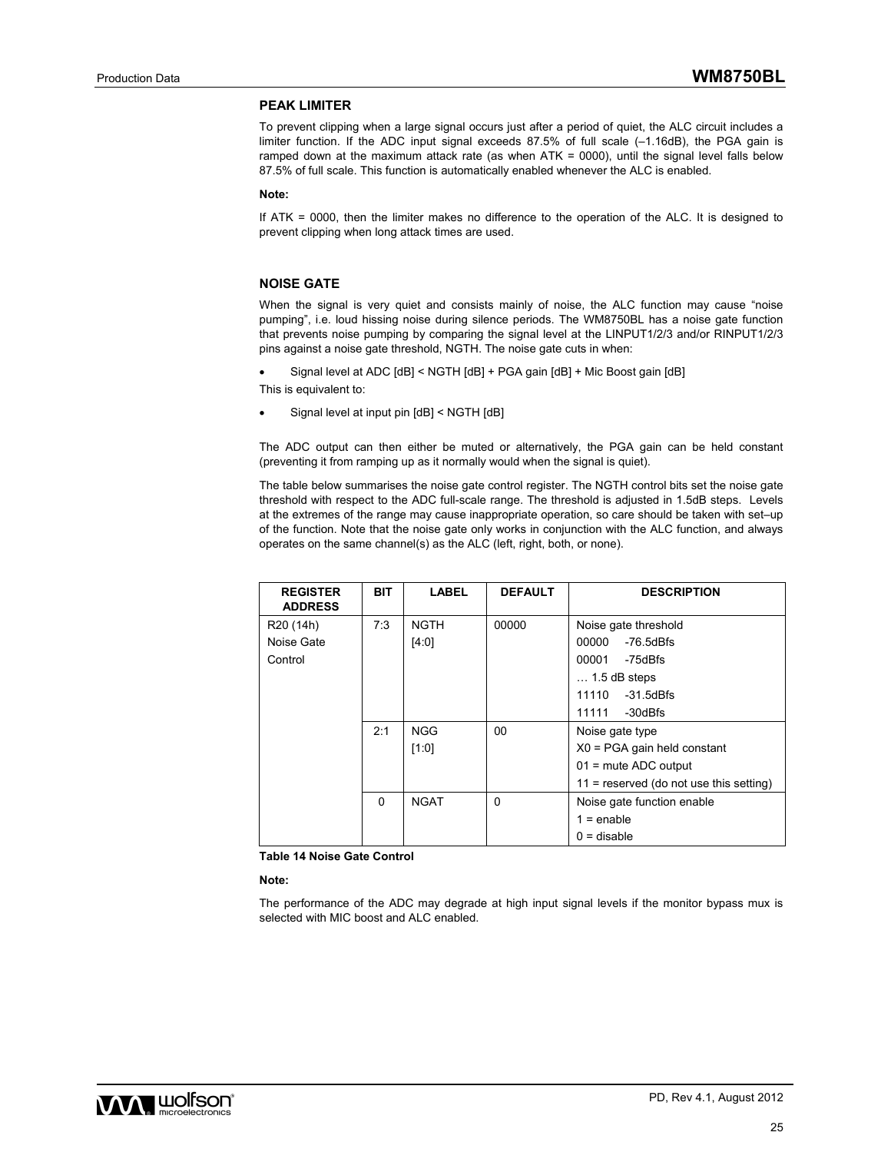#### **PEAK LIMITER**

To prevent clipping when a large signal occurs just after a period of quiet, the ALC circuit includes a limiter function. If the ADC input signal exceeds 87.5% of full scale (–1.16dB), the PGA gain is ramped down at the maximum attack rate (as when ATK = 0000), until the signal level falls below 87.5% of full scale. This function is automatically enabled whenever the ALC is enabled.

#### **Note:**

If ATK = 0000, then the limiter makes no difference to the operation of the ALC. It is designed to prevent clipping when long attack times are used.

#### **NOISE GATE**

When the signal is very quiet and consists mainly of noise, the ALC function may cause "noise pumping", i.e. loud hissing noise during silence periods. The WM8750BL has a noise gate function that prevents noise pumping by comparing the signal level at the LINPUT1/2/3 and/or RINPUT1/2/3 pins against a noise gate threshold, NGTH. The noise gate cuts in when:

Signal level at ADC [dB] < NGTH [dB] + PGA gain [dB] + Mic Boost gain [dB]

This is equivalent to:

Signal level at input pin [dB] < NGTH [dB]

The ADC output can then either be muted or alternatively, the PGA gain can be held constant (preventing it from ramping up as it normally would when the signal is quiet).

The table below summarises the noise gate control register. The NGTH control bits set the noise gate threshold with respect to the ADC full-scale range. The threshold is adjusted in 1.5dB steps. Levels at the extremes of the range may cause inappropriate operation, so care should be taken with set–up of the function. Note that the noise gate only works in conjunction with the ALC function, and always operates on the same channel(s) as the ALC (left, right, both, or none).

| <b>REGISTER</b><br><b>ADDRESS</b> | <b>BIT</b> | <b>LABEL</b> | <b>DEFAULT</b> | <b>DESCRIPTION</b>                        |
|-----------------------------------|------------|--------------|----------------|-------------------------------------------|
| R <sub>20</sub> (14h)             | 7:3        | <b>NGTH</b>  | 00000          | Noise gate threshold                      |
| Noise Gate                        |            | [4:0]        |                | 00000<br>$-76.5dBfs$                      |
| Control                           |            |              |                | 00001<br>-75dBfs                          |
|                                   |            |              |                | $\dots$ 1.5 dB steps                      |
|                                   |            |              |                | -31.5dBfs<br>11110                        |
|                                   |            |              |                | 11111<br>-30dBfs                          |
|                                   | 2:1        | <b>NGG</b>   | 00             | Noise gate type                           |
|                                   |            | [1:0]        |                | $X0 = PGA$ gain held constant             |
|                                   |            |              |                | $01$ = mute ADC output                    |
|                                   |            |              |                | $11$ = reserved (do not use this setting) |
|                                   | $\Omega$   | <b>NGAT</b>  | 0              | Noise gate function enable                |
|                                   |            |              |                | $1 =$ enable                              |
|                                   |            |              |                | $0 =$ disable                             |

**Table 14 Noise Gate Control** 

#### **Note:**

The performance of the ADC may degrade at high input signal levels if the monitor bypass mux is selected with MIC boost and ALC enabled.

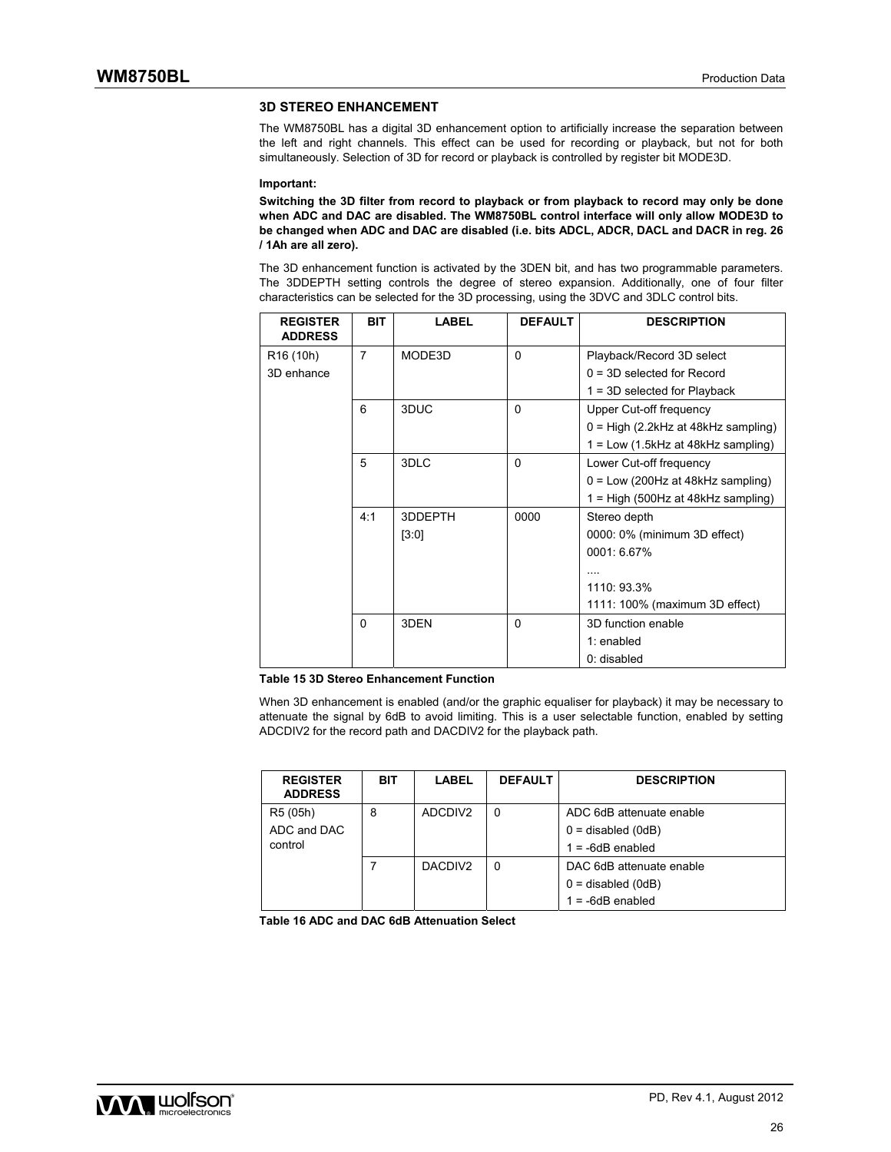#### **3D STEREO ENHANCEMENT**

The WM8750BL has a digital 3D enhancement option to artificially increase the separation between the left and right channels. This effect can be used for recording or playback, but not for both simultaneously. Selection of 3D for record or playback is controlled by register bit MODE3D.

#### **Important:**

**Switching the 3D filter from record to playback or from playback to record may only be done when ADC and DAC are disabled. The WM8750BL control interface will only allow MODE3D to be changed when ADC and DAC are disabled (i.e. bits ADCL, ADCR, DACL and DACR in reg. 26 / 1Ah are all zero).** 

The 3D enhancement function is activated by the 3DEN bit, and has two programmable parameters. The 3DDEPTH setting controls the degree of stereo expansion. Additionally, one of four filter characteristics can be selected for the 3D processing, using the 3DVC and 3DLC control bits.

| <b>REGISTER</b><br><b>ADDRESS</b> | <b>BIT</b> | <b>LABEL</b> | <b>DEFAULT</b> | <b>DESCRIPTION</b>                    |
|-----------------------------------|------------|--------------|----------------|---------------------------------------|
| R <sub>16</sub> (10h)             | 7          | MODE3D       | $\Omega$       | Playback/Record 3D select             |
| 3D enhance                        |            |              |                | $0 = 3D$ selected for Record          |
|                                   |            |              |                | $1 = 3D$ selected for Playback        |
|                                   | 6          | 3DUC         | $\Omega$       | Upper Cut-off frequency               |
|                                   |            |              |                | $0 = High (2.2kHz at 48kHz sampling)$ |
|                                   |            |              |                | $1 = Low (1.5kHz at 48kHz sampling)$  |
|                                   | 5          | 3DLC         | $\Omega$       | Lower Cut-off frequency               |
|                                   |            |              |                | $0 = Low (200Hz at 48kHz sampling)$   |
|                                   |            |              |                | 1 = High (500Hz at 48kHz sampling)    |
|                                   | 4:1        | 3DDEPTH      | 0000           | Stereo depth                          |
|                                   |            | [3:0]        |                | 0000: 0% (minimum 3D effect)          |
|                                   |            |              |                | 0001: 6.67%                           |
|                                   |            |              |                |                                       |
|                                   |            |              |                | 1110: 93.3%                           |
|                                   |            |              |                | 1111: 100% (maximum 3D effect)        |
|                                   | $\Omega$   | 3DEN         | $\Omega$       | 3D function enable                    |
|                                   |            |              |                | 1: enabled                            |
|                                   |            |              |                | 0: disabled                           |

#### **Table 15 3D Stereo Enhancement Function**

When 3D enhancement is enabled (and/or the graphic equaliser for playback) it may be necessary to attenuate the signal by 6dB to avoid limiting. This is a user selectable function, enabled by setting ADCDIV2 for the record path and DACDIV2 for the playback path.

| <b>REGISTER</b><br><b>ADDRESS</b> | <b>BIT</b> | <b>LABEL</b>        | <b>DEFAULT</b> | <b>DESCRIPTION</b>       |
|-----------------------------------|------------|---------------------|----------------|--------------------------|
| R5 (05h)                          | 8          | ADCDIV2             | 0              | ADC 6dB attenuate enable |
| ADC and DAC                       |            |                     |                | $0 =$ disabled (0dB)     |
| control                           |            |                     |                | $1 = -6dB$ enabled       |
|                                   |            | DACDIV <sub>2</sub> |                | DAC 6dB attenuate enable |
|                                   |            |                     |                | $0 =$ disabled (0dB)     |
|                                   |            |                     |                | $1 = -6dB$ enabled       |

**Table 16 ADC and DAC 6dB Attenuation Select** 

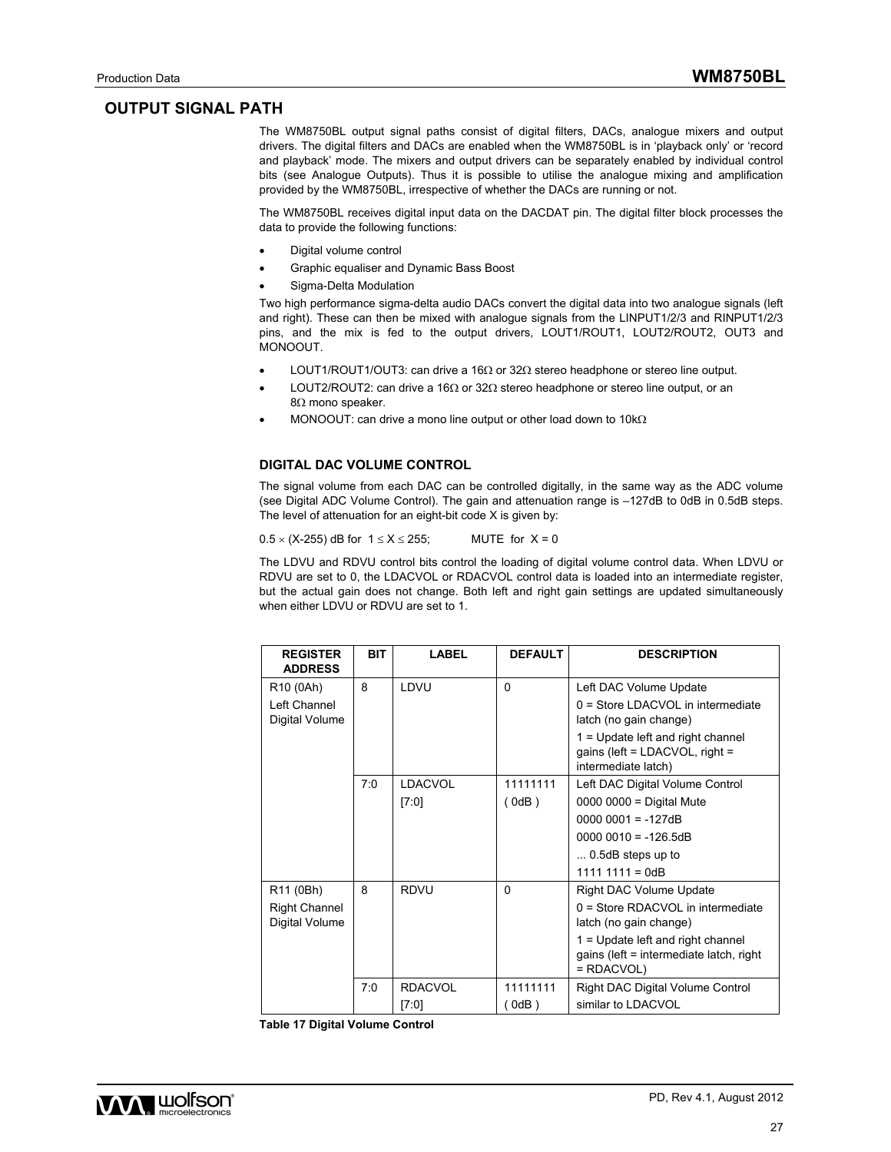### **OUTPUT SIGNAL PATH**

The WM8750BL output signal paths consist of digital filters, DACs, analogue mixers and output drivers. The digital filters and DACs are enabled when the WM8750BL is in 'playback only' or 'record and playback' mode. The mixers and output drivers can be separately enabled by individual control bits (see Analogue Outputs). Thus it is possible to utilise the analogue mixing and amplification provided by the WM8750BL, irrespective of whether the DACs are running or not.

The WM8750BL receives digital input data on the DACDAT pin. The digital filter block processes the data to provide the following functions:

- Digital volume control
- Graphic equaliser and Dynamic Bass Boost
- Sigma-Delta Modulation

Two high performance sigma-delta audio DACs convert the digital data into two analogue signals (left and right). These can then be mixed with analogue signals from the LINPUT1/2/3 and RINPUT1/2/3 pins, and the mix is fed to the output drivers, LOUT1/ROUT1, LOUT2/ROUT2, OUT3 and MONOOUT.

- LOUT1/ROUT1/OUT3: can drive a 16 $\Omega$  or 32 $\Omega$  stereo headphone or stereo line output.
- LOUT2/ROUT2: can drive a 16 $\Omega$  or 32 $\Omega$  stereo headphone or stereo line output, or an  $8\Omega$  mono speaker.
- MONOOUT: can drive a mono line output or other load down to 10k $\Omega$

#### **DIGITAL DAC VOLUME CONTROL**

The signal volume from each DAC can be controlled digitally, in the same way as the ADC volume (see Digital ADC Volume Control). The gain and attenuation range is –127dB to 0dB in 0.5dB steps. The level of attenuation for an eight-bit code X is given by:

 $0.5 \times (X-255)$  dB for  $1 \le X \le 255$ ; MUTE for  $X = 0$ 

The LDVU and RDVU control bits control the loading of digital volume control data. When LDVU or RDVU are set to 0, the LDACVOL or RDACVOL control data is loaded into an intermediate register, but the actual gain does not change. Both left and right gain settings are updated simultaneously when either LDVU or RDVU are set to 1.

| <b>REGISTER</b><br><b>ADDRESS</b>      | <b>BIT</b> | LABEL          | <b>DEFAULT</b> | <b>DESCRIPTION</b>                                                                            |
|----------------------------------------|------------|----------------|----------------|-----------------------------------------------------------------------------------------------|
| R <sub>10</sub> (0Ah)                  | 8          | LDVU           | $\Omega$       | Left DAC Volume Update                                                                        |
| Left Channel<br>Digital Volume         |            |                |                | 0 = Store LDACVOL in intermediate<br>latch (no gain change)                                   |
|                                        |            |                |                | 1 = Update left and right channel<br>gains (left = $LDACVOL$ , right =<br>intermediate latch) |
|                                        | 7:0        | <b>LDACVOL</b> | 11111111       | Left DAC Digital Volume Control                                                               |
|                                        |            | [7:0]          | (0dB)          | 0000 0000 = Digital Mute                                                                      |
|                                        |            |                |                | $00000001 = -127dB$                                                                           |
|                                        |            |                |                | $00000010 = -126.5dB$                                                                         |
|                                        |            |                |                | $\dots$ 0.5dB steps up to                                                                     |
|                                        |            |                |                | $1111 1111 = OdB$                                                                             |
| R11 (0Bh)                              | 8          | <b>RDVU</b>    | $\Omega$       | Right DAC Volume Update                                                                       |
| <b>Right Channel</b><br>Digital Volume |            |                |                | 0 = Store RDACVOL in intermediate<br>latch (no gain change)                                   |
|                                        |            |                |                | $1 =$ Update left and right channel<br>gains (left = intermediate latch, right<br>$= RDACVOL$ |
|                                        | 7:0        | <b>RDACVOL</b> | 11111111       | Right DAC Digital Volume Control                                                              |
|                                        |            | [7:0]          | (0dB)          | similar to LDACVOL                                                                            |

**Table 17 Digital Volume Control** 

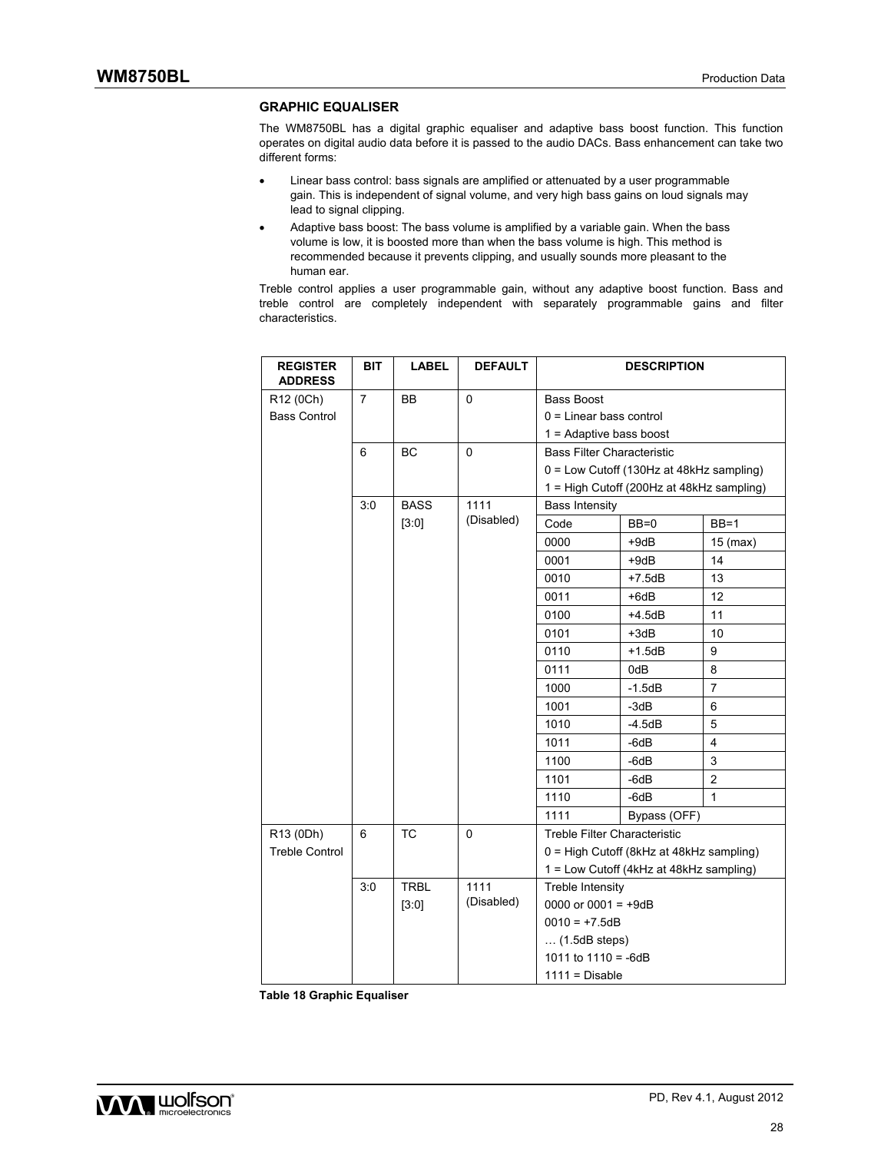#### **GRAPHIC EQUALISER**

The WM8750BL has a digital graphic equaliser and adaptive bass boost function. This function operates on digital audio data before it is passed to the audio DACs. Bass enhancement can take two different forms:

- Linear bass control: bass signals are amplified or attenuated by a user programmable gain. This is independent of signal volume, and very high bass gains on loud signals may lead to signal clipping.
- Adaptive bass boost: The bass volume is amplified by a variable gain. When the bass volume is low, it is boosted more than when the bass volume is high. This method is recommended because it prevents clipping, and usually sounds more pleasant to the human ear.

Treble control applies a user programmable gain, without any adaptive boost function. Bass and treble control are completely independent with separately programmable gains and filter characteristics.

| <b>REGISTER</b><br><b>ADDRESS</b> | <b>BIT</b>     | <b>LABEL</b> | <b>DEFAULT</b> |                                   | <b>DESCRIPTION</b>                        |                |
|-----------------------------------|----------------|--------------|----------------|-----------------------------------|-------------------------------------------|----------------|
| R12 (0Ch)                         | $\overline{7}$ | <b>BB</b>    | $\mathbf 0$    | <b>Bass Boost</b>                 |                                           |                |
| <b>Bass Control</b>               |                |              |                | $0 =$ Linear bass control         |                                           |                |
|                                   |                |              |                | $1 =$ Adaptive bass boost         |                                           |                |
|                                   | 6              | BC           | $\Omega$       | <b>Bass Filter Characteristic</b> |                                           |                |
|                                   |                |              |                |                                   | 0 = Low Cutoff (130Hz at 48kHz sampling)  |                |
|                                   |                |              |                |                                   | 1 = High Cutoff (200Hz at 48kHz sampling) |                |
|                                   | 3:0            | <b>BASS</b>  | 1111           | <b>Bass Intensity</b>             |                                           |                |
|                                   |                | [3:0]        | (Disabled)     | Code                              | $BB=0$                                    | $BB=1$         |
|                                   |                |              |                | 0000                              | $+9dB$                                    | $15$ (max)     |
|                                   |                |              |                | 0001                              | $+9dB$                                    | 14             |
|                                   |                |              |                | 0010                              | $+7.5dB$                                  | 13             |
|                                   |                |              |                | 0011                              | $+6dB$                                    | 12             |
|                                   |                |              |                | 0100                              | $+4.5dB$                                  | 11             |
|                                   |                |              |                | 0101                              | $+3dB$                                    | 10             |
|                                   |                |              |                | 0110                              | $+1.5dB$                                  | 9              |
|                                   |                |              |                | 0111                              | 0dB                                       | 8              |
|                                   |                |              |                | 1000                              | $-1.5dB$                                  | 7              |
|                                   |                |              |                | 1001                              | -3dB                                      | 6              |
|                                   |                |              |                | 1010                              | -4.5dB                                    | 5              |
|                                   |                |              |                | 1011                              | $-6dB$                                    | 4              |
|                                   |                |              |                | 1100                              | $-6dB$                                    | 3              |
|                                   |                |              |                | 1101                              | -6dB                                      | $\overline{2}$ |
|                                   |                |              |                | 1110                              | $-6dB$                                    | 1              |
|                                   |                |              |                | 1111                              | Bypass (OFF)                              |                |
| R13 (0Dh)                         | 6              | <b>TC</b>    | $\mathbf 0$    | Treble Filter Characteristic      |                                           |                |
| <b>Treble Control</b>             |                |              |                |                                   | 0 = High Cutoff (8kHz at 48kHz sampling)  |                |
|                                   |                |              |                |                                   | 1 = Low Cutoff (4kHz at 48kHz sampling)   |                |
|                                   | 3:0            | <b>TRBL</b>  | 1111           | Treble Intensity                  |                                           |                |
|                                   |                | [3:0]        | (Disabled)     | 0000 or 0001 = $+9dB$             |                                           |                |
|                                   |                |              |                | $0010 = +7.5dB$                   |                                           |                |
|                                   |                |              |                | $\dots$ (1.5dB steps)             |                                           |                |
|                                   |                |              |                | 1011 to $1110 = -6dB$             |                                           |                |
|                                   |                |              |                | $1111 = Disable$                  |                                           |                |

**Table 18 Graphic Equaliser**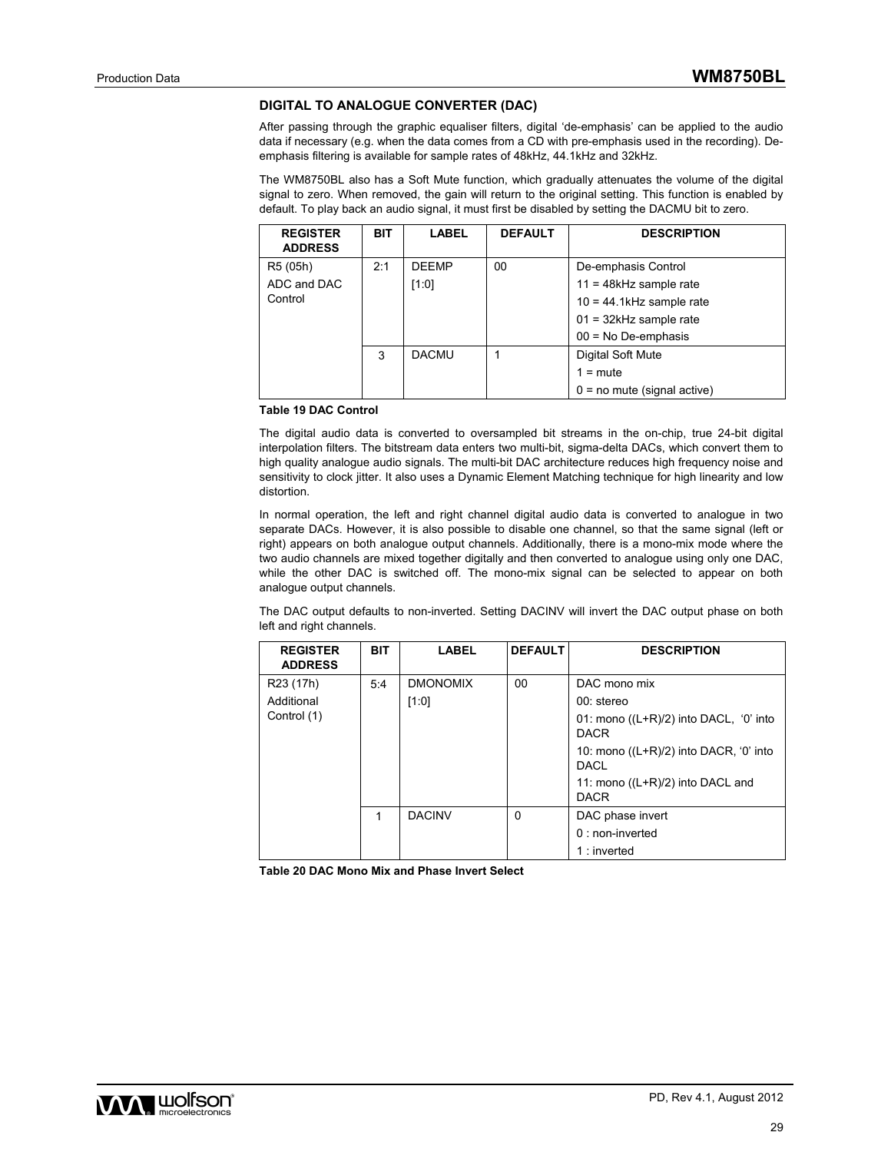### **DIGITAL TO ANALOGUE CONVERTER (DAC)**

After passing through the graphic equaliser filters, digital 'de-emphasis' can be applied to the audio data if necessary (e.g. when the data comes from a CD with pre-emphasis used in the recording). Deemphasis filtering is available for sample rates of 48kHz, 44.1kHz and 32kHz.

The WM8750BL also has a Soft Mute function, which gradually attenuates the volume of the digital signal to zero. When removed, the gain will return to the original setting. This function is enabled by default. To play back an audio signal, it must first be disabled by setting the DACMU bit to zero.

| <b>REGISTER</b><br><b>ADDRESS</b> | <b>BIT</b> | <b>LABEL</b> | <b>DEFAULT</b> | <b>DESCRIPTION</b>            |
|-----------------------------------|------------|--------------|----------------|-------------------------------|
| R5 (05h)                          | 2:1        | <b>DEEMP</b> | 00             | De-emphasis Control           |
| ADC and DAC                       |            | [1:0]        |                | $11 = 48kHz$ sample rate      |
| Control                           |            |              |                | $10 = 44.1$ kHz sample rate   |
|                                   |            |              |                | $01 = 32$ kHz sample rate     |
|                                   |            |              |                | $00 = No$ De-emphasis         |
|                                   | 3          | <b>DACMU</b> |                | Digital Soft Mute             |
|                                   |            |              |                | $1 = \text{mute}$             |
|                                   |            |              |                | $0 = no$ mute (signal active) |

#### **Table 19 DAC Control**

The digital audio data is converted to oversampled bit streams in the on-chip, true 24-bit digital interpolation filters. The bitstream data enters two multi-bit, sigma-delta DACs, which convert them to high quality analogue audio signals. The multi-bit DAC architecture reduces high frequency noise and sensitivity to clock jitter. It also uses a Dynamic Element Matching technique for high linearity and low distortion.

In normal operation, the left and right channel digital audio data is converted to analogue in two separate DACs. However, it is also possible to disable one channel, so that the same signal (left or right) appears on both analogue output channels. Additionally, there is a mono-mix mode where the two audio channels are mixed together digitally and then converted to analogue using only one DAC, while the other DAC is switched off. The mono-mix signal can be selected to appear on both analogue output channels.

The DAC output defaults to non-inverted. Setting DACINV will invert the DAC output phase on both left and right channels.

| <b>REGISTER</b><br><b>ADDRESS</b> | <b>BIT</b> | <b>LABEL</b>    | <b>DEFAULT</b> | <b>DESCRIPTION</b>                                      |
|-----------------------------------|------------|-----------------|----------------|---------------------------------------------------------|
| R <sub>23</sub> (17h)             | 5:4        | <b>DMONOMIX</b> | 00             | DAC mono mix                                            |
| Additional                        |            | [1:0]           |                | 00: stereo                                              |
| Control (1)                       |            |                 |                | 01: mono $((L+R)/2)$ into DACL, '0' into<br><b>DACR</b> |
|                                   |            |                 |                | 10: mono $((L+R)/2)$ into DACR, '0' into<br><b>DACL</b> |
|                                   |            |                 |                | 11: mono $((L+R)/2)$ into DACL and<br><b>DACR</b>       |
|                                   | 1          | <b>DACINV</b>   | 0              | DAC phase invert                                        |
|                                   |            |                 |                | $0:$ non-inverted                                       |
|                                   |            |                 |                | $1:$ inverted                                           |

**Table 20 DAC Mono Mix and Phase Invert Select** 

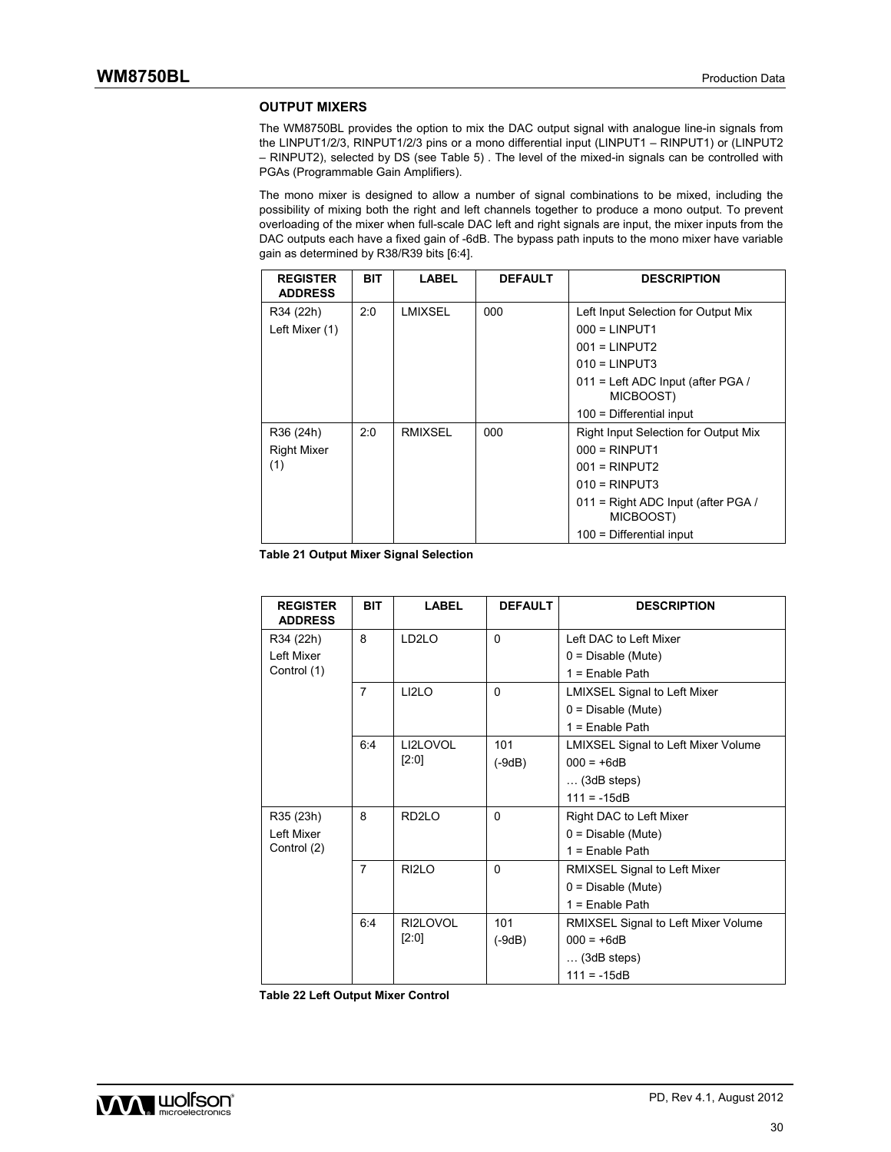### **OUTPUT MIXERS**

The WM8750BL provides the option to mix the DAC output signal with analogue line-in signals from the LINPUT1/2/3, RINPUT1/2/3 pins or a mono differential input (LINPUT1 – RINPUT1) or (LINPUT2 – RINPUT2), selected by DS (see Table 5) . The level of the mixed-in signals can be controlled with PGAs (Programmable Gain Amplifiers).

The mono mixer is designed to allow a number of signal combinations to be mixed, including the possibility of mixing both the right and left channels together to produce a mono output. To prevent overloading of the mixer when full-scale DAC left and right signals are input, the mixer inputs from the DAC outputs each have a fixed gain of -6dB. The bypass path inputs to the mono mixer have variable gain as determined by R38/R39 bits [6:4].

| <b>REGISTER</b><br><b>ADDRESS</b> | <b>BIT</b> | LABEL          | <b>DEFAULT</b> | <b>DESCRIPTION</b>                              |
|-----------------------------------|------------|----------------|----------------|-------------------------------------------------|
| R34 (22h)                         | 2:0        | LMIXSEL        | 000            | Left Input Selection for Output Mix             |
| Left Mixer (1)                    |            |                |                | $000 = LINPUT1$                                 |
|                                   |            |                |                | $001 = LINPUT2$                                 |
|                                   |            |                |                | $010 = LINPUT3$                                 |
|                                   |            |                |                | 011 = Left ADC Input (after PGA /<br>MICBOOST)  |
|                                   |            |                |                | $100$ = Differential input                      |
| R36 (24h)                         | 2:0        | <b>RMIXSEL</b> | 000            | Right Input Selection for Output Mix            |
| <b>Right Mixer</b>                |            |                |                | $000 = RINPUT1$                                 |
| (1)                               |            |                |                | $001 = RINPUT2$                                 |
|                                   |            |                |                | $010 = RINPUT3$                                 |
|                                   |            |                |                | 011 = Right ADC Input (after PGA /<br>MICBOOST) |
|                                   |            |                |                | $100$ = Differential input                      |

**Table 21 Output Mixer Signal Selection** 

| <b>REGISTER</b><br><b>ADDRESS</b> | <b>BIT</b>     | <b>LABEL</b>       | <b>DEFAULT</b> | <b>DESCRIPTION</b>                         |
|-----------------------------------|----------------|--------------------|----------------|--------------------------------------------|
| R34 (22h)                         | 8              | LD <sub>2</sub> LO | $\Omega$       | Left DAC to Left Mixer                     |
| Left Mixer                        |                |                    |                | $0 = Disable (Mute)$                       |
| Control (1)                       |                |                    |                | $1 =$ Enable Path                          |
|                                   | $\overline{7}$ | LI2LO              | $\Omega$       | <b>LMIXSEL Signal to Left Mixer</b>        |
|                                   |                |                    |                | $0 = Disable (Mute)$                       |
|                                   |                |                    |                | $1 =$ Enable Path                          |
|                                   | 6:4            | LI2LOVOL           | 101            | <b>LMIXSEL Signal to Left Mixer Volume</b> |
|                                   |                | [2:0]              | $(-9dB)$       | $000 = +6dB$                               |
|                                   |                |                    |                | $\ldots$ (3dB steps)                       |
|                                   |                |                    |                | $111 = -15dB$                              |
| R35 (23h)                         | 8              | RD <sub>2LO</sub>  | $\Omega$       | Right DAC to Left Mixer                    |
| Left Mixer                        |                |                    |                | $0 = Disable (Mute)$                       |
| Control (2)                       |                |                    |                | $1 =$ Enable Path                          |
|                                   | $\overline{7}$ | RI <sub>2</sub> LO | $\Omega$       | RMIXSEL Signal to Left Mixer               |
|                                   |                |                    |                | $0 = Disable (Mute)$                       |
|                                   |                |                    |                | $1 =$ Enable Path                          |
|                                   | 6:4            | RI2LOVOL           | 101            | RMIXSEL Signal to Left Mixer Volume        |
|                                   |                | [2:0]              | $(-9dB)$       | $000 = +6dB$                               |
|                                   |                |                    |                | $\ldots$ (3dB steps)                       |
|                                   |                |                    |                | $111 = -15dB$                              |

**Table 22 Left Output Mixer Control**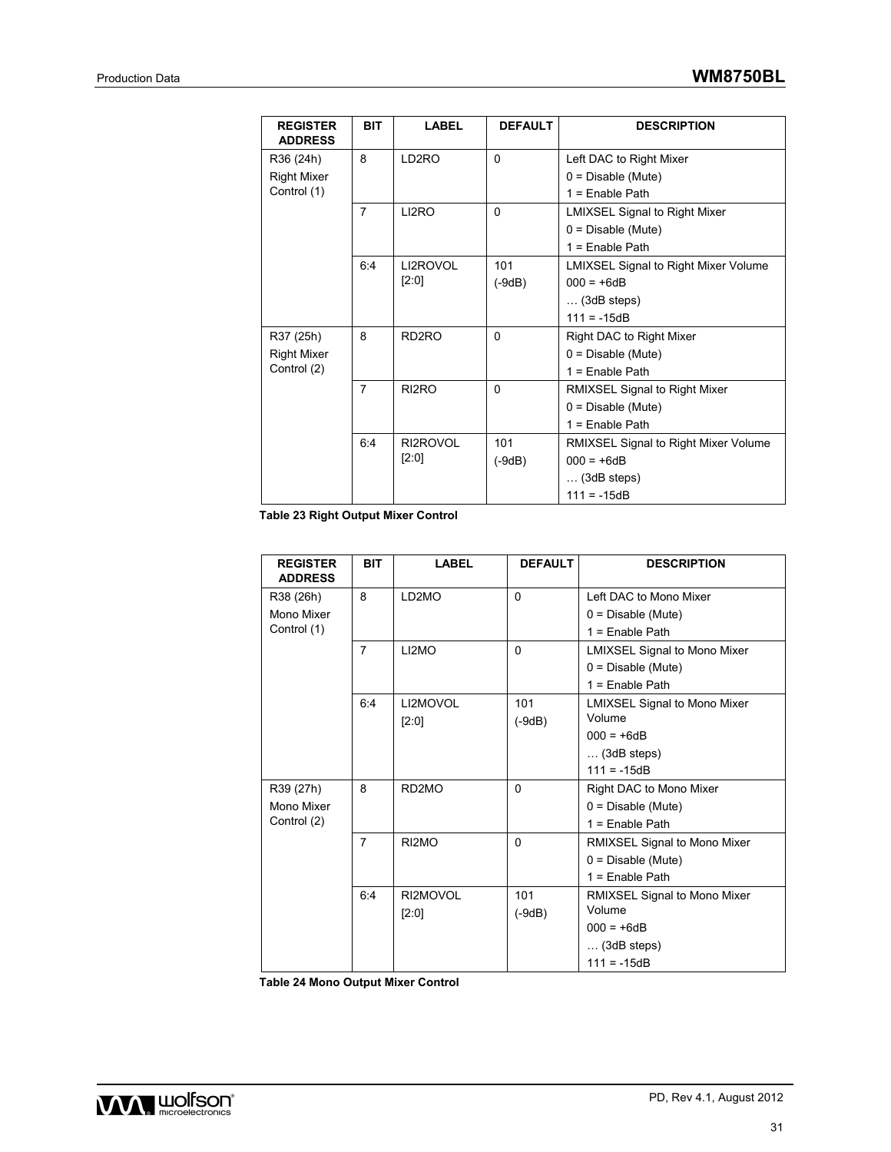| <b>REGISTER</b><br><b>ADDRESS</b> | <b>BIT</b>     | <b>LABEL</b>       | <b>DEFAULT</b> | <b>DESCRIPTION</b>                   |
|-----------------------------------|----------------|--------------------|----------------|--------------------------------------|
| R36 (24h)                         | 8              | LD2RO              | $\Omega$       | Left DAC to Right Mixer              |
| <b>Right Mixer</b>                |                |                    |                | $0 = Disable (Mute)$                 |
| Control (1)                       |                |                    |                | $1 =$ Enable Path                    |
|                                   | $\overline{7}$ | LI2RO              | $\Omega$       | <b>LMIXSEL Signal to Right Mixer</b> |
|                                   |                |                    |                | $0 = Disable (Mute)$                 |
|                                   |                |                    |                | $1 =$ Enable Path                    |
|                                   | 6:4            | LI2ROVOL           | 101            | LMIXSEL Signal to Right Mixer Volume |
|                                   |                | [2:0]              | (-9dB)         | $000 = +6dB$                         |
|                                   |                |                    |                | $\ldots$ (3dB steps)                 |
|                                   |                |                    |                | $111 = -15dB$                        |
| R37 (25h)                         | 8              | RD2RO              | $\Omega$       | Right DAC to Right Mixer             |
| <b>Right Mixer</b>                |                |                    |                | $0 = Disable (Mute)$                 |
| Control (2)                       |                |                    |                | $1 =$ Enable Path                    |
|                                   | 7              | RI <sub>2</sub> RO | $\Omega$       | RMIXSEL Signal to Right Mixer        |
|                                   |                |                    |                | $0 = Disable (Mute)$                 |
|                                   |                |                    |                | $1 =$ Enable Path                    |
|                                   | 6:4            | RI2ROVOL           | 101            | RMIXSEL Signal to Right Mixer Volume |
|                                   |                | [2:0]              | (-9dB)         | $000 = +6dB$                         |
|                                   |                |                    |                | $\ldots$ (3dB steps)                 |
|                                   |                |                    |                | $111 = -15dB$                        |

**Table 23 Right Output Mixer Control** 

| <b>REGISTER</b><br><b>ADDRESS</b> | <b>BIT</b>     | <b>LABEL</b>       | <b>DEFAULT</b> | <b>DESCRIPTION</b>                  |
|-----------------------------------|----------------|--------------------|----------------|-------------------------------------|
| R38 (26h)                         | 8              | LD2MO              | $\Omega$       | Left DAC to Mono Mixer              |
| Mono Mixer                        |                |                    |                | $0 = Disable (Mute)$                |
| Control (1)                       |                |                    |                | $1 =$ Enable Path                   |
|                                   | $\overline{7}$ | LI2MO              | $\Omega$       | <b>LMIXSEL Signal to Mono Mixer</b> |
|                                   |                |                    |                | $0 = Disable (Mute)$                |
|                                   |                |                    |                | $1 =$ Enable Path                   |
|                                   | 6:4            | LI2MOVOL           | 101            | <b>LMIXSEL Signal to Mono Mixer</b> |
|                                   |                | $[2:0]$            | $(-9dB)$       | Volume                              |
|                                   |                |                    |                | $000 = +6dB$                        |
|                                   |                |                    |                | $\ldots$ (3dB steps)                |
|                                   |                |                    |                | $111 = -15dB$                       |
| R39 (27h)                         | 8              | RD <sub>2</sub> MO | $\Omega$       | Right DAC to Mono Mixer             |
| Mono Mixer                        |                |                    |                | $0 = Disable (Mute)$                |
| Control (2)                       |                |                    |                | $1 =$ Enable Path                   |
|                                   | $\overline{7}$ | RI2MO              | $\Omega$       | RMIXSEL Signal to Mono Mixer        |
|                                   |                |                    |                | $0 = Disable (Mute)$                |
|                                   |                |                    |                | $1 =$ Enable Path                   |
|                                   | 6:4            | RI2MOVOL           | 101            | RMIXSEL Signal to Mono Mixer        |
|                                   |                | $[2:0]$            | $(-9dB)$       | Volume                              |
|                                   |                |                    |                | $000 = +6dB$                        |
|                                   |                |                    |                | $\ldots$ (3dB steps)                |
|                                   |                |                    |                | $111 = -15dB$                       |

**Table 24 Mono Output Mixer Control** 

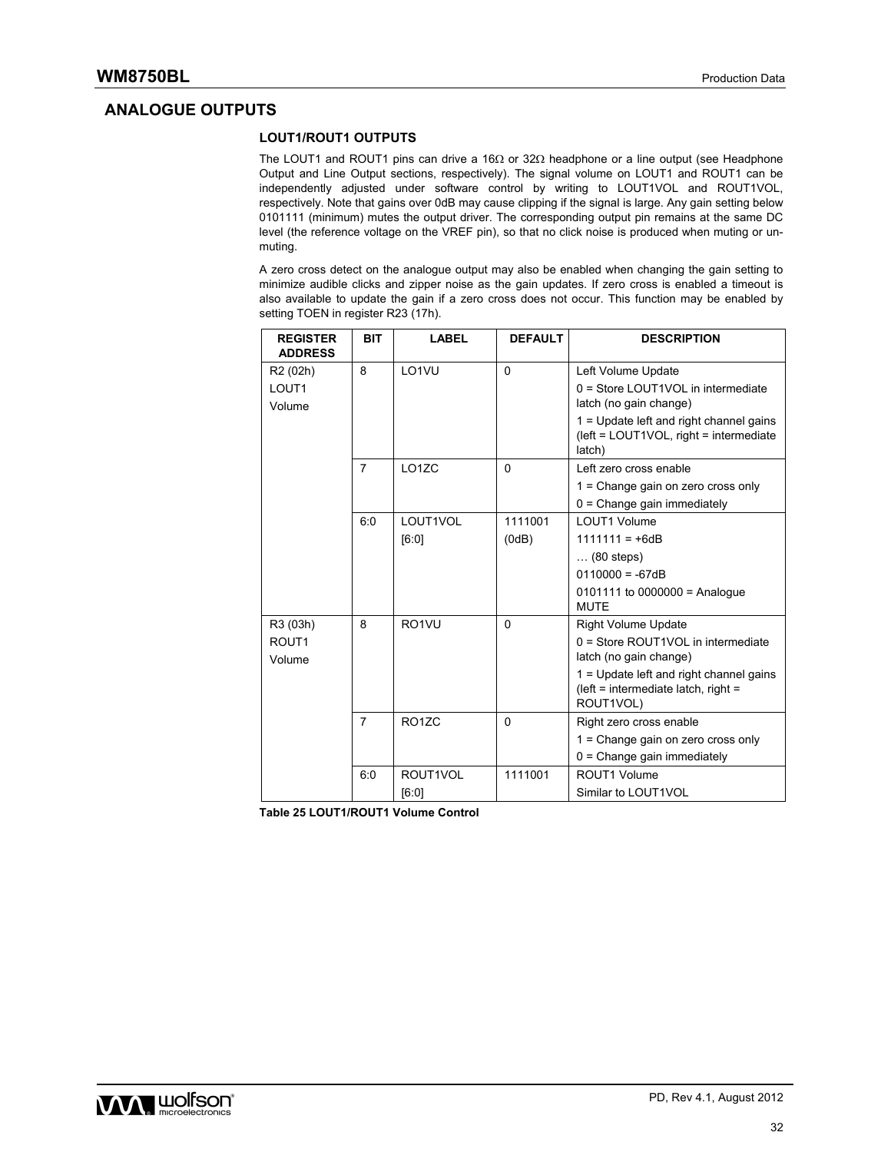### **ANALOGUE OUTPUTS**

### **LOUT1/ROUT1 OUTPUTS**

The LOUT1 and ROUT1 pins can drive a 16 $\Omega$  or 32 $\Omega$  headphone or a line output (see Headphone Output and Line Output sections, respectively). The signal volume on LOUT1 and ROUT1 can be independently adjusted under software control by writing to LOUT1VOL and ROUT1VOL, respectively. Note that gains over 0dB may cause clipping if the signal is large. Any gain setting below 0101111 (minimum) mutes the output driver. The corresponding output pin remains at the same DC level (the reference voltage on the VREF pin), so that no click noise is produced when muting or unmuting.

A zero cross detect on the analogue output may also be enabled when changing the gain setting to minimize audible clicks and zipper noise as the gain updates. If zero cross is enabled a timeout is also available to update the gain if a zero cross does not occur. This function may be enabled by setting TOEN in register R23 (17h).

| <b>REGISTER</b><br><b>ADDRESS</b> | <b>BIT</b>     | <b>LABEL</b>       | <b>DEFAULT</b> | <b>DESCRIPTION</b>                                                                           |
|-----------------------------------|----------------|--------------------|----------------|----------------------------------------------------------------------------------------------|
| R <sub>2</sub> (02h)              | 8              | LO1VU              | $\Omega$       | Left Volume Update                                                                           |
| LOUT <sub>1</sub><br>Volume       |                |                    |                | $0 =$ Store LOUT1VOL in intermediate<br>latch (no gain change)                               |
|                                   |                |                    |                | 1 = Update left and right channel gains<br>(left = LOUT1VOL, right = intermediate)<br>latch) |
|                                   | $\overline{7}$ | LO <sub>1</sub> ZC | $\Omega$       | Left zero cross enable                                                                       |
|                                   |                |                    |                | $1 =$ Change gain on zero cross only                                                         |
|                                   |                |                    |                | $0 = Change gain immediately$                                                                |
|                                   | 6:0            | LOUT1VOL           | 1111001        | LOUT1 Volume                                                                                 |
|                                   |                | [6:0]              | (0dB)          | $1111111 = +6dB$                                                                             |
|                                   |                |                    |                | $\ldots$ (80 steps)                                                                          |
|                                   |                |                    |                | $0110000 = -67dB$                                                                            |
|                                   |                |                    |                | $0101111$ to $0000000 =$ Analogue<br><b>MUTE</b>                                             |
| R3 (03h)                          | 8              | RO <sub>1VU</sub>  | $\Omega$       | <b>Right Volume Update</b>                                                                   |
| ROUT <sub>1</sub><br>Volume       |                |                    |                | $0 =$ Store ROUT1VOL in intermediate<br>latch (no gain change)                               |
|                                   |                |                    |                | 1 = Update left and right channel gains<br>(left = intermediate latch, right =<br>ROUT1VOL)  |
|                                   | $\overline{7}$ | <b>RO17C</b>       | $\Omega$       | Right zero cross enable                                                                      |
|                                   |                |                    |                | 1 = Change gain on zero cross only                                                           |
|                                   |                |                    |                | $0 = Change gain immediately$                                                                |
|                                   | 6:0            | ROUT1VOL           | 1111001        | ROUT1 Volume                                                                                 |
|                                   |                | [6:0]              |                | Similar to LOUT1VOL                                                                          |

**Table 25 LOUT1/ROUT1 Volume Control** 

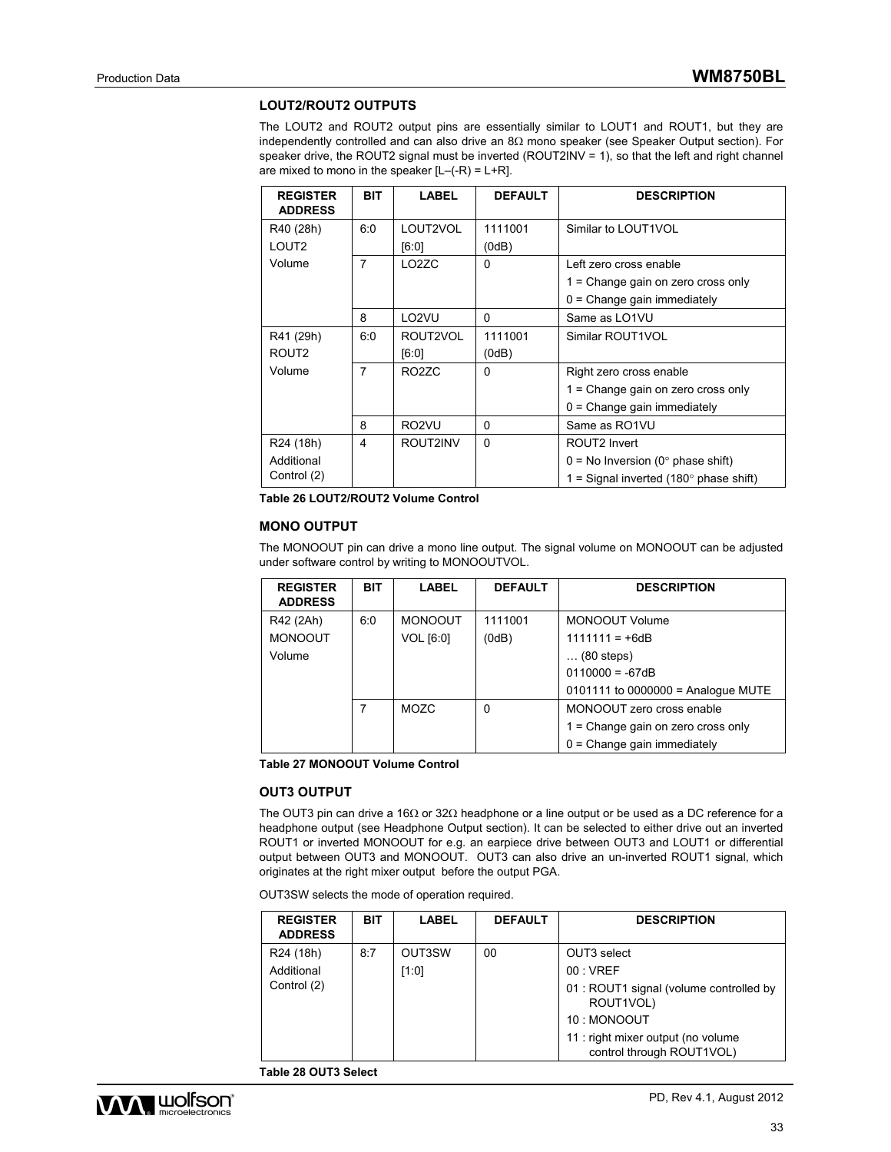### **LOUT2/ROUT2 OUTPUTS**

The LOUT2 and ROUT2 output pins are essentially similar to LOUT1 and ROUT1, but they are independently controlled and can also drive an  $8\Omega$  mono speaker (see Speaker Output section). For speaker drive, the ROUT2 signal must be inverted (ROUT2INV = 1), so that the left and right channel are mixed to mono in the speaker  $[L-(-R) = L+R]$ .

| <b>REGISTER</b><br><b>ADDRESS</b> | <b>BIT</b>     | LABEL              | <b>DEFAULT</b> | <b>DESCRIPTION</b>                               |
|-----------------------------------|----------------|--------------------|----------------|--------------------------------------------------|
| R40 (28h)                         | 6:0            | LOUT2VOL           | 1111001        | Similar to LOUT1VOL                              |
| LOUT2                             |                | [6:0]              | (0dB)          |                                                  |
| Volume                            | $\overline{7}$ | LO <sub>2</sub> ZC | $\Omega$       | Left zero cross enable                           |
|                                   |                |                    |                | 1 = Change gain on zero cross only               |
|                                   |                |                    |                | $0 =$ Change gain immediately                    |
|                                   | 8              | LO <sub>2</sub> VU | $\Omega$       | Same as LO1VU                                    |
| R41 (29h)                         | 6:0            | ROUT2VOL           | 1111001        | Similar ROUT1VOL                                 |
| ROUT <sub>2</sub>                 |                | [6:0]              | (0dB)          |                                                  |
| Volume                            | 7              | RO <sub>2</sub> ZC | $\Omega$       | Right zero cross enable                          |
|                                   |                |                    |                | $1 =$ Change gain on zero cross only             |
|                                   |                |                    |                | $0 =$ Change gain immediately                    |
|                                   | 8              | RO <sub>2</sub> VU | 0              | Same as RO1VU                                    |
| R24 (18h)                         | 4              | ROUT2INV           | 0              | ROUT2 Invert                                     |
| Additional                        |                |                    |                | $0 = No$ Inversion (0° phase shift)              |
| Control (2)                       |                |                    |                | 1 = Signal inverted (180 $^{\circ}$ phase shift) |

**Table 26 LOUT2/ROUT2 Volume Control** 

### **MONO OUTPUT**

The MONOOUT pin can drive a mono line output. The signal volume on MONOOUT can be adjusted under software control by writing to MONOOUTVOL.

| <b>REGISTER</b><br><b>ADDRESS</b> | <b>BIT</b> | <b>LABEL</b>   | <b>DEFAULT</b> | <b>DESCRIPTION</b>                     |
|-----------------------------------|------------|----------------|----------------|----------------------------------------|
| R42 (2Ah)                         | 6:0        | <b>MONOOUT</b> | 1111001        | MONOOUT Volume                         |
| <b>MONOOUT</b>                    |            | VOL [6:0]      | (0dB)          | $1111111 = +6dB$                       |
| Volume                            |            |                |                | $\ldots$ (80 steps)                    |
|                                   |            |                |                | $0110000 = -67dB$                      |
|                                   |            |                |                | $0101111$ to $0000000 =$ Analogue MUTE |
|                                   | 7          | MOZC           | $\Omega$       | MONOOUT zero cross enable              |
|                                   |            |                |                | 1 = Change gain on zero cross only     |
|                                   |            |                |                | $0 = Change gain immediately$          |

**Table 27 MONOOUT Volume Control** 

### **OUT3 OUTPUT**

The OUT3 pin can drive a 16 $\Omega$  or 32 $\Omega$  headphone or a line output or be used as a DC reference for a headphone output (see Headphone Output section). It can be selected to either drive out an inverted ROUT1 or inverted MONOOUT for e.g. an earpiece drive between OUT3 and LOUT1 or differential output between OUT3 and MONOOUT. OUT3 can also drive an un-inverted ROUT1 signal, which originates at the right mixer output before the output PGA.

OUT3SW selects the mode of operation required.

| <b>REGISTER</b><br><b>ADDRESS</b> | <b>BIT</b> | <b>LABEL</b> | <b>DEFAULT</b> | <b>DESCRIPTION</b>                                              |
|-----------------------------------|------------|--------------|----------------|-----------------------------------------------------------------|
| R <sub>24</sub> (18h)             | 8:7        | OUT3SW       | 00             | OUT3 select                                                     |
| Additional                        |            | [1:0]        |                | 00:VREF                                                         |
| Control (2)                       |            |              |                | 01 : ROUT1 signal (volume controlled by<br>ROUT1VOL)            |
|                                   |            |              |                | 10: MONOOUT                                                     |
|                                   |            |              |                | 11 : right mixer output (no volume<br>control through ROUT1VOL) |

**Table 28 OUT3 Select** 

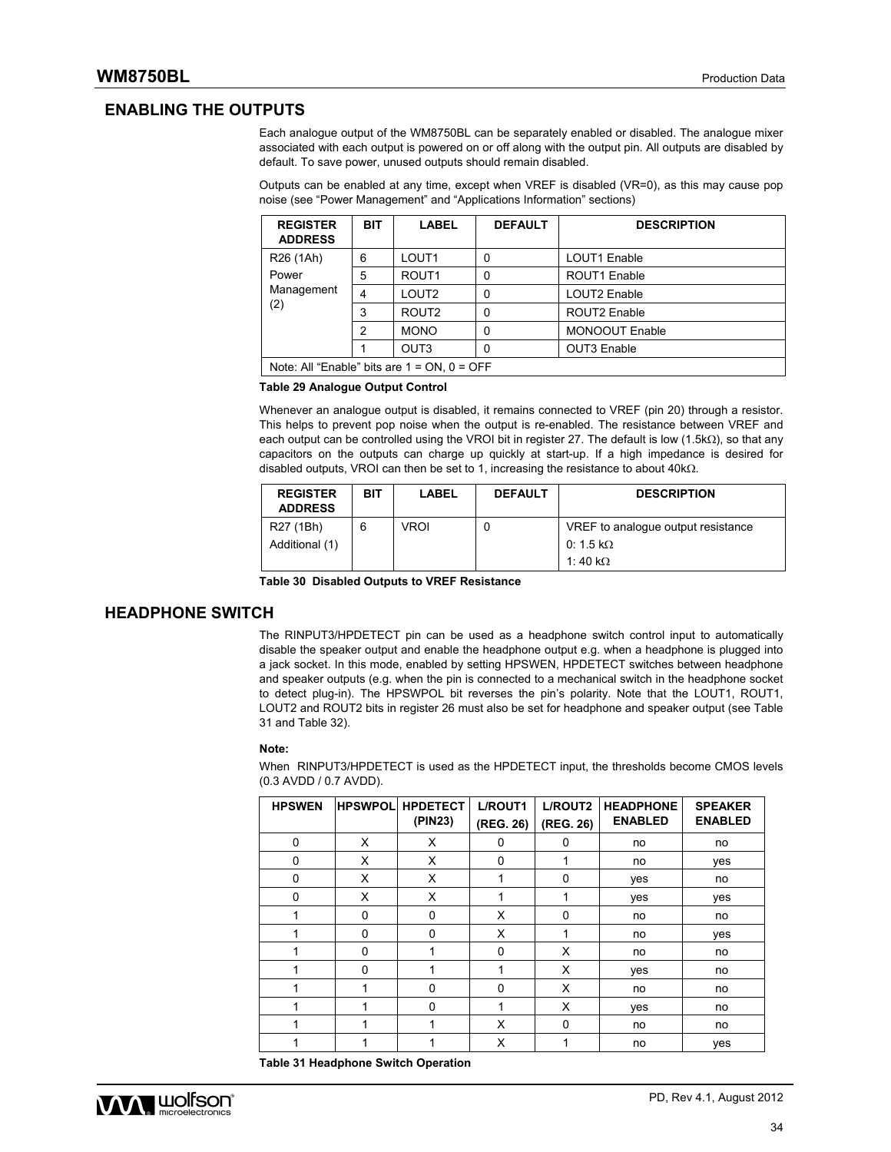### **ENABLING THE OUTPUTS**

Each analogue output of the WM8750BL can be separately enabled or disabled. The analogue mixer associated with each output is powered on or off along with the output pin. All outputs are disabled by default. To save power, unused outputs should remain disabled.

Outputs can be enabled at any time, except when VREF is disabled (VR=0), as this may cause pop noise (see "Power Management" and "Applications Information" sections)

| <b>REGISTER</b><br><b>ADDRESS</b>                | <b>BIT</b>     | <b>LABEL</b>      | <b>DEFAULT</b> | <b>DESCRIPTION</b>    |  |
|--------------------------------------------------|----------------|-------------------|----------------|-----------------------|--|
| R <sub>26</sub> (1Ah)                            | 6              | LOUT <sub>1</sub> | 0              | LOUT1 Enable          |  |
| Power                                            | 5              | ROUT <sub>1</sub> | 0              | ROUT1 Enable          |  |
| Management                                       | 4              | LOUT <sub>2</sub> | 0              | LOUT2 Enable          |  |
| (2)                                              | 3              | ROUT <sub>2</sub> | 0              | ROUT2 Enable          |  |
|                                                  | $\overline{2}$ | <b>MONO</b>       | 0              | <b>MONOOUT Enable</b> |  |
|                                                  |                | OUT <sub>3</sub>  | 0              | OUT3 Enable           |  |
| Note: All "Enable" bits are $1 = ON$ , $0 = OFF$ |                |                   |                |                       |  |

#### **Table 29 Analogue Output Control**

Whenever an analogue output is disabled, it remains connected to VREF (pin 20) through a resistor. This helps to prevent pop noise when the output is re-enabled. The resistance between VREF and each output can be controlled using the VROI bit in register 27. The default is low (1.5k $\Omega$ ), so that any capacitors on the outputs can charge up quickly at start-up. If a high impedance is desired for disabled outputs, VROI can then be set to 1, increasing the resistance to about  $40k\Omega$ .

| <b>REGISTER</b><br><b>ADDRESS</b> | <b>BIT</b> | LABEL | <b>DEFAULT</b> | <b>DESCRIPTION</b>                                                |
|-----------------------------------|------------|-------|----------------|-------------------------------------------------------------------|
| R27 (1Bh)<br>Additional (1)       | 6          | VROI  | U              | VREF to analogue output resistance<br>0:1.5 kΩ<br>1:40 k $\Omega$ |

**Table 30 Disabled Outputs to VREF Resistance** 

### **HEADPHONE SWITCH**

The RINPUT3/HPDETECT pin can be used as a headphone switch control input to automatically disable the speaker output and enable the headphone output e.g. when a headphone is plugged into a jack socket. In this mode, enabled by setting HPSWEN, HPDETECT switches between headphone and speaker outputs (e.g. when the pin is connected to a mechanical switch in the headphone socket to detect plug-in). The HPSWPOL bit reverses the pin's polarity. Note that the LOUT1, ROUT1, LOUT2 and ROUT2 bits in register 26 must also be set for headphone and speaker output (see Table 31 and Table 32).

#### **Note:**

When RINPUT3/HPDETECT is used as the HPDETECT input, the thresholds become CMOS levels (0.3 AVDD / 0.7 AVDD).

| <b>HPSWEN</b> | <b>HPSWPOL</b> | <b>HPDETECT</b><br>(PIN23) | L/ROUT1<br>(REG. 26) | L/ROUT2<br>(REG. 26) | <b>HEADPHONE</b><br><b>ENABLED</b> | <b>SPEAKER</b><br><b>ENABLED</b> |
|---------------|----------------|----------------------------|----------------------|----------------------|------------------------------------|----------------------------------|
| $\mathbf 0$   | X              | X                          | 0                    | 0                    | no                                 | no                               |
| $\Omega$      | X              | X                          | 0                    |                      | no                                 | yes                              |
| $\Omega$      | X              | X                          | 1                    | $\Omega$             | yes                                | no                               |
| $\mathbf 0$   | X              | X                          |                      |                      | yes                                | yes                              |
| 1             | $\Omega$       | 0                          | X                    | $\Omega$             | no                                 | no                               |
|               | $\Omega$       | 0                          | X                    |                      | no                                 | yes                              |
|               | $\Omega$       |                            | 0                    | X                    | no                                 | no                               |
| 4             | $\Omega$       | 4                          | 1                    | X                    | yes                                | no                               |
|               |                | 0                          | $\Omega$             | X                    | no                                 | no                               |
|               |                | 0                          |                      | X                    | yes                                | no                               |
|               | 4              | 1                          | Х                    | 0                    | no                                 | no                               |
|               |                |                            | X                    |                      | no                                 | yes                              |

**Table 31 Headphone Switch Operation** 

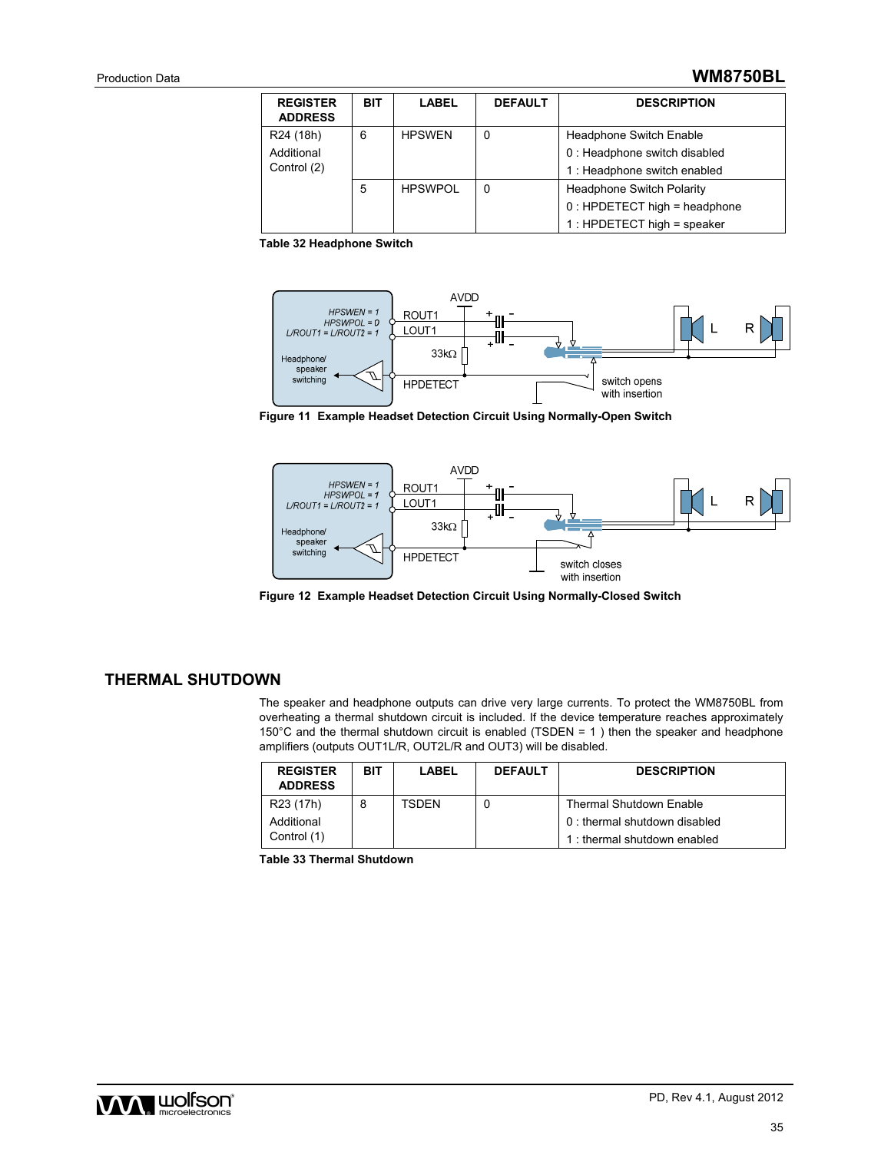### Production Data **WM8750BL**

| <b>REGISTER</b><br><b>ADDRESS</b> | <b>BIT</b> | <b>LABEL</b>   | <b>DEFAULT</b> | <b>DESCRIPTION</b>               |
|-----------------------------------|------------|----------------|----------------|----------------------------------|
| R24 (18h)                         | 6          | <b>HPSWEN</b>  | 0              | <b>Headphone Switch Enable</b>   |
| Additional                        |            |                |                | 0 : Headphone switch disabled    |
| Control (2)                       |            |                |                | 1 : Headphone switch enabled     |
|                                   | 5          | <b>HPSWPOL</b> | 0              | <b>Headphone Switch Polarity</b> |
|                                   |            |                |                | $0:$ HPDETECT high = headphone   |
|                                   |            |                |                | $1:$ HPDETECT high = speaker     |

**Table 32 Headphone Switch** 



**Figure 11 Example Headset Detection Circuit Using Normally-Open Switch** 



**Figure 12 Example Headset Detection Circuit Using Normally-Closed Switch** 

### **THERMAL SHUTDOWN**

The speaker and headphone outputs can drive very large currents. To protect the WM8750BL from overheating a thermal shutdown circuit is included. If the device temperature reaches approximately 150°C and the thermal shutdown circuit is enabled (TSDEN = 1 ) then the speaker and headphone amplifiers (outputs OUT1L/R, OUT2L/R and OUT3) will be disabled.

| <b>REGISTER</b><br><b>ADDRESS</b> | <b>BIT</b> | LABEL | <b>DEFAULT</b> | <b>DESCRIPTION</b>             |
|-----------------------------------|------------|-------|----------------|--------------------------------|
| R <sub>23</sub> (17h)             | 8          | TSDEN |                | <b>Thermal Shutdown Enable</b> |
| Additional                        |            |       |                | 0 : thermal shutdown disabled  |
| Control (1)                       |            |       |                | 1: thermal shutdown enabled    |

**Table 33 Thermal Shutdown** 

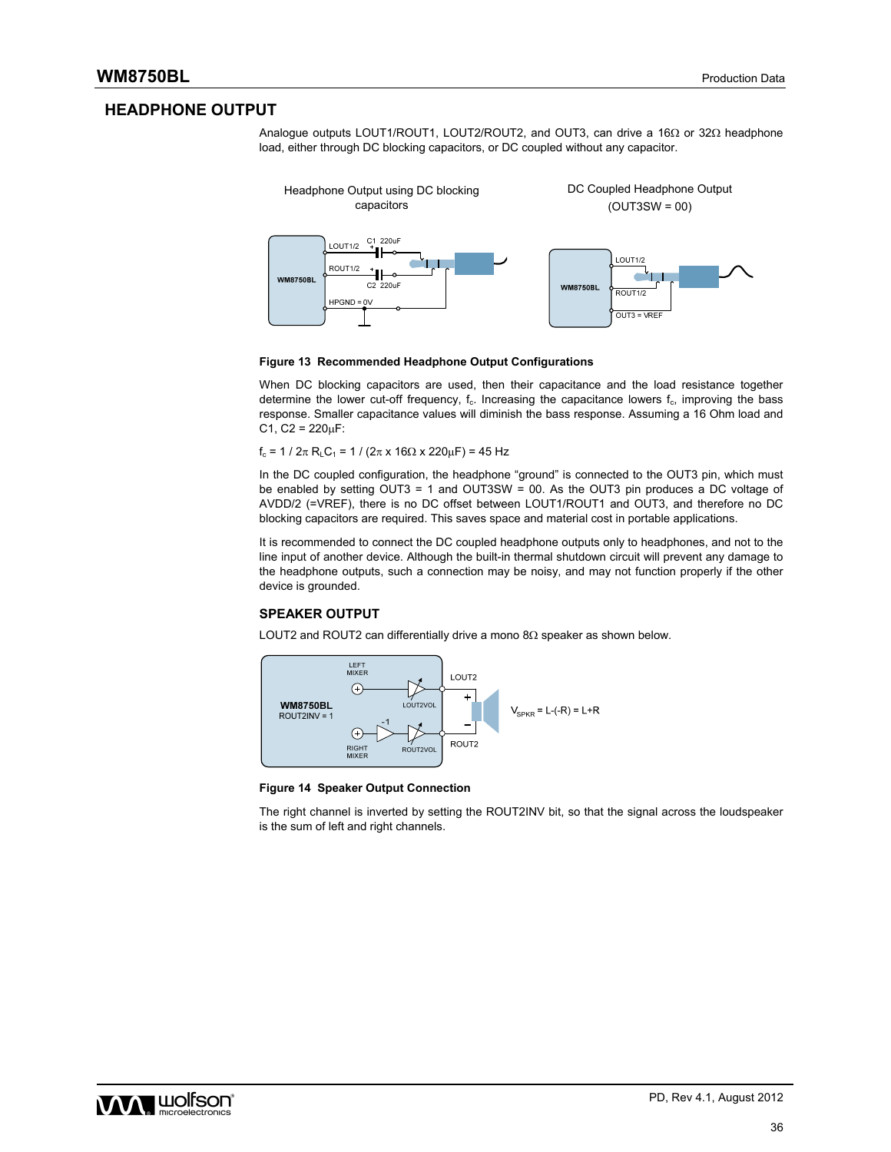### **HEADPHONE OUTPUT**

Analogue outputs LOUT1/ROUT1, LOUT2/ROUT2, and OUT3, can drive a  $16\Omega$  or  $32\Omega$  headphone load, either through DC blocking capacitors, or DC coupled without any capacitor.



#### **Figure 13 Recommended Headphone Output Configurations**

When DC blocking capacitors are used, then their capacitance and the load resistance together determine the lower cut-off frequency,  $f_c$ . Increasing the capacitance lowers  $f_c$ , improving the bass response. Smaller capacitance values will diminish the bass response. Assuming a 16 Ohm load and  $C1, C2 = 220 \mu F$ :

 $f_c = 1 / 2\pi R_L C_1 = 1 / (2\pi \times 16\Omega \times 220\mu F) = 45 Hz$ 

In the DC coupled configuration, the headphone "ground" is connected to the OUT3 pin, which must be enabled by setting OUT3 = 1 and OUT3SW = 00. As the OUT3 pin produces a DC voltage of AVDD/2 (=VREF), there is no DC offset between LOUT1/ROUT1 and OUT3, and therefore no DC blocking capacitors are required. This saves space and material cost in portable applications.

It is recommended to connect the DC coupled headphone outputs only to headphones, and not to the line input of another device. Although the built-in thermal shutdown circuit will prevent any damage to the headphone outputs, such a connection may be noisy, and may not function properly if the other device is grounded.

#### **SPEAKER OUTPUT**

LOUT2 and ROUT2 can differentially drive a mono  $8\Omega$  speaker as shown below.



#### **Figure 14 Speaker Output Connection**

The right channel is inverted by setting the ROUT2INV bit, so that the signal across the loudspeaker is the sum of left and right channels.

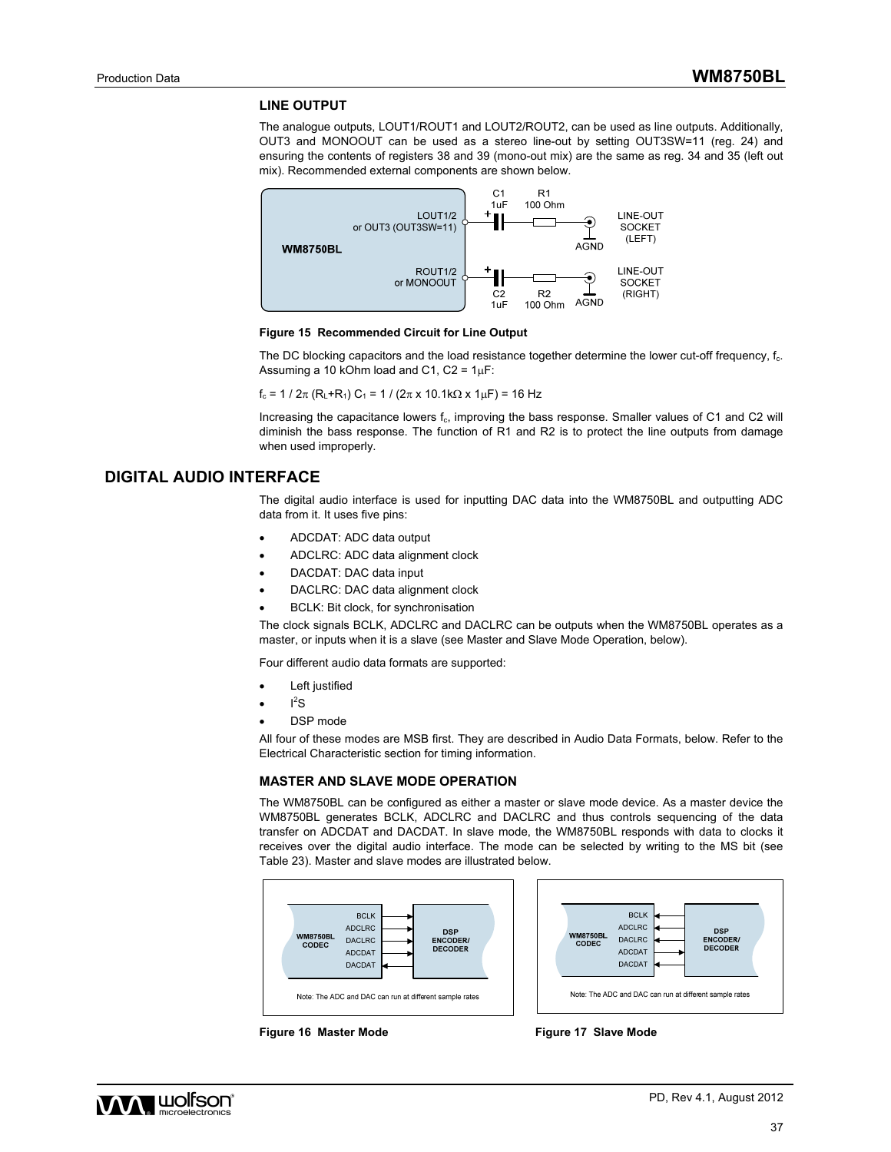#### **LINE OUTPUT**

The analogue outputs, LOUT1/ROUT1 and LOUT2/ROUT2, can be used as line outputs. Additionally, OUT3 and MONOOUT can be used as a stereo line-out by setting OUT3SW=11 (reg. 24) and ensuring the contents of registers 38 and 39 (mono-out mix) are the same as reg. 34 and 35 (left out mix). Recommended external components are shown below.



#### **Figure 15 Recommended Circuit for Line Output**

The DC blocking capacitors and the load resistance together determine the lower cut-off frequency,  $f_c$ . Assuming a 10 kOhm load and C1,  $C2 = 1 \mu F$ :

 $f_c = 1 / 2\pi (R_L + R_1) C_1 = 1 / (2\pi \times 10.1 \text{ k}\Omega \times 1 \mu \text{F}) = 16 \text{ Hz}$ 

Increasing the capacitance lowers f<sub>c</sub>, improving the bass response. Smaller values of C1 and C2 will diminish the bass response. The function of R1 and R2 is to protect the line outputs from damage when used improperly.

### **DIGITAL AUDIO INTERFACE**

The digital audio interface is used for inputting DAC data into the WM8750BL and outputting ADC data from it. It uses five pins:

- ADCDAT: ADC data output
- ADCLRC: ADC data alignment clock
- DACDAT: DAC data input
- DACLRC: DAC data alignment clock
- BCLK: Bit clock, for synchronisation

The clock signals BCLK, ADCLRC and DACLRC can be outputs when the WM8750BL operates as a master, or inputs when it is a slave (see Master and Slave Mode Operation, below).

Four different audio data formats are supported:

- Left justified
- $\cdot$   $I^2S$
- DSP mode

All four of these modes are MSB first. They are described in Audio Data Formats, below. Refer to the Electrical Characteristic section for timing information.

#### **MASTER AND SLAVE MODE OPERATION**

The WM8750BL can be configured as either a master or slave mode device. As a master device the WM8750BL generates BCLK, ADCLRC and DACLRC and thus controls sequencing of the data transfer on ADCDAT and DACDAT. In slave mode, the WM8750BL responds with data to clocks it receives over the digital audio interface. The mode can be selected by writing to the MS bit (see Table 23). Master and slave modes are illustrated below.



Figure 16 Master Mode **Figure 17 Slave Mode** 

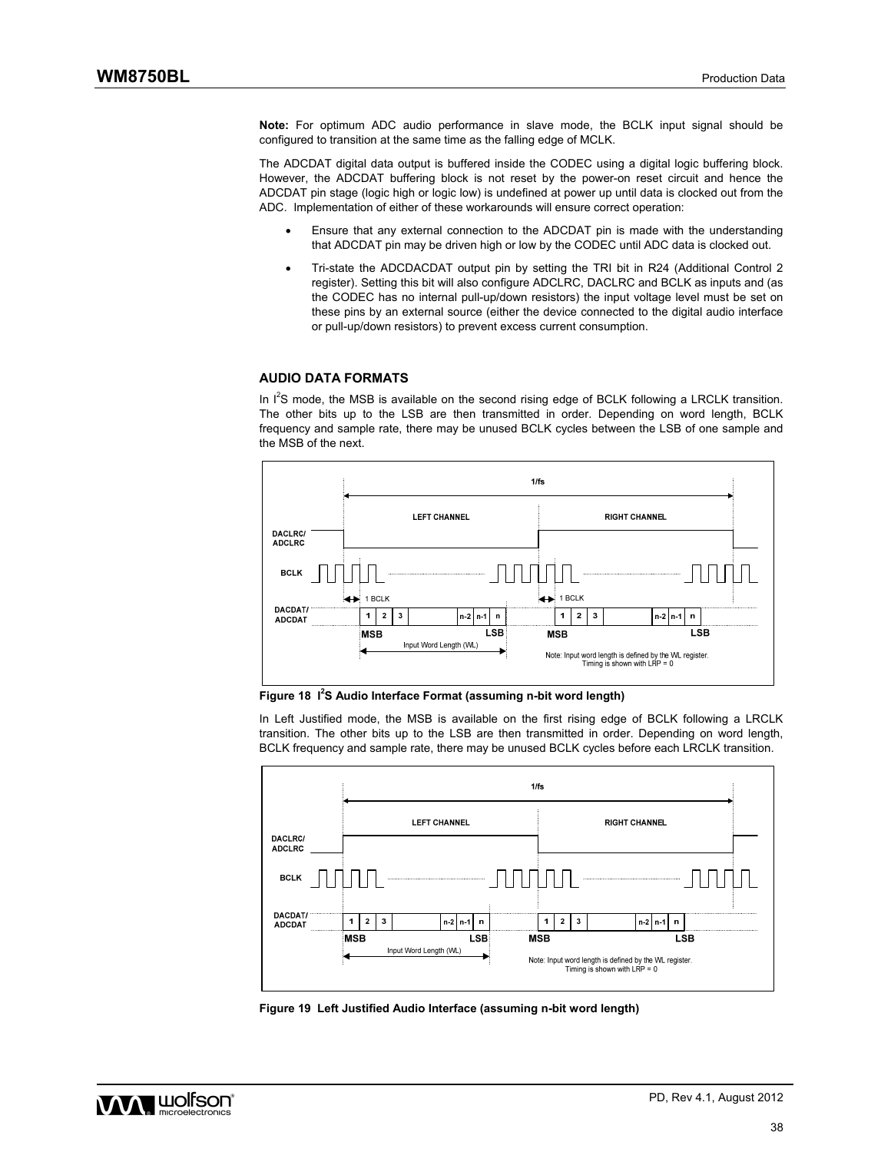**Note:** For optimum ADC audio performance in slave mode, the BCLK input signal should be configured to transition at the same time as the falling edge of MCLK.

The ADCDAT digital data output is buffered inside the CODEC using a digital logic buffering block. However, the ADCDAT buffering block is not reset by the power-on reset circuit and hence the ADCDAT pin stage (logic high or logic low) is undefined at power up until data is clocked out from the ADC. Implementation of either of these workarounds will ensure correct operation:

- Ensure that any external connection to the ADCDAT pin is made with the understanding that ADCDAT pin may be driven high or low by the CODEC until ADC data is clocked out.
- Tri-state the ADCDACDAT output pin by setting the TRI bit in R24 (Additional Control 2 register). Setting this bit will also configure ADCLRC, DACLRC and BCLK as inputs and (as the CODEC has no internal pull-up/down resistors) the input voltage level must be set on these pins by an external source (either the device connected to the digital audio interface or pull-up/down resistors) to prevent excess current consumption.

#### **AUDIO DATA FORMATS**

In  $I^2S$  mode, the MSB is available on the second rising edge of BCLK following a LRCLK transition. The other bits up to the LSB are then transmitted in order. Depending on word length, BCLK frequency and sample rate, there may be unused BCLK cycles between the LSB of one sample and the MSB of the next.



Figure 18 <sup>12</sup>S Audio Interface Format (assuming n-bit word length)

In Left Justified mode, the MSB is available on the first rising edge of BCLK following a LRCLK transition. The other bits up to the LSB are then transmitted in order. Depending on word length, BCLK frequency and sample rate, there may be unused BCLK cycles before each LRCLK transition.



**Figure 19 Left Justified Audio Interface (assuming n-bit word length)** 

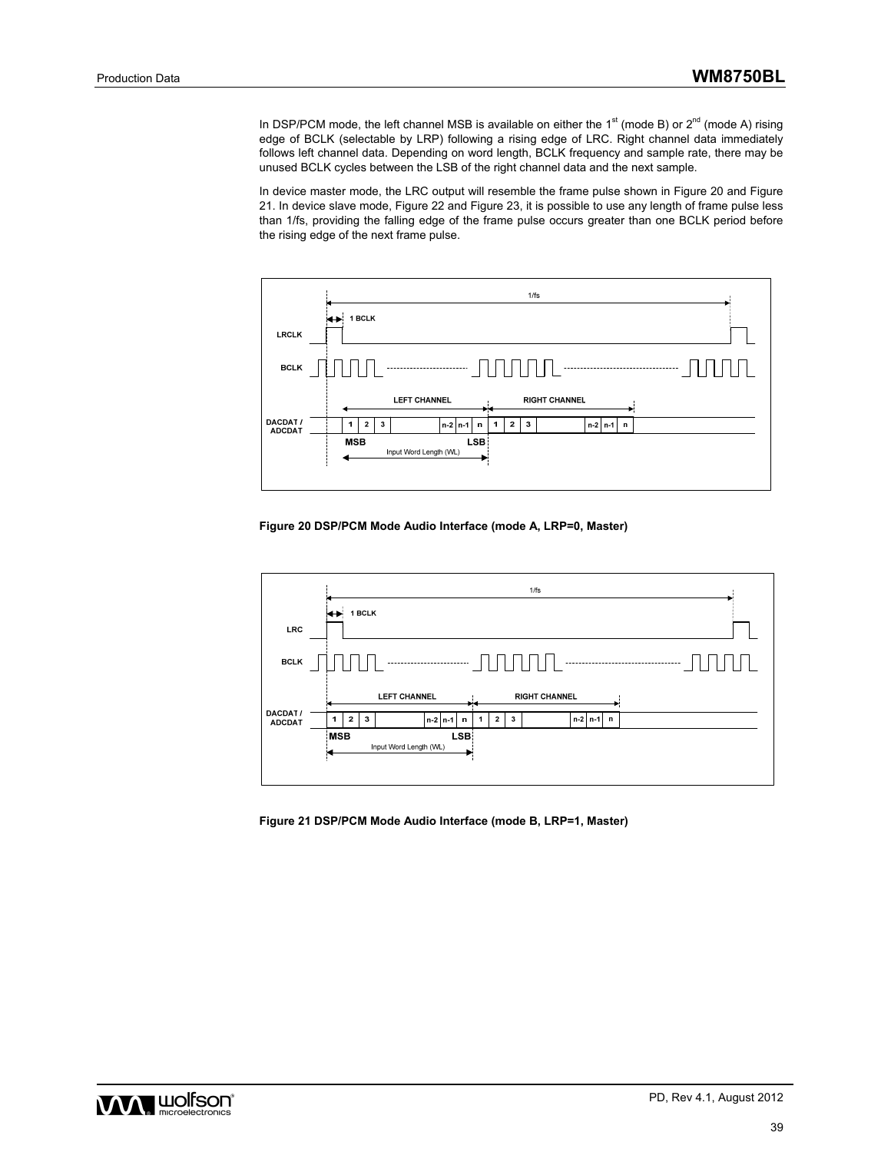In DSP/PCM mode, the left channel MSB is available on either the  $1<sup>st</sup>$  (mode B) or  $2<sup>nd</sup>$  (mode A) rising edge of BCLK (selectable by LRP) following a rising edge of LRC. Right channel data immediately follows left channel data. Depending on word length, BCLK frequency and sample rate, there may be unused BCLK cycles between the LSB of the right channel data and the next sample.

In device master mode, the LRC output will resemble the frame pulse shown in Figure 20 and Figure 21. In device slave mode, Figure 22 and Figure 23, it is possible to use any length of frame pulse less than 1/fs, providing the falling edge of the frame pulse occurs greater than one BCLK period before the rising edge of the next frame pulse.



**Figure 20 DSP/PCM Mode Audio Interface (mode A, LRP=0, Master)** 



**Figure 21 DSP/PCM Mode Audio Interface (mode B, LRP=1, Master)** 

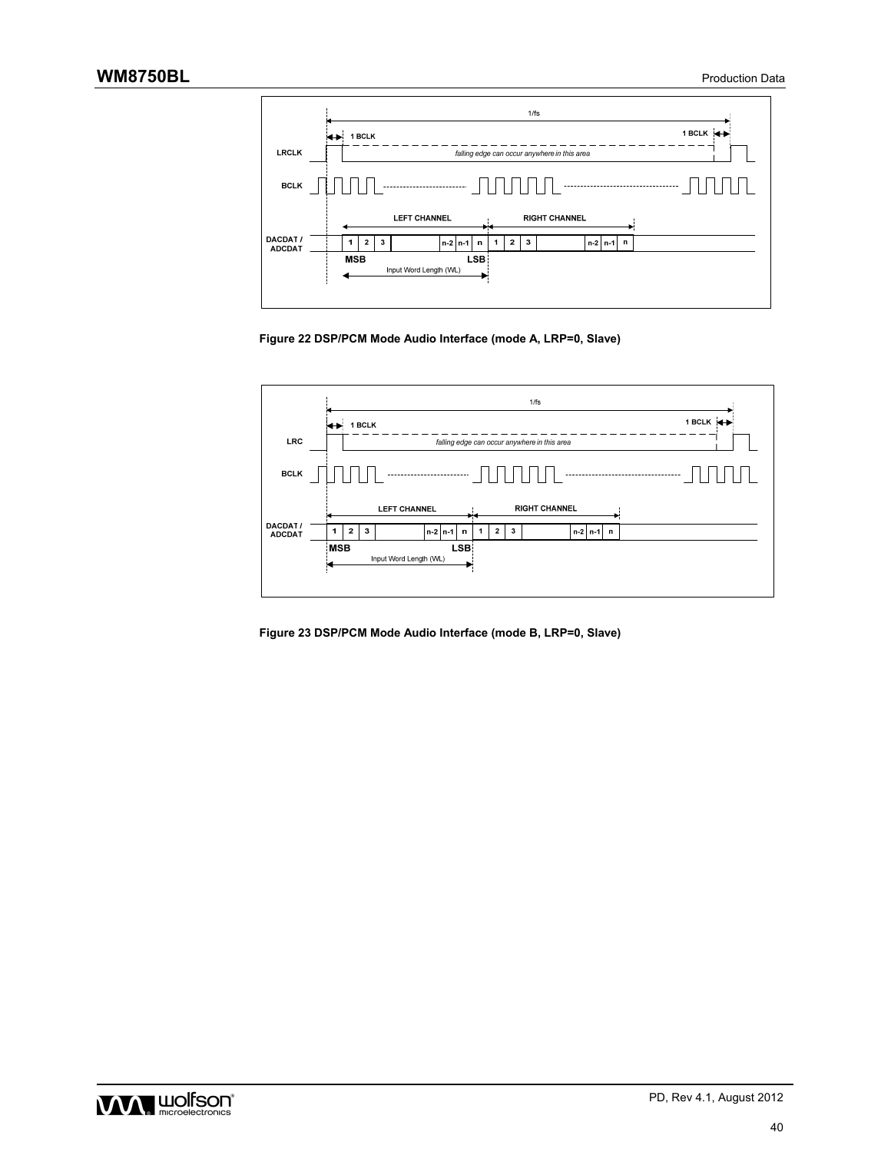

**Figure 22 DSP/PCM Mode Audio Interface (mode A, LRP=0, Slave)** 



**Figure 23 DSP/PCM Mode Audio Interface (mode B, LRP=0, Slave)** 

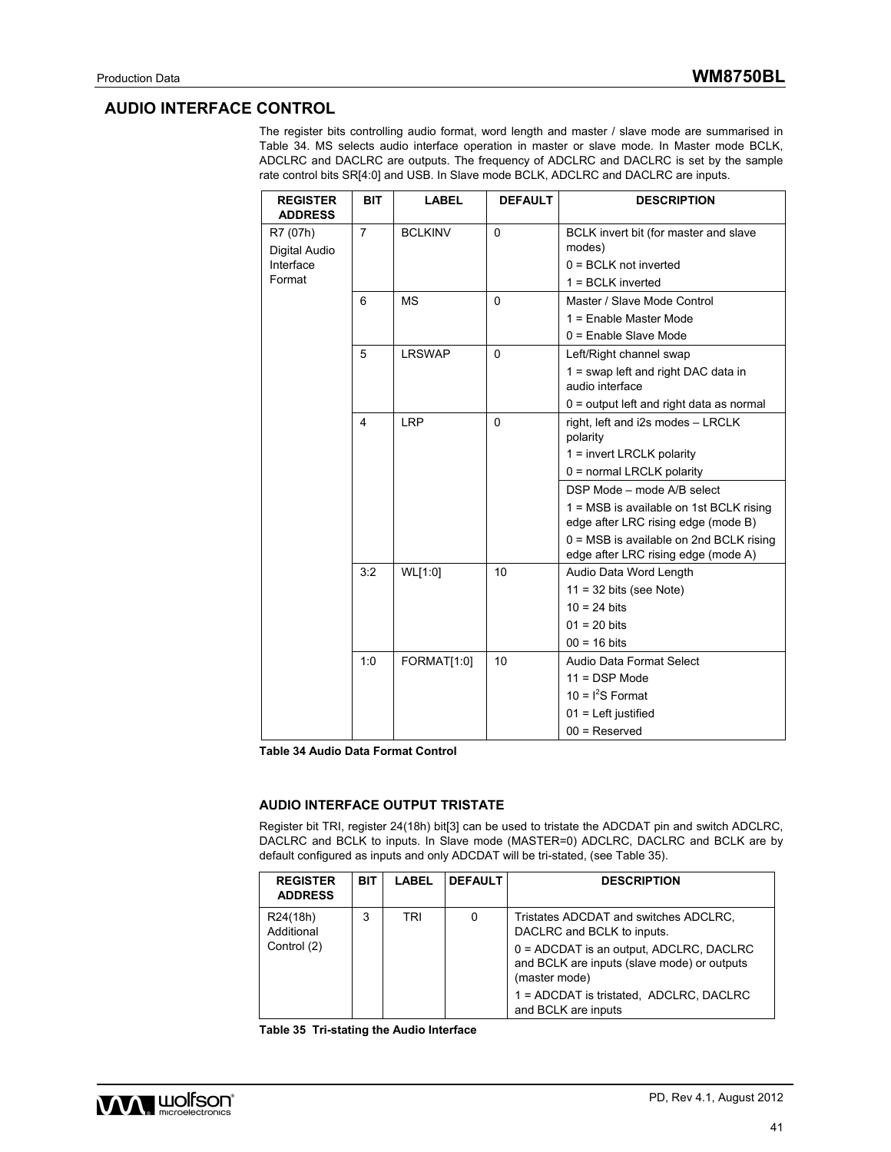### **AUDIO INTERFACE CONTROL**

The register bits controlling audio format, word length and master / slave mode are summarised in Table 34. MS selects audio interface operation in master or slave mode. In Master mode BCLK, ADCLRC and DACLRC are outputs. The frequency of ADCLRC and DACLRC is set by the sample rate control bits SR[4:0] and USB. In Slave mode BCLK, ADCLRC and DACLRC are inputs.

| <b>REGISTER</b><br><b>ADDRESS</b> | <b>BIT</b>     | <b>LABEL</b>   | <b>DEFAULT</b> | <b>DESCRIPTION</b>                            |
|-----------------------------------|----------------|----------------|----------------|-----------------------------------------------|
| R7 (07h)                          | $\overline{7}$ | <b>BCLKINV</b> | $\Omega$       | BCLK invert bit (for master and slave         |
| Digital Audio                     |                |                |                | modes)                                        |
| Interface                         |                |                |                | $0 = BCLK$ not inverted                       |
| Format                            |                |                |                | $1 = BCLK$ inverted                           |
|                                   | 6              | <b>MS</b>      | $\Omega$       | Master / Slave Mode Control                   |
|                                   |                |                |                | 1 = Enable Master Mode                        |
|                                   |                |                |                | 0 = Enable Slave Mode                         |
|                                   | 5              | <b>LRSWAP</b>  | $\Omega$       | Left/Right channel swap                       |
|                                   |                |                |                | 1 = swap left and right DAC data in           |
|                                   |                |                |                | audio interface                               |
|                                   |                |                |                | 0 = output left and right data as normal      |
|                                   | 4              | <b>LRP</b>     | $\Omega$       | right, left and i2s modes - LRCLK<br>polarity |
|                                   |                |                |                | 1 = invert LRCLK polarity                     |
|                                   |                |                |                | 0 = normal LRCLK polarity                     |
|                                   |                |                |                | DSP Mode - mode A/B select                    |
|                                   |                |                |                | 1 = MSB is available on 1st BCLK rising       |
|                                   |                |                |                | edge after LRC rising edge (mode B)           |
|                                   |                |                |                | 0 = MSB is available on 2nd BCLK rising       |
|                                   |                |                |                | edge after LRC rising edge (mode A)           |
|                                   | 3:2            | WL[1:0]        | 10             | Audio Data Word Length                        |
|                                   |                |                |                | $11 = 32$ bits (see Note)                     |
|                                   |                |                |                | $10 = 24$ bits                                |
|                                   |                |                |                | $01 = 20$ bits                                |
|                                   |                |                |                | $00 = 16$ bits                                |
|                                   | 1:0            | FORMAT[1:0]    | 10             | Audio Data Format Select                      |
|                                   |                |                |                | $11 = DSP Mode$                               |
|                                   |                |                |                | 10 = $I^2S$ Format                            |
|                                   |                |                |                | $01$ = Left justified                         |
|                                   |                |                |                | $00 =$ Reserved                               |

**Table 34 Audio Data Format Control** 

#### **AUDIO INTERFACE OUTPUT TRISTATE**

Register bit TRI, register 24(18h) bit[3] can be used to tristate the ADCDAT pin and switch ADCLRC, DACLRC and BCLK to inputs. In Slave mode (MASTER=0) ADCLRC, DACLRC and BCLK are by default configured as inputs and only ADCDAT will be tri-stated, (see Table 35).

| <b>REGISTER</b><br><b>ADDRESS</b> | BIT. | LABEL | <b>DEFAULT</b> | <b>DESCRIPTION</b>                                                                                        |
|-----------------------------------|------|-------|----------------|-----------------------------------------------------------------------------------------------------------|
| R24(18h)<br>Additional            | 3    | TRI   | 0              | Tristates ADCDAT and switches ADCLRC.<br>DACLRC and BCLK to inputs.                                       |
| Control (2)                       |      |       |                | $0 =$ ADCDAT is an output, ADCLRC, DACLRC<br>and BCLK are inputs (slave mode) or outputs<br>(master mode) |
|                                   |      |       |                | 1 = ADCDAT is tristated, ADCLRC, DACLRC<br>and BCLK are inputs                                            |

**Table 35 Tri-stating the Audio Interface** 

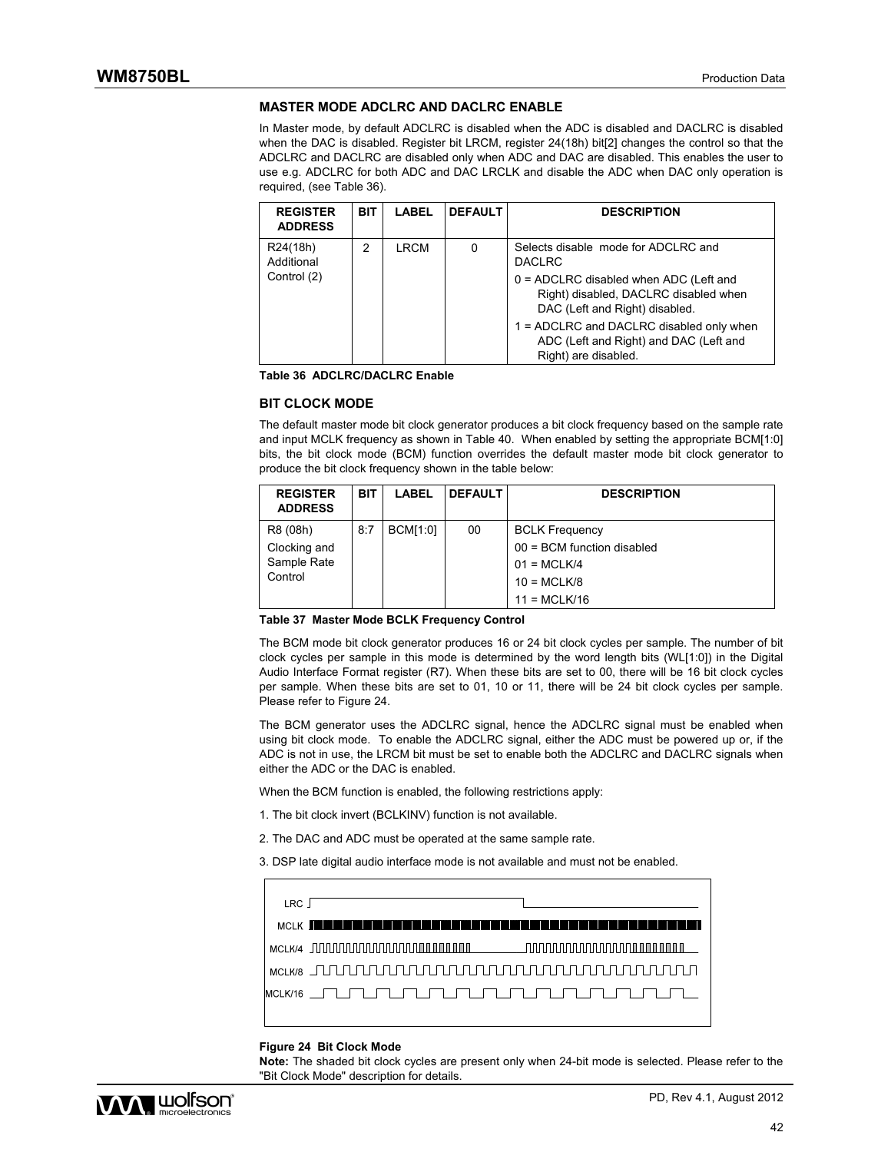### **MASTER MODE ADCLRC AND DACLRC ENABLE**

In Master mode, by default ADCLRC is disabled when the ADC is disabled and DACLRC is disabled when the DAC is disabled. Register bit LRCM, register 24(18h) bit[2] changes the control so that the ADCLRC and DACLRC are disabled only when ADC and DAC are disabled. This enables the user to use e.g. ADCLRC for both ADC and DAC LRCLK and disable the ADC when DAC only operation is required, (see Table 36).

| <b>REGISTER</b><br><b>ADDRESS</b> | <b>BIT</b> | <b>LABEL</b> | <b>DEFAULT</b> | <b>DESCRIPTION</b>                                                                                                  |
|-----------------------------------|------------|--------------|----------------|---------------------------------------------------------------------------------------------------------------------|
| R24(18h)<br>Additional            | 2          | LRCM         | 0              | Selects disable mode for ADCLRC and<br><b>DACLRC</b>                                                                |
| Control (2)                       |            |              |                | $0 = ADCLRC$ disabled when ADC (Left and<br>Right) disabled, DACLRC disabled when<br>DAC (Left and Right) disabled. |
|                                   |            |              |                | 1 = ADCLRC and DACLRC disabled only when<br>ADC (Left and Right) and DAC (Left and<br>Right) are disabled.          |

**Table 36 ADCLRC/DACLRC Enable** 

#### **BIT CLOCK MODE**

The default master mode bit clock generator produces a bit clock frequency based on the sample rate and input MCLK frequency as shown in Table 40. When enabled by setting the appropriate BCM[1:0] bits, the bit clock mode (BCM) function overrides the default master mode bit clock generator to produce the bit clock frequency shown in the table below:

| <b>REGISTER</b><br><b>ADDRESS</b>                  | <b>BIT</b> | <b>LABEL</b>    | <b>DEFAULT</b> | <b>DESCRIPTION</b>                                                                                        |
|----------------------------------------------------|------------|-----------------|----------------|-----------------------------------------------------------------------------------------------------------|
| R8 (08h)<br>Clocking and<br>Sample Rate<br>Control | 8:7        | <b>BCM[1:0]</b> | 00             | <b>BCLK Frequency</b><br>$00 = BCM$ function disabled<br>$01 = MCLK/4$<br>$10 = MCLK/8$<br>$11 = MCLK/16$ |

**Table 37 Master Mode BCLK Frequency Control** 

The BCM mode bit clock generator produces 16 or 24 bit clock cycles per sample. The number of bit clock cycles per sample in this mode is determined by the word length bits (WL[1:0]) in the Digital Audio Interface Format register (R7). When these bits are set to 00, there will be 16 bit clock cycles per sample. When these bits are set to 01, 10 or 11, there will be 24 bit clock cycles per sample. Please refer to Figure 24.

The BCM generator uses the ADCLRC signal, hence the ADCLRC signal must be enabled when using bit clock mode. To enable the ADCLRC signal, either the ADC must be powered up or, if the ADC is not in use, the LRCM bit must be set to enable both the ADCLRC and DACLRC signals when either the ADC or the DAC is enabled.

When the BCM function is enabled, the following restrictions apply:

- 1. The bit clock invert (BCLKINV) function is not available.
- 2. The DAC and ADC must be operated at the same sample rate.

3. DSP late digital audio interface mode is not available and must not be enabled.

| LRC |                                                                                                                                                                                                                                     |
|-----|-------------------------------------------------------------------------------------------------------------------------------------------------------------------------------------------------------------------------------------|
|     | $m_{\rm H}$ , $\kappa$ , the contribution is a set of the contribution in the contribution of the contribution in the contribution of the contribution of the contribution of the contribution of the contribution of the contribut |
|     |                                                                                                                                                                                                                                     |
|     |                                                                                                                                                                                                                                     |
|     |                                                                                                                                                                                                                                     |
|     |                                                                                                                                                                                                                                     |

#### **Figure 24 Bit Clock Mode**

**Note:** The shaded bit clock cycles are present only when 24-bit mode is selected. Please refer to the "Bit Clock Mode" description for details.

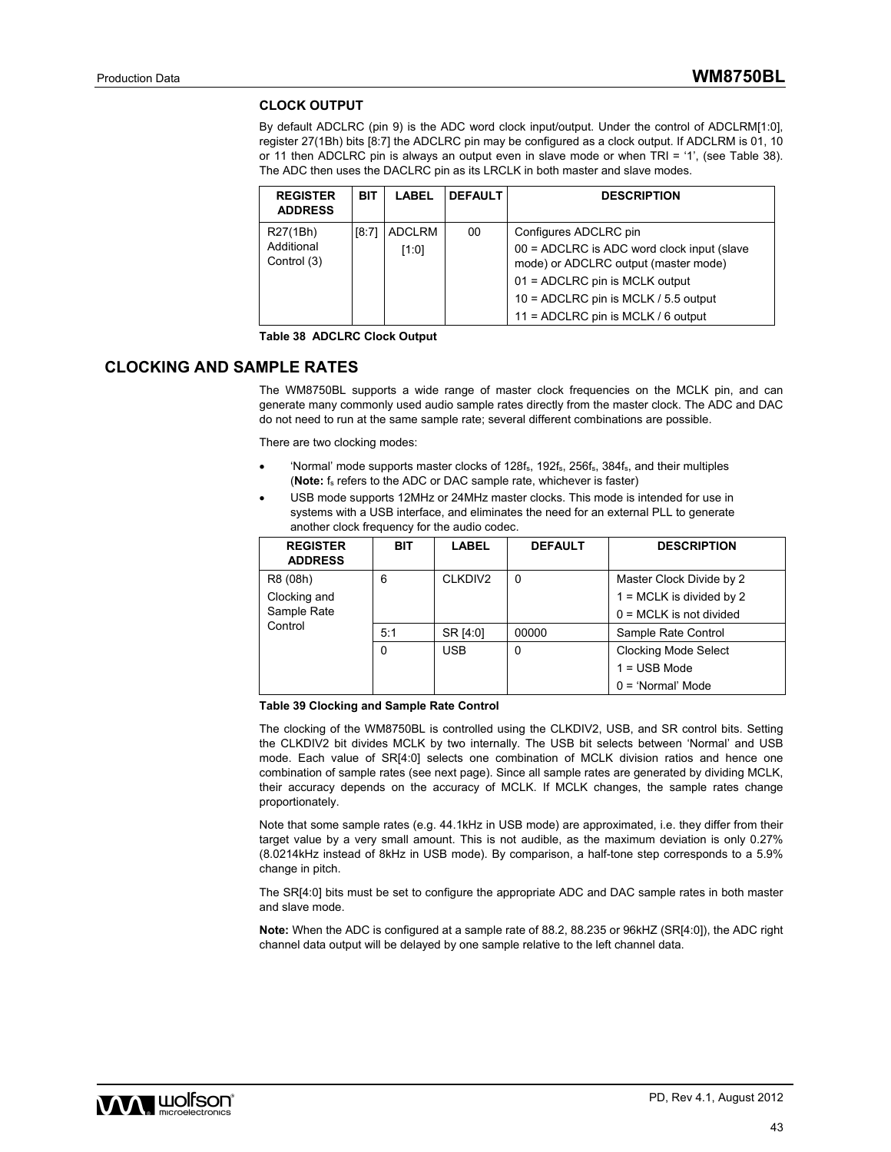### **CLOCK OUTPUT**

By default ADCLRC (pin 9) is the ADC word clock input/output. Under the control of ADCLRM[1:0], register 27(1Bh) bits [8:7] the ADCLRC pin may be configured as a clock output. If ADCLRM is 01, 10 or 11 then ADCLRC pin is always an output even in slave mode or when TRI = '1', (see Table 38). The ADC then uses the DACLRC pin as its LRCLK in both master and slave modes.

| <b>REGISTER</b><br><b>ADDRESS</b> | <b>BIT</b> | <b>LABEL</b>  | <b>DEFAULT</b> | <b>DESCRIPTION</b>                                                                   |
|-----------------------------------|------------|---------------|----------------|--------------------------------------------------------------------------------------|
| R27(1Bh)                          | [8:71      | <b>ADCLRM</b> | 00             | Configures ADCLRC pin                                                                |
| Additional<br>Control (3)         |            | [1:0]         |                | $00 = ADCLRC$ is ADC word clock input (slave<br>mode) or ADCLRC output (master mode) |
|                                   |            |               |                | 01 = ADCLRC pin is MCLK output                                                       |
|                                   |            |               |                | 10 = ADCLRC pin is MCLK / 5.5 output                                                 |
|                                   |            |               |                | 11 = ADCLRC pin is MCLK / 6 output                                                   |

**Table 38 ADCLRC Clock Output** 

### **CLOCKING AND SAMPLE RATES**

The WM8750BL supports a wide range of master clock frequencies on the MCLK pin, and can generate many commonly used audio sample rates directly from the master clock. The ADC and DAC do not need to run at the same sample rate; several different combinations are possible.

There are two clocking modes:

- 'Normal' mode supports master clocks of 128f<sub>s</sub>, 192f<sub>s</sub>, 256f<sub>s</sub>, 384f<sub>s</sub>, and their multiples (**Note:** f<sub>s</sub> refers to the ADC or DAC sample rate, whichever is faster)
- USB mode supports 12MHz or 24MHz master clocks. This mode is intended for use in systems with a USB interface, and eliminates the need for an external PLL to generate another clock frequency for the audio codec.

| <b>REGISTER</b><br><b>ADDRESS</b> | <b>BIT</b> | LABEL      | <b>DEFAULT</b> | <b>DESCRIPTION</b>          |
|-----------------------------------|------------|------------|----------------|-----------------------------|
| R8 (08h)                          | 6          | CLKDIV2    | 0              | Master Clock Divide by 2    |
| Clocking and                      |            |            |                | $1 = MCLK$ is divided by 2  |
| Sample Rate                       |            |            |                | $0 = MCLK$ is not divided   |
| Control                           | 5:1        | SR [4:0]   | 00000          | Sample Rate Control         |
|                                   | 0          | <b>USB</b> | 0              | <b>Clocking Mode Select</b> |
|                                   |            |            |                | $1 =$ USB Mode              |
|                                   |            |            |                | $0 = 'Normal' Mode$         |

#### **Table 39 Clocking and Sample Rate Control**

The clocking of the WM8750BL is controlled using the CLKDIV2, USB, and SR control bits. Setting the CLKDIV2 bit divides MCLK by two internally. The USB bit selects between 'Normal' and USB mode. Each value of SR[4:0] selects one combination of MCLK division ratios and hence one combination of sample rates (see next page). Since all sample rates are generated by dividing MCLK, their accuracy depends on the accuracy of MCLK. If MCLK changes, the sample rates change proportionately.

Note that some sample rates (e.g. 44.1kHz in USB mode) are approximated, i.e. they differ from their target value by a very small amount. This is not audible, as the maximum deviation is only 0.27% (8.0214kHz instead of 8kHz in USB mode). By comparison, a half-tone step corresponds to a 5.9% change in pitch.

The SR[4:0] bits must be set to configure the appropriate ADC and DAC sample rates in both master and slave mode.

**Note:** When the ADC is configured at a sample rate of 88.2, 88.235 or 96kHZ (SR[4:0]), the ADC right channel data output will be delayed by one sample relative to the left channel data.

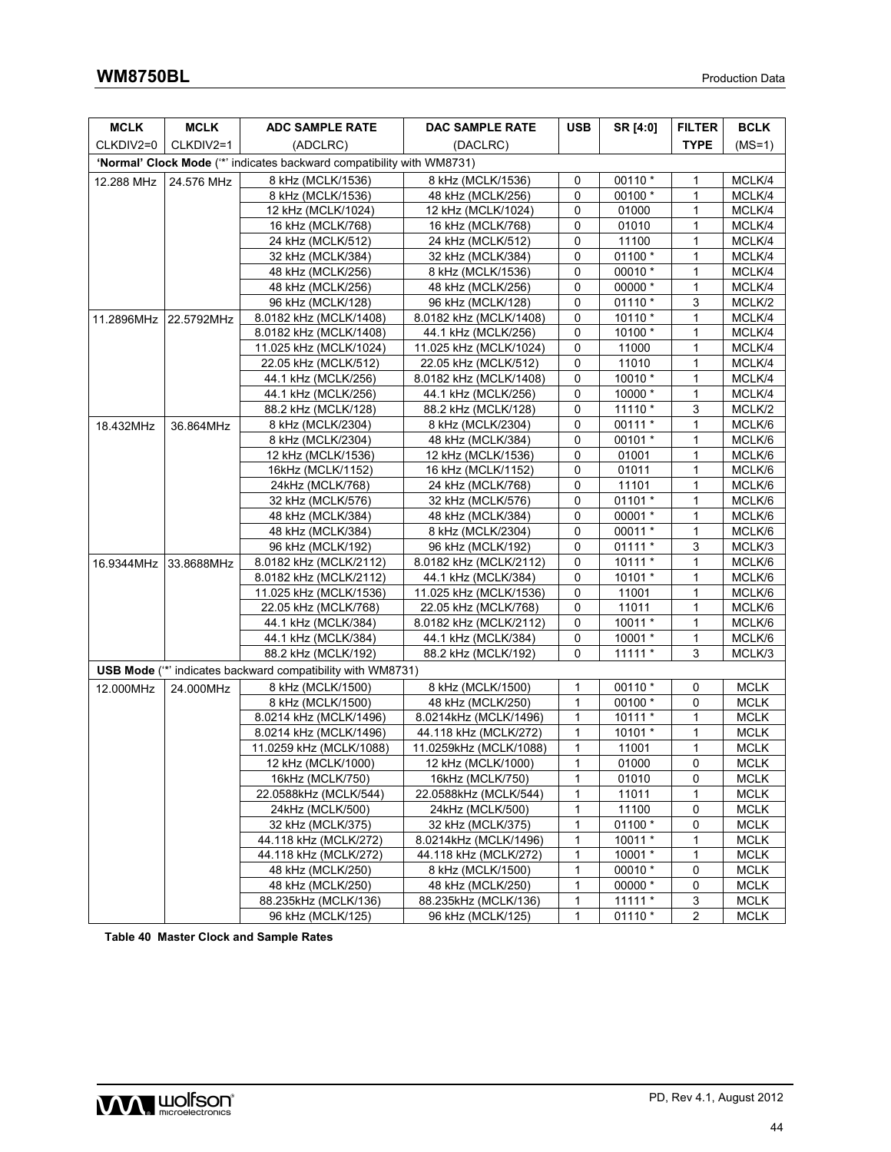| <b>MCLK</b> | MCLK                  | <b>ADC SAMPLE RATE</b>                                                | DAC SAMPLE RATE                           | <b>USB</b>        | SR [4:0]  | <b>FILTER</b>       | <b>BCLK</b> |
|-------------|-----------------------|-----------------------------------------------------------------------|-------------------------------------------|-------------------|-----------|---------------------|-------------|
| CLKDIV2=0   | CLKDIV2=1             | (ADCLRC)                                                              | (DACLRC)                                  |                   |           | <b>TYPE</b>         | $(MS=1)$    |
|             |                       | 'Normal' Clock Mode (** indicates backward compatibility with WM8731) |                                           |                   |           |                     |             |
| 12.288 MHz  | 24.576 MHz            | 8 kHz (MCLK/1536)                                                     | 8 kHz (MCLK/1536)                         | 0                 | 00110 *   | 1                   | MCLK/4      |
|             |                       | 8 kHz (MCLK/1536)                                                     | 48 kHz (MCLK/256)                         | 0                 | 00100 *   | 1                   | MCLK/4      |
|             |                       | 12 kHz (MCLK/1024)                                                    | 12 kHz (MCLK/1024)                        | 0                 | 01000     | 1                   | MCLK/4      |
|             |                       | 16 kHz (MCLK/768)                                                     | 16 kHz (MCLK/768)                         | 0                 | 01010     | 1                   | MCLK/4      |
|             |                       | 24 kHz (MCLK/512)                                                     | 24 kHz (MCLK/512)                         | 0                 | 11100     | 1                   | MCLK/4      |
|             |                       | 32 kHz (MCLK/384)                                                     | 32 kHz (MCLK/384)                         | 0                 | 01100 *   | 1                   | MCLK/4      |
|             |                       | 48 kHz (MCLK/256)                                                     | 8 kHz (MCLK/1536)                         | 0                 | 00010 *   | $\mathbf{1}$        | MCLK/4      |
|             |                       | 48 kHz (MCLK/256)                                                     | 48 kHz (MCLK/256)                         | 0                 | 00000 *   | 1                   | MCLK/4      |
|             |                       | 96 kHz (MCLK/128)                                                     | 96 kHz (MCLK/128)                         | $\mathbf 0$       | $01110*$  | 3                   | MCLK/2      |
|             | 11.2896MHz 22.5792MHz | 8.0182 kHz (MCLK/1408)                                                | 8.0182 kHz (MCLK/1408)                    | 0                 | 10110 *   | 1                   | MCLK/4      |
|             |                       | 8.0182 kHz (MCLK/1408)                                                | 44.1 kHz (MCLK/256)                       | 0                 | 10100 *   | 1                   | MCLK/4      |
|             |                       | 11.025 kHz (MCLK/1024)                                                | 11.025 kHz (MCLK/1024)                    | $\mathbf 0$       | 11000     | 1                   | MCLK/4      |
|             |                       | 22.05 kHz (MCLK/512)                                                  | 22.05 kHz (MCLK/512)                      | 0                 | 11010     | 1                   | MCLK/4      |
|             |                       | 44.1 kHz (MCLK/256)                                                   | 8.0182 kHz (MCLK/1408)                    | 0                 | 10010 *   | 1                   | MCLK/4      |
|             |                       | 44.1 kHz (MCLK/256)                                                   | 44.1 kHz (MCLK/256)                       | 0                 | 10000 *   | 1                   | MCLK/4      |
|             |                       | 88.2 kHz (MCLK/128)                                                   | 88.2 kHz (MCLK/128)                       | 0                 | 11110 *   | 3                   | MCLK/2      |
| 18.432MHz   | 36.864MHz             | 8 kHz (MCLK/2304)                                                     | 8 kHz (MCLK/2304)                         | 0                 | 00111 *   | 1                   | MCLK/6      |
|             |                       | 8 kHz (MCLK/2304)                                                     | 48 kHz (MCLK/384)                         | 0                 | 00101 *   | 1                   | MCLK/6      |
|             |                       | 12 kHz (MCLK/1536)                                                    | 12 kHz (MCLK/1536)                        | 0                 | 01001     | 1                   | MCLK/6      |
|             |                       | 16kHz (MCLK/1152)                                                     | 16 kHz (MCLK/1152)                        | $\mathbf 0$       | 01011     | $\mathbf{1}$        | MCLK/6      |
|             |                       | 24kHz (MCLK/768)                                                      | 24 kHz (MCLK/768)                         | 0                 | 11101     | 1                   | MCLK/6      |
|             |                       | 32 kHz (MCLK/576)                                                     | 32 kHz (MCLK/576)                         | 0                 | 01101 *   | 1                   | MCLK/6      |
|             |                       | 48 kHz (MCLK/384)                                                     | 48 kHz (MCLK/384)                         | 0                 | 00001 *   | 1                   | MCLK/6      |
|             |                       | 48 kHz (MCLK/384)                                                     | 8 kHz (MCLK/2304)                         | 0                 | 00011 *   | 1                   | MCLK/6      |
|             |                       | 96 kHz (MCLK/192)                                                     | 96 kHz (MCLK/192)                         | 0                 | $01111*$  | 3                   | MCLK/3      |
|             | 16.9344MHz 33.8688MHz | 8.0182 kHz (MCLK/2112)                                                | 8.0182 kHz (MCLK/2112)                    | 0                 | $10111*$  | 1                   | MCLK/6      |
|             |                       | 8.0182 kHz (MCLK/2112)                                                | 44.1 kHz (MCLK/384)                       | 0                 | 10101 *   | 1                   | MCLK/6      |
|             |                       | 11.025 kHz (MCLK/1536)                                                | 11.025 kHz (MCLK/1536)                    | $\mathbf 0$       | 11001     | 1                   | MCLK/6      |
|             |                       | 22.05 kHz (MCLK/768)                                                  | 22.05 kHz (MCLK/768)                      | 0                 | 11011     | 1                   | MCLK/6      |
|             |                       | 44.1 kHz (MCLK/384)                                                   | 8.0182 kHz (MCLK/2112)                    | 0                 | 10011 *   | 1                   | MCLK/6      |
|             |                       | 44.1 kHz (MCLK/384)                                                   | 44.1 kHz (MCLK/384)                       | 0                 | 10001 *   | $\mathbf{1}$        | MCLK/6      |
|             |                       | 88.2 kHz (MCLK/192)                                                   | 88.2 kHz (MCLK/192)                       | $\Omega$          | $11111*$  | 3                   | MCLK/3      |
|             |                       | <b>USB Mode</b> (** indicates backward compatibility with WM8731)     |                                           |                   |           |                     |             |
| 12.000MHz   | 24.000MHz             | 8 kHz (MCLK/1500)                                                     | 8 kHz (MCLK/1500)                         | 1                 | 00110 *   | 0                   | <b>MCLK</b> |
|             |                       | 8 kHz (MCLK/1500)                                                     | 48 kHz (MCLK/250)                         | 1                 | 00100 *   | 0                   | <b>MCLK</b> |
|             |                       | 8.0214 kHz (MCLK/1496)                                                | 8.0214kHz (MCLK/1496)                     | 1                 | $10111*$  | 1                   | <b>MCLK</b> |
|             |                       | 8.0214 kHz (MCLK/1496)                                                | 44.118 kHz (MCLK/272)                     | $\mathbf{1}$      | $10101*$  | $\mathbf{1}$        | <b>MCLK</b> |
|             |                       | 11.0259 kHz (MCLK/1088)                                               | 11.0259kHz (MCLK/1088)                    | 1                 | 11001     | 1                   | <b>MCLK</b> |
|             |                       | 12 kHz (MCLK/1000)                                                    | 12 kHz (MCLK/1000)                        | $\mathbf{1}$      | 01000     | $\mathbf 0$         | <b>MCLK</b> |
|             |                       | 16kHz (MCLK/750)                                                      | 16kHz (MCLK/750)                          | 1                 | 01010     | 0                   | <b>MCLK</b> |
|             |                       | 22.0588kHz (MCLK/544)                                                 | 22.0588kHz (MCLK/544)                     | 1                 | 11011     | $\mathbf{1}$        | <b>MCLK</b> |
|             |                       | 24kHz (MCLK/500)                                                      | 24kHz (MCLK/500)                          | 1                 | 11100     | 0                   | <b>MCLK</b> |
|             |                       | 32 kHz (MCLK/375)                                                     | 32 kHz (MCLK/375)                         | 1                 | 01100 *   | 0                   | <b>MCLK</b> |
|             |                       | 44.118 kHz (MCLK/272)                                                 | 8.0214kHz (MCLK/1496)                     | 1                 | $10011*$  | 1                   | <b>MCLK</b> |
|             |                       | 44.118 kHz (MCLK/272)                                                 | 44.118 kHz (MCLK/272)                     | 1                 | $10001 *$ | $\mathbf{1}$        | <b>MCLK</b> |
|             |                       | 48 kHz (MCLK/250)                                                     | 8 kHz (MCLK/1500)                         | 1                 | 00010 *   | 0                   | <b>MCLK</b> |
|             |                       | 48 kHz (MCLK/250)                                                     | 48 kHz (MCLK/250)<br>88.235kHz (MCLK/136) | 1                 | 00000 *   | 0                   | <b>MCLK</b> |
|             |                       | 88.235kHz (MCLK/136)                                                  |                                           | 1<br>$\mathbf{1}$ | $11111*$  | 3<br>$\overline{2}$ | <b>MCLK</b> |
|             |                       | 96 kHz (MCLK/125)                                                     | 96 kHz (MCLK/125)                         |                   | 01110 *   |                     | <b>MCLK</b> |

**Table 40 Master Clock and Sample Rates** 

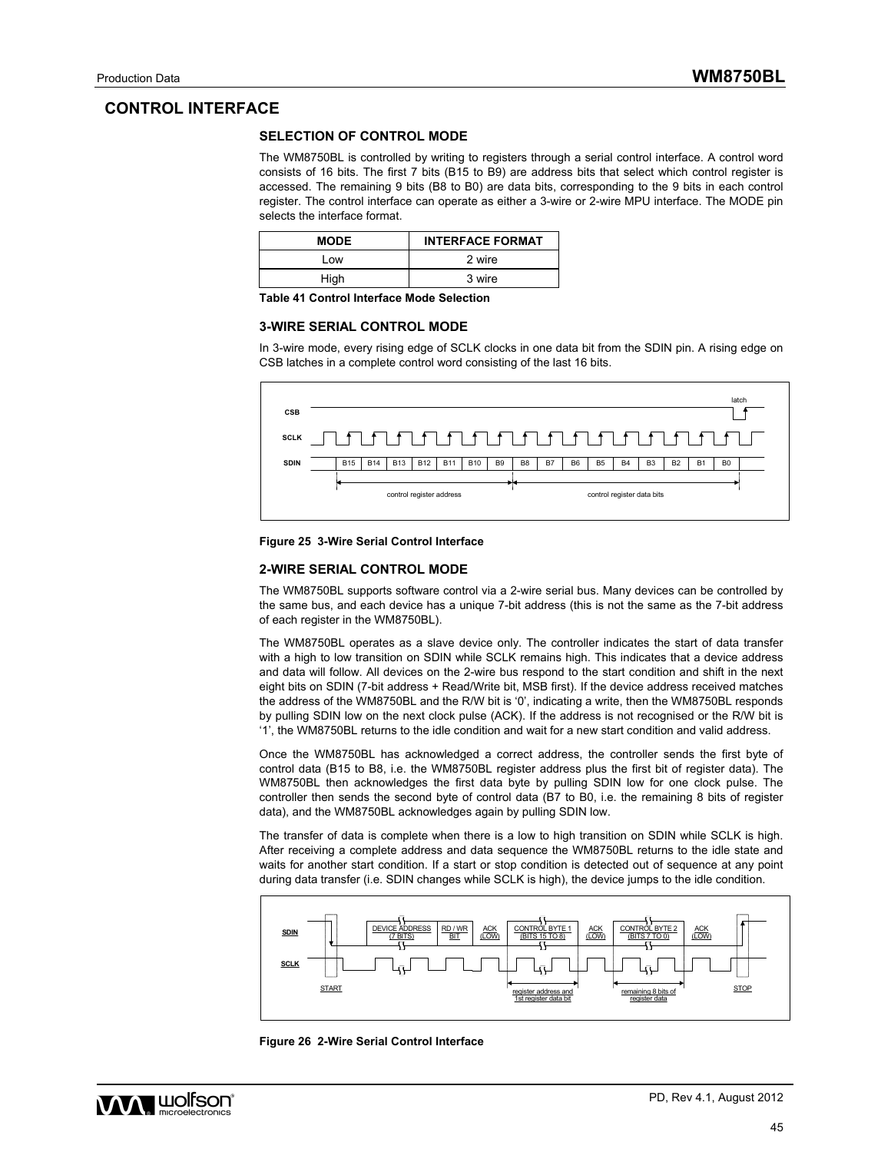### **CONTROL INTERFACE**

### **SELECTION OF CONTROL MODE**

The WM8750BL is controlled by writing to registers through a serial control interface. A control word consists of 16 bits. The first 7 bits (B15 to B9) are address bits that select which control register is accessed. The remaining 9 bits (B8 to B0) are data bits, corresponding to the 9 bits in each control register. The control interface can operate as either a 3-wire or 2-wire MPU interface. The MODE pin selects the interface format.

| <b>MODE</b> | <b>INTERFACE FORMAT</b> |
|-------------|-------------------------|
| Low         | 2 wire                  |
| High        | 3 wire                  |

**Table 41 Control Interface Mode Selection** 

#### **3-WIRE SERIAL CONTROL MODE**

In 3-wire mode, every rising edge of SCLK clocks in one data bit from the SDIN pin. A rising edge on CSB latches in a complete control word consisting of the last 16 bits.



#### **Figure 25 3-Wire Serial Control Interface**

#### **2-WIRE SERIAL CONTROL MODE**

The WM8750BL supports software control via a 2-wire serial bus. Many devices can be controlled by the same bus, and each device has a unique 7-bit address (this is not the same as the 7-bit address of each register in the WM8750BL).

The WM8750BL operates as a slave device only. The controller indicates the start of data transfer with a high to low transition on SDIN while SCLK remains high. This indicates that a device address and data will follow. All devices on the 2-wire bus respond to the start condition and shift in the next eight bits on SDIN (7-bit address + Read/Write bit, MSB first). If the device address received matches the address of the WM8750BL and the R/W bit is '0', indicating a write, then the WM8750BL responds by pulling SDIN low on the next clock pulse (ACK). If the address is not recognised or the R/W bit is '1', the WM8750BL returns to the idle condition and wait for a new start condition and valid address.

Once the WM8750BL has acknowledged a correct address, the controller sends the first byte of control data (B15 to B8, i.e. the WM8750BL register address plus the first bit of register data). The WM8750BL then acknowledges the first data byte by pulling SDIN low for one clock pulse. The controller then sends the second byte of control data (B7 to B0, i.e. the remaining 8 bits of register data), and the WM8750BL acknowledges again by pulling SDIN low.

The transfer of data is complete when there is a low to high transition on SDIN while SCLK is high. After receiving a complete address and data sequence the WM8750BL returns to the idle state and waits for another start condition. If a start or stop condition is detected out of sequence at any point during data transfer (i.e. SDIN changes while SCLK is high), the device jumps to the idle condition.



**Figure 26 2-Wire Serial Control Interface** 

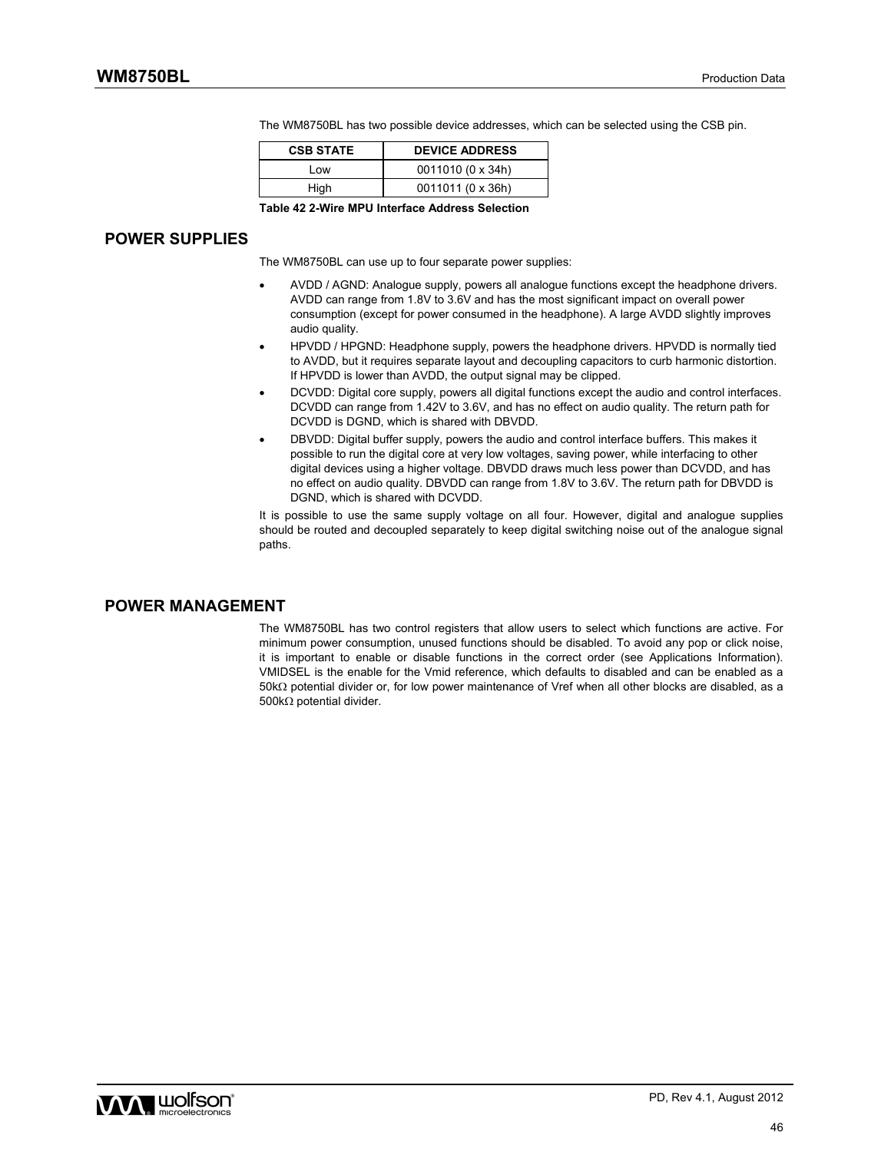| <b>CSB STATE</b> | <b>DEVICE ADDRESS</b> |
|------------------|-----------------------|
| Low              | 0011010 (0 x 34h)     |
| High             | 0011011 (0 x 36h)     |

The WM8750BL has two possible device addresses, which can be selected using the CSB pin.

**Table 42 2-Wire MPU Interface Address Selection** 

### **POWER SUPPLIES**

The WM8750BL can use up to four separate power supplies:

- AVDD / AGND: Analogue supply, powers all analogue functions except the headphone drivers. AVDD can range from 1.8V to 3.6V and has the most significant impact on overall power consumption (except for power consumed in the headphone). A large AVDD slightly improves audio quality.
- HPVDD / HPGND: Headphone supply, powers the headphone drivers. HPVDD is normally tied to AVDD, but it requires separate layout and decoupling capacitors to curb harmonic distortion. If HPVDD is lower than AVDD, the output signal may be clipped.
- DCVDD: Digital core supply, powers all digital functions except the audio and control interfaces. DCVDD can range from 1.42V to 3.6V, and has no effect on audio quality. The return path for DCVDD is DGND, which is shared with DBVDD.
- DBVDD: Digital buffer supply, powers the audio and control interface buffers. This makes it possible to run the digital core at very low voltages, saving power, while interfacing to other digital devices using a higher voltage. DBVDD draws much less power than DCVDD, and has no effect on audio quality. DBVDD can range from 1.8V to 3.6V. The return path for DBVDD is DGND, which is shared with DCVDD.

It is possible to use the same supply voltage on all four. However, digital and analogue supplies should be routed and decoupled separately to keep digital switching noise out of the analogue signal paths.

### **POWER MANAGEMENT**

The WM8750BL has two control registers that allow users to select which functions are active. For minimum power consumption, unused functions should be disabled. To avoid any pop or click noise, it is important to enable or disable functions in the correct order (see Applications Information). VMIDSEL is the enable for the Vmid reference, which defaults to disabled and can be enabled as a 50k potential divider or, for low power maintenance of Vref when all other blocks are disabled, as a 500k $\Omega$  potential divider.

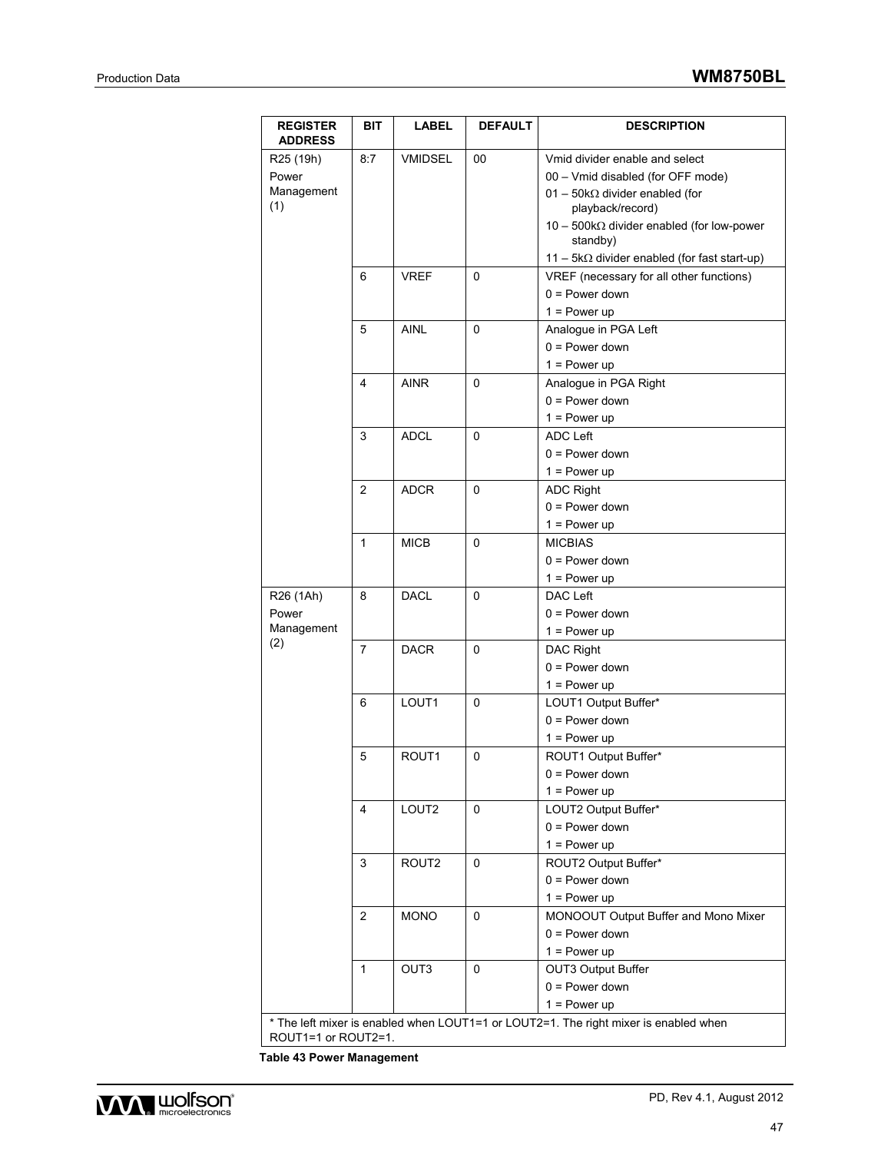| <b>REGISTER</b><br><b>ADDRESS</b>                   | <b>BIT</b>     | <b>LABEL</b>      | <b>DEFAULT</b> | <b>DESCRIPTION</b>                                                                                                                                                                               |
|-----------------------------------------------------|----------------|-------------------|----------------|--------------------------------------------------------------------------------------------------------------------------------------------------------------------------------------------------|
| R <sub>25</sub> (19h)<br>Power<br>Management<br>(1) | 8:7            | <b>VMIDSEL</b>    | 00             | Vmid divider enable and select<br>00 - Vmid disabled (for OFF mode)<br>$01 - 50k\Omega$ divider enabled (for<br>playback/record)<br>$10 - 500k\Omega$ divider enabled (for low-power<br>standby) |
|                                                     |                |                   |                | 11 - 5kΩ divider enabled (for fast start-up)                                                                                                                                                     |
|                                                     | 6              | <b>VREF</b>       | 0              | VREF (necessary for all other functions)<br>$0 = Power down$<br>$1 = Power up$                                                                                                                   |
|                                                     | 5              | <b>AINL</b>       | $\Omega$       | Analogue in PGA Left<br>$0 = Power down$<br>$1 = Power up$                                                                                                                                       |
|                                                     | 4              | <b>AINR</b>       | $\Omega$       | Analogue in PGA Right<br>$0 = Power down$<br>$1 = Power up$                                                                                                                                      |
|                                                     | 3              | <b>ADCL</b>       | 0              | <b>ADC Left</b><br>$0 = Power down$<br>$1 = Power up$                                                                                                                                            |
|                                                     | $\overline{2}$ | <b>ADCR</b>       | 0              | <b>ADC Right</b><br>$0 = Power down$<br>$1 = Power up$                                                                                                                                           |
|                                                     | $\mathbf{1}$   | <b>MICB</b>       | 0              | <b>MICBIAS</b><br>$0 = Power down$<br>$1 = Power up$                                                                                                                                             |
| R <sub>26</sub> (1Ah)<br>Power<br>Management        | 8              | <b>DACL</b>       | 0              | DAC Left<br>$0 = Power down$<br>$1 = Power up$                                                                                                                                                   |
| (2)                                                 | 7              | <b>DACR</b>       | 0              | <b>DAC Right</b><br>$0 = Power down$<br>$1 = Power up$                                                                                                                                           |
|                                                     | 6              | LOUT1             | 0              | LOUT1 Output Buffer*<br>$0 = Power down$<br>$1 = Power up$                                                                                                                                       |
|                                                     | 5              | ROUT <sub>1</sub> | 0              | ROUT1 Output Buffer*<br>$0 = Power down$<br>$1 = Power up$                                                                                                                                       |
|                                                     | 4              | LOUT <sub>2</sub> | 0              | LOUT2 Output Buffer*<br>$0 = Power down$<br>$1 = Power up$                                                                                                                                       |
|                                                     | 3              | ROUT2             | 0              | ROUT2 Output Buffer*<br>$0 = Power down$<br>$1 = Power up$                                                                                                                                       |
|                                                     | $\overline{2}$ | <b>MONO</b>       | 0              | MONOOUT Output Buffer and Mono Mixer<br>$0 = Power down$<br>$1 = Power up$                                                                                                                       |
|                                                     | $\mathbf{1}$   | OUT3              | 0              | <b>OUT3 Output Buffer</b><br>$0 = Power down$<br>$1 = Power up$                                                                                                                                  |
| ROUT1=1 or ROUT2=1.                                 |                |                   |                | * The left mixer is enabled when LOUT1=1 or LOUT2=1. The right mixer is enabled when                                                                                                             |

**Table 43 Power Management**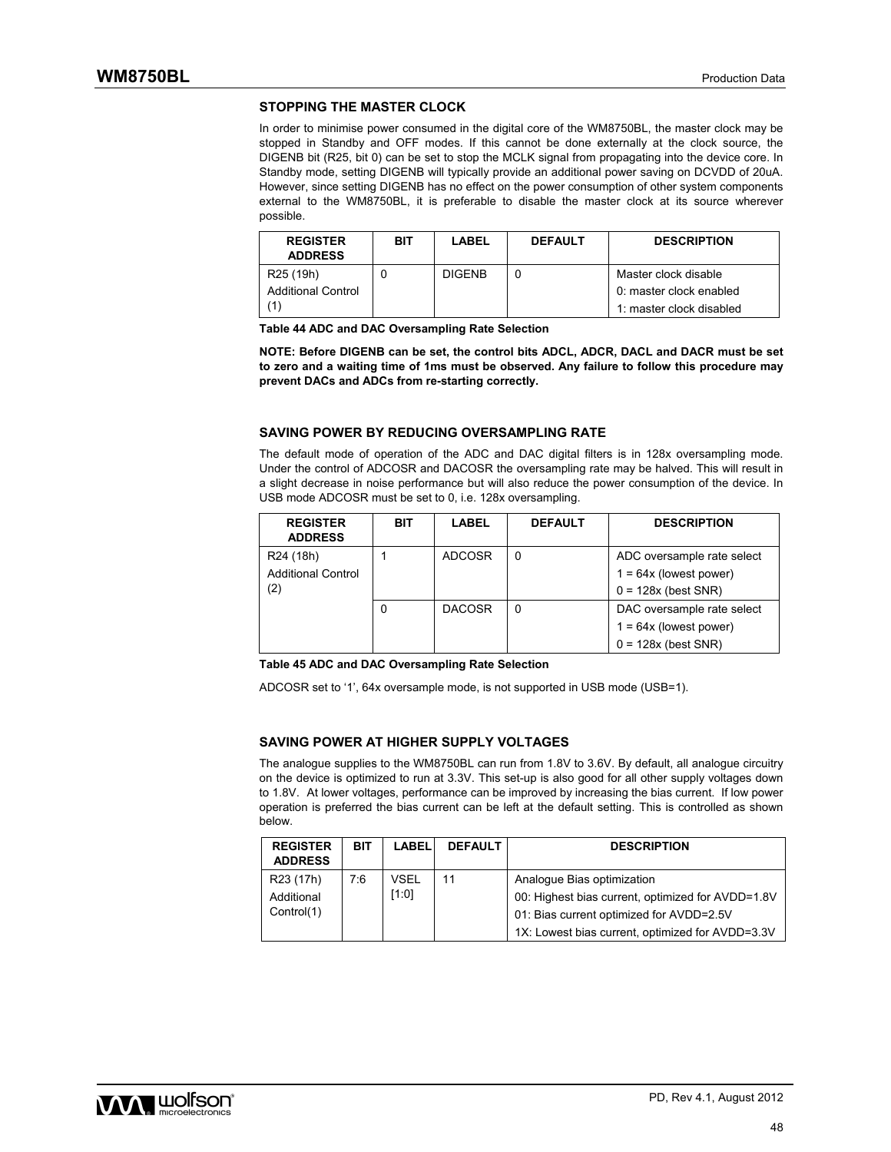#### **STOPPING THE MASTER CLOCK**

In order to minimise power consumed in the digital core of the WM8750BL, the master clock may be stopped in Standby and OFF modes. If this cannot be done externally at the clock source, the DIGENB bit (R25, bit 0) can be set to stop the MCLK signal from propagating into the device core. In Standby mode, setting DIGENB will typically provide an additional power saving on DCVDD of 20uA. However, since setting DIGENB has no effect on the power consumption of other system components external to the WM8750BL, it is preferable to disable the master clock at its source wherever possible.

| <b>REGISTER</b><br><b>ADDRESS</b> | BIT | LABEL         | <b>DEFAULT</b> | <b>DESCRIPTION</b>       |
|-----------------------------------|-----|---------------|----------------|--------------------------|
| R <sub>25</sub> (19h)             |     | <b>DIGENB</b> |                | Master clock disable     |
| <b>Additional Control</b>         |     |               |                | 0: master clock enabled  |
|                                   |     |               |                | 1: master clock disabled |

**Table 44 ADC and DAC Oversampling Rate Selection** 

**NOTE: Before DIGENB can be set, the control bits ADCL, ADCR, DACL and DACR must be set to zero and a waiting time of 1ms must be observed. Any failure to follow this procedure may prevent DACs and ADCs from re-starting correctly.** 

#### **SAVING POWER BY REDUCING OVERSAMPLING RATE**

The default mode of operation of the ADC and DAC digital filters is in 128x oversampling mode. Under the control of ADCOSR and DACOSR the oversampling rate may be halved. This will result in a slight decrease in noise performance but will also reduce the power consumption of the device. In USB mode ADCOSR must be set to 0, i.e. 128x oversampling.

| <b>REGISTER</b><br><b>ADDRESS</b>                  | <b>BIT</b> | <b>LABEL</b>  | <b>DEFAULT</b> | <b>DESCRIPTION</b>                                     |
|----------------------------------------------------|------------|---------------|----------------|--------------------------------------------------------|
| R <sub>24</sub> (18h)<br><b>Additional Control</b> |            | <b>ADCOSR</b> | 0              | ADC oversample rate select<br>$1 = 64x$ (lowest power) |
| (2)                                                |            |               |                | $0 = 128x$ (best SNR)                                  |
|                                                    |            | <b>DACOSR</b> | 0              | DAC oversample rate select                             |
|                                                    |            |               |                | $1 = 64x$ (lowest power)                               |
|                                                    |            |               |                | $0 = 128x$ (best SNR)                                  |

#### **Table 45 ADC and DAC Oversampling Rate Selection**

ADCOSR set to '1', 64x oversample mode, is not supported in USB mode (USB=1).

#### **SAVING POWER AT HIGHER SUPPLY VOLTAGES**

The analogue supplies to the WM8750BL can run from 1.8V to 3.6V. By default, all analogue circuitry on the device is optimized to run at 3.3V. This set-up is also good for all other supply voltages down to 1.8V. At lower voltages, performance can be improved by increasing the bias current. If low power operation is preferred the bias current can be left at the default setting. This is controlled as shown below.

| <b>REGISTER</b><br><b>ADDRESS</b>                 | LABEL<br><b>BIT</b>  | <b>DEFAULT</b> | <b>DESCRIPTION</b>                                                                                                          |
|---------------------------------------------------|----------------------|----------------|-----------------------------------------------------------------------------------------------------------------------------|
| R <sub>23</sub> (17h)<br>Additional<br>Control(1) | VSEL<br>7:6<br>[1:0] | 11             | Analogue Bias optimization<br>00: Highest bias current, optimized for AVDD=1.8V<br>01: Bias current optimized for AVDD=2.5V |
|                                                   |                      |                | 1X: Lowest bias current, optimized for AVDD=3.3V                                                                            |

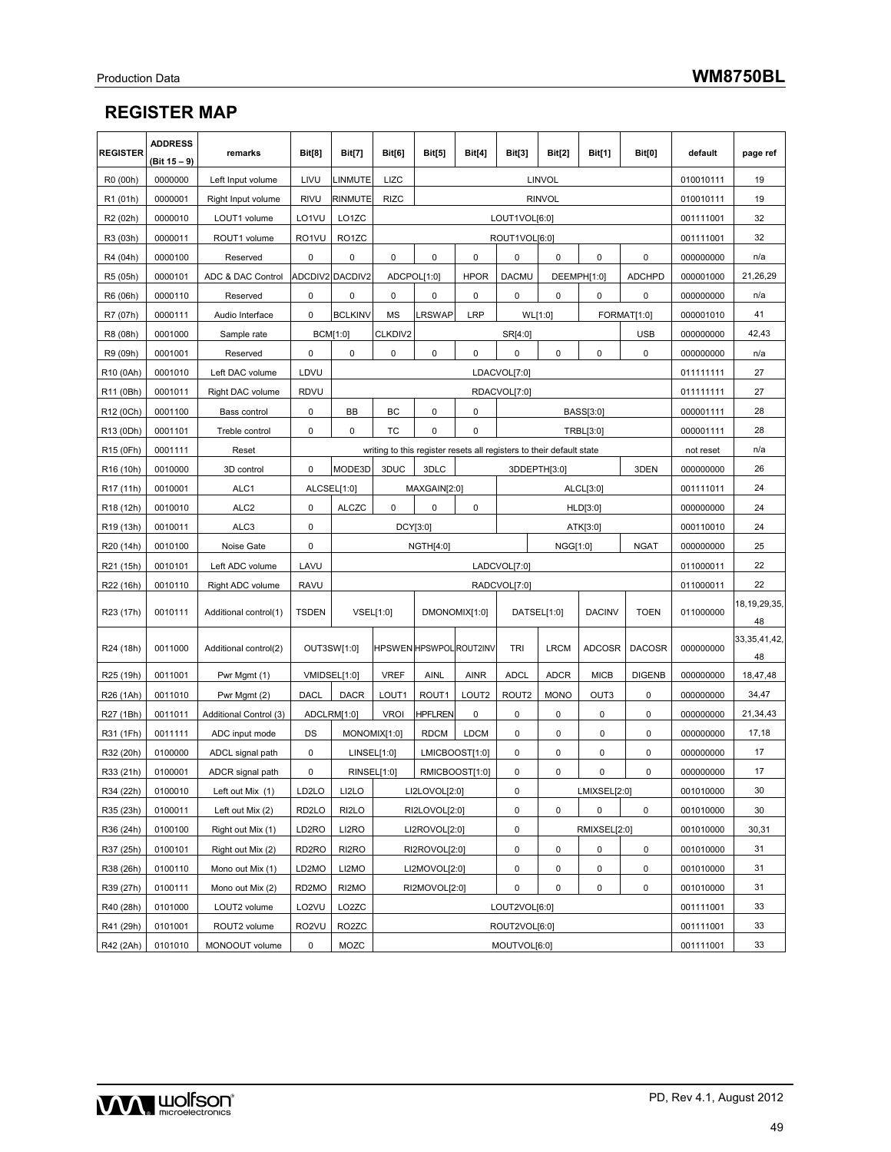## **REGISTER MAP**

| <b>REGISTER</b>       | <b>ADDRESS</b><br>(Bit 15 – 9) | remarks                                              | Bit[8]                                           | <b>Bit[7]</b>      | Bit[6]                                                    | <b>Bit[5]</b>                                                        | Bit[4]            | <b>Bit[3]</b>            | <b>Bit[2]</b> | <b>Bit[1]</b>          | Bit[0]                       | default   | page ref              |
|-----------------------|--------------------------------|------------------------------------------------------|--------------------------------------------------|--------------------|-----------------------------------------------------------|----------------------------------------------------------------------|-------------------|--------------------------|---------------|------------------------|------------------------------|-----------|-----------------------|
| R0 (00h)              | 0000000                        | Left Input volume                                    | LIVU                                             | LINMUTE            | LIZC                                                      | <b>LINVOL</b>                                                        |                   |                          |               |                        | 010010111                    | 19        |                       |
| R1 (01h)              | 0000001                        | Right Input volume                                   | <b>RIVU</b>                                      | RINMUTE            | <b>RIZC</b><br><b>RINVOL</b>                              |                                                                      |                   |                          | 010010111     | 19                     |                              |           |                       |
| R <sub>2</sub> (02h)  | 0000010                        | LO1VU<br>LOUT1VOL[6:0]<br>LOUT1 volume<br>LO1ZC      |                                                  |                    |                                                           | 001111001                                                            | 32                |                          |               |                        |                              |           |                       |
| R3 (03h)              | 0000011                        | ROUT1 volume                                         | RO1VU<br>RO <sub>1</sub> ZC<br>ROUT1VOL[6:0]     |                    |                                                           |                                                                      |                   | 001111001                | 32            |                        |                              |           |                       |
| R4 (04h)              | 0000100                        | Reserved                                             | 0                                                | 0                  | 0                                                         | 0                                                                    | 0                 | 0                        | 0             | 0                      | 0                            | 000000000 | n/a                   |
| R5 (05h)              | 0000101                        | ADC & DAC Control                                    |                                                  | ADCDIV2 DACDIV2    | ADCPOL[1:0]<br><b>HPOR</b><br><b>DACMU</b><br>DEEMPH[1:0] |                                                                      | <b>ADCHPD</b>     | 000001000                | 21,26,29      |                        |                              |           |                       |
| R6 (06h)              | 0000110                        | Reserved                                             | 0                                                | 0                  | 0                                                         | 0                                                                    | 0                 | 0<br>0<br>$\pmb{0}$<br>0 |               | 000000000              | n/a                          |           |                       |
| R7 (07h)              | 0000111                        | Audio Interface                                      | 0                                                | <b>BCLKINV</b>     | MS                                                        | LRSWAP                                                               | <b>LRP</b>        | WL[1:0]                  | FORMAT[1:0]   |                        |                              | 000001010 | 41                    |
| R8 (08h)              | 0001000                        | Sample rate                                          |                                                  | BCM[1:0]           | CLKDIV2                                                   |                                                                      |                   | SR[4:0]                  |               | <b>USB</b>             |                              | 000000000 | 42,43                 |
| R9 (09h)              | 0001001                        | Reserved                                             | 0                                                | 0                  | 0                                                         | 0                                                                    | 0                 | 0                        | 0             | 0                      | 0                            | 000000000 | n/a                   |
| R10 (0Ah)             | 0001010                        | Left DAC volume                                      | LDVU                                             |                    |                                                           |                                                                      |                   | LDACVOL[7:0]             |               |                        |                              | 011111111 | 27                    |
| R11 (0Bh)             | 0001011                        | Right DAC volume                                     | <b>RDVU</b>                                      |                    |                                                           |                                                                      |                   | RDACVOL[7:0]             |               |                        |                              | 011111111 | 27                    |
| R12 (0Ch)             | 0001100                        | Bass control                                         | 0                                                | BB                 | BC                                                        | 0                                                                    | 0                 |                          |               | BASS[3:0]              |                              | 000001111 | 28                    |
| R13 (0Dh)             | 0001101                        | Treble control                                       | 0                                                | 0                  | TC                                                        | 0                                                                    | 0                 |                          |               | TRBL[3:0]              |                              | 000001111 | 28                    |
| R <sub>15</sub> (0Fh) | 0001111                        | Reset                                                |                                                  |                    |                                                           | writing to this register resets all registers to their default state |                   |                          |               |                        |                              | not reset | n/a                   |
| R <sub>16</sub> (10h) | 0010000                        | 3D control                                           | 0                                                | MODE3D             | 3DUC                                                      | 3DLC                                                                 |                   |                          | 3DDEPTH[3:0]  |                        | 3DEN                         | 000000000 | 26                    |
| R <sub>17</sub> (11h) | 0010001                        | ALC <sub>1</sub>                                     | ALCSEL[1:0]                                      |                    |                                                           | MAXGAIN[2:0]                                                         |                   |                          |               | ALCL[3:0]              | 001111011                    | 24        |                       |
| R <sub>18</sub> (12h) | 0010010                        | ALC <sub>2</sub><br>0<br><b>ALCZC</b><br>0<br>0<br>0 |                                                  |                    | HLD[3:0]                                                  |                                                                      | 000000000         | 24                       |               |                        |                              |           |                       |
| R19 (13h)             | 0010011                        | ALC <sub>3</sub><br>0                                |                                                  |                    |                                                           | DCY[3:0]                                                             |                   |                          |               | ATK[3:0]               |                              | 000110010 | 24                    |
| R20 (14h)             | 0010100                        | Noise Gate                                           | 0<br><b>NGAT</b><br><b>NGTH[4:0]</b><br>NGG[1:0] |                    |                                                           |                                                                      | 000000000         | 25                       |               |                        |                              |           |                       |
| R21 (15h)             | 0010101                        | Left ADC volume                                      | LAVU                                             |                    |                                                           |                                                                      |                   | LADCVOL[7:0]             |               |                        |                              | 011000011 | 22                    |
| R22 (16h)             | 0010110                        | Right ADC volume                                     | <b>RAVU</b>                                      |                    | RADCVOL[7:0]                                              |                                                                      |                   |                          |               | 011000011              | 22                           |           |                       |
| R23 (17h)             | 0010111                        | Additional control(1)                                | <b>TSDEN</b>                                     |                    | VSEL[1:0]                                                 | DMONOMIX[1:0]                                                        |                   |                          | DATSEL[1:0]   |                        | <b>DACINV</b><br><b>TOEN</b> |           | 18,19,29,35,<br>48    |
| R24 (18h)             | 0011000                        | Additional control(2)                                |                                                  | OUT3SW[1:0]        |                                                           | <b>HPSWEN HPSWPOL ROUT2INV</b>                                       |                   | TRI                      | <b>LRCM</b>   | <b>ADCOSR</b>          | <b>DACOSR</b>                | 000000000 | 33, 35, 41, 42,<br>48 |
| R25 (19h)             | 0011001                        | Pwr Mgmt (1)                                         |                                                  | VMIDSEL[1:0]       | <b>VREF</b>                                               | AINL                                                                 | <b>AINR</b>       | <b>ADCL</b>              | <b>ADCR</b>   | <b>MICB</b>            | <b>DIGENB</b>                | 000000000 | 18,47,48              |
| R26 (1Ah)             | 0011010                        | Pwr Mgmt (2)                                         | <b>DACL</b>                                      | <b>DACR</b>        | LOUT1                                                     | ROUT1                                                                | LOUT <sub>2</sub> | ROUT2                    | <b>MONO</b>   | OUT3                   | 0                            | 000000000 | 34,47                 |
| R27 (1Bh)             | 0011011                        | Additional Control (3)                               |                                                  | ADCLRM[1:0]        | <b>VROI</b>                                               | <b>HPFLREN</b>                                                       | 0                 | 0                        | 0             | 0                      | 0                            | 000000000 | 21,34,43              |
| R31 (1Fh)             | 0011111                        | ADC input mode                                       | DS                                               |                    | MONOMIX[1:0]                                              | <b>RDCM</b>                                                          | <b>LDCM</b>       | 0                        | 0             | 0                      | 0                            | 000000000 | 17,18                 |
| R32 (20h)             | 0100000                        | ADCL signal path                                     | 0                                                |                    | LINSEL[1:0]                                               |                                                                      | LMICBOOST[1:0]    | 0                        | 0             | 0                      | 0                            | 000000000 | 17                    |
| R33 (21h)             | 0100001                        | ADCR signal path                                     | 0                                                |                    | RINSEL[1:0]                                               |                                                                      | RMICBOOST[1:0]    | 0                        | 0             | 0                      | 0                            | 000000000 | 17                    |
| R34 (22h)             | 0100010                        | Left out Mix (1)                                     | LD2LO                                            | LI2LO              |                                                           |                                                                      | LI2LOVOL[2:0]     |                          |               | LMIXSEL[2:0]           |                              | 001010000 | 30                    |
| R35 (23h)             | 0100011                        | Left out Mix (2)                                     | RD <sub>2LO</sub>                                | RI <sub>2</sub> LO |                                                           | RI2LOVOL[2:0]                                                        |                   | $\pmb{0}$                | $\pmb{0}$     | $\pmb{0}$<br>$\pmb{0}$ |                              | 001010000 | 30                    |
| R36 (24h)             | 0100100                        | Right out Mix (1)                                    | LD2RO                                            | LI2RO              |                                                           | LI2ROVOL[2:0]                                                        |                   | 0                        | RMIXSEL[2:0]  |                        |                              | 001010000 | 30,31                 |
| R37 (25h)             | 0100101                        | Right out Mix (2)                                    | RD <sub>2</sub> RO                               | RI2RO              |                                                           | RI2ROVOL[2:0]                                                        |                   | 0                        | $\pmb{0}$     | $\pmb{0}$              | $\pmb{0}$                    | 001010000 | 31                    |
| R38 (26h)             | 0100110                        | Mono out Mix (1)                                     | LD2MO                                            | LI2MO              |                                                           | LI2MOVOL[2:0]                                                        |                   | 0                        | 0             | $\pmb{0}$              | $\pmb{0}$                    | 001010000 | 31                    |
| R39 (27h)             | 0100111                        | Mono out Mix (2)                                     | RD2MO                                            | RI2MO              |                                                           | RI2MOVOL[2:0]<br>0<br>0                                              |                   | 0                        |               | $\pmb{0}$              | 001010000                    | 31        |                       |
| R40 (28h)             | 0101000                        | LOUT2 volume                                         | LO2VU                                            | LO2ZC              |                                                           |                                                                      |                   | LOUT2VOL[6:0]            |               |                        |                              | 001111001 | 33                    |
| R41 (29h)             | 0101001                        | ROUT2 volume                                         | RO2VU                                            | RO2ZC              |                                                           | 001111001<br>ROUT2VOL[6:0]                                           |                   |                          |               |                        |                              |           | 33                    |
| R42 (2Ah)             | 0101010                        | MONOOUT volume                                       | 0                                                | MOZC               | MOUTVOL[6:0]                                              |                                                                      |                   |                          |               | 001111001              | 33                           |           |                       |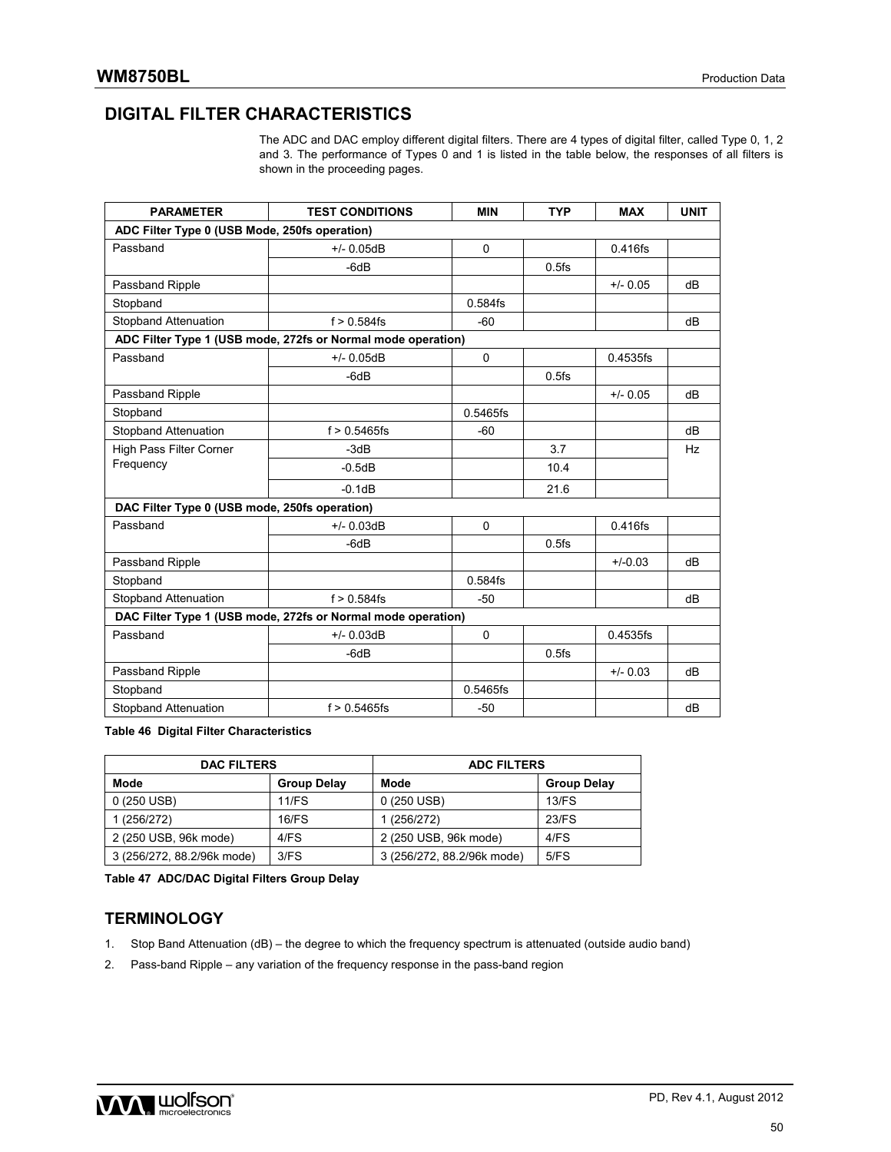## **DIGITAL FILTER CHARACTERISTICS**

The ADC and DAC employ different digital filters. There are 4 types of digital filter, called Type 0, 1, 2 and 3. The performance of Types 0 and 1 is listed in the table below, the responses of all filters is shown in the proceeding pages.

| <b>PARAMETER</b>                                             | <b>TEST CONDITIONS</b>                                       | <b>MIN</b> | <b>TYP</b> | <b>MAX</b> | <b>UNIT</b> |  |  |  |  |  |
|--------------------------------------------------------------|--------------------------------------------------------------|------------|------------|------------|-------------|--|--|--|--|--|
| ADC Filter Type 0 (USB Mode, 250fs operation)                |                                                              |            |            |            |             |  |  |  |  |  |
| Passband                                                     | $+/- 0.05dB$                                                 | 0          |            | 0.416fs    |             |  |  |  |  |  |
|                                                              | -6dB                                                         |            | $0.5$ fs   |            |             |  |  |  |  |  |
| Passband Ripple                                              |                                                              |            |            | $+/- 0.05$ | dB          |  |  |  |  |  |
| Stopband                                                     |                                                              | $0.584$ fs |            |            |             |  |  |  |  |  |
| <b>Stopband Attenuation</b>                                  | $f > 0.584$ fs                                               | $-60$      |            |            | dB          |  |  |  |  |  |
|                                                              | ADC Filter Type 1 (USB mode, 272fs or Normal mode operation) |            |            |            |             |  |  |  |  |  |
| Passband                                                     | $+/- 0.05dB$                                                 | 0          |            | 0.4535fs   |             |  |  |  |  |  |
|                                                              | $-6dB$                                                       |            | $0.5$ fs   |            |             |  |  |  |  |  |
| Passband Ripple                                              |                                                              |            |            | $+/- 0.05$ | dB          |  |  |  |  |  |
| Stopband                                                     |                                                              | 0.5465fs   |            |            |             |  |  |  |  |  |
| <b>Stopband Attenuation</b>                                  | $f > 0.5465$ fs                                              | $-60$      |            |            | dB          |  |  |  |  |  |
| High Pass Filter Corner                                      | $-3dB$                                                       |            | 3.7        |            | <b>Hz</b>   |  |  |  |  |  |
| Frequency                                                    | $-0.5dB$                                                     |            | 10.4       |            |             |  |  |  |  |  |
|                                                              | $-0.1dB$                                                     |            | 21.6       |            |             |  |  |  |  |  |
| DAC Filter Type 0 (USB mode, 250fs operation)                |                                                              |            |            |            |             |  |  |  |  |  |
| Passband                                                     | $+/- 0.03dB$                                                 | $\Omega$   |            | $0.416$ fs |             |  |  |  |  |  |
|                                                              | $-6dB$                                                       |            | $0.5$ fs   |            |             |  |  |  |  |  |
| Passband Ripple                                              |                                                              |            |            | $+/-0.03$  | dB          |  |  |  |  |  |
| Stopband                                                     |                                                              | 0.584fs    |            |            |             |  |  |  |  |  |
| <b>Stopband Attenuation</b>                                  | $f > 0.584$ fs                                               | $-50$      |            |            | dB          |  |  |  |  |  |
| DAC Filter Type 1 (USB mode, 272fs or Normal mode operation) |                                                              |            |            |            |             |  |  |  |  |  |
| Passband                                                     | $+/- 0.03dB$                                                 | $\Omega$   |            | 0.4535fs   |             |  |  |  |  |  |
|                                                              | $-6dB$                                                       |            | $0.5$ fs   |            |             |  |  |  |  |  |
| Passband Ripple                                              |                                                              |            |            | $+/- 0.03$ | dB          |  |  |  |  |  |
| Stopband                                                     |                                                              | 0.5465fs   |            |            |             |  |  |  |  |  |
| <b>Stopband Attenuation</b>                                  | $f > 0.5465$ fs                                              | $-50$      |            |            | dB          |  |  |  |  |  |

**Table 46 Digital Filter Characteristics** 

| <b>DAC FILTERS</b>         |                    | <b>ADC FILTERS</b>         |                    |  |  |  |
|----------------------------|--------------------|----------------------------|--------------------|--|--|--|
| Mode                       | <b>Group Delay</b> | Mode                       | <b>Group Delay</b> |  |  |  |
| $0(250 \text{ USB})$       | 11/FS              | 0 (250 USB)                | $13$ /FS           |  |  |  |
| 1 (256/272)                | $16$ /FS           | 1 (256/272)                | 23/FS              |  |  |  |
| 2 (250 USB, 96k mode)      | 4/FS               | 2 (250 USB, 96k mode)      | 4/FS               |  |  |  |
| 3 (256/272, 88.2/96k mode) | 3/FS               | 3 (256/272, 88.2/96k mode) | 5/FS               |  |  |  |

**Table 47 ADC/DAC Digital Filters Group Delay** 

### **TERMINOLOGY**

- 1. Stop Band Attenuation (dB) the degree to which the frequency spectrum is attenuated (outside audio band)
- 2. Pass-band Ripple any variation of the frequency response in the pass-band region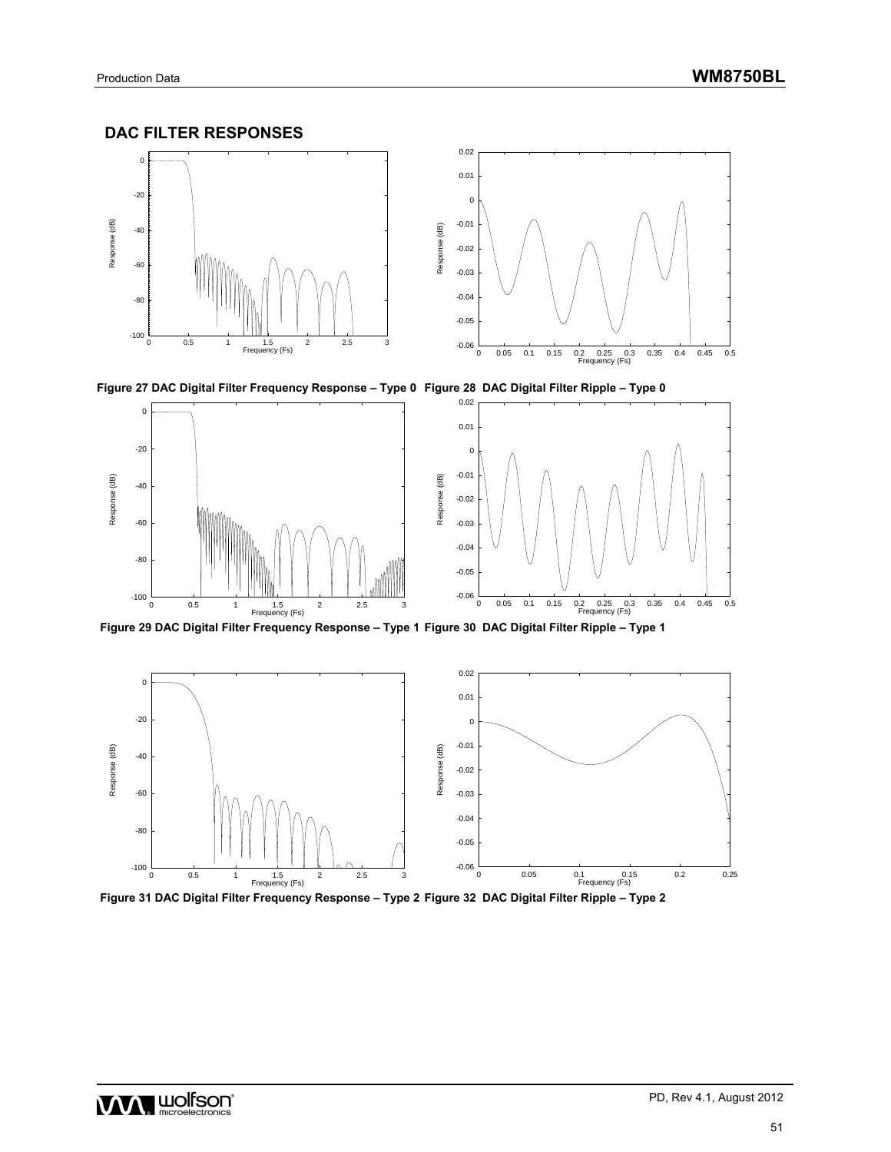### **DAC FILTER RESPONSES**



**Figure 27 DAC Digital Filter Frequency Response – Type 0 Figure 28 DAC Digital Filter Ripple – Type 0** 



 **Figure 29 DAC Digital Filter Frequency Response – Type 1 Figure 30 DAC Digital Filter Ripple – Type 1** 



 **Figure 31 DAC Digital Filter Frequency Response – Type 2 Figure 32 DAC Digital Filter Ripple – Type 2** 

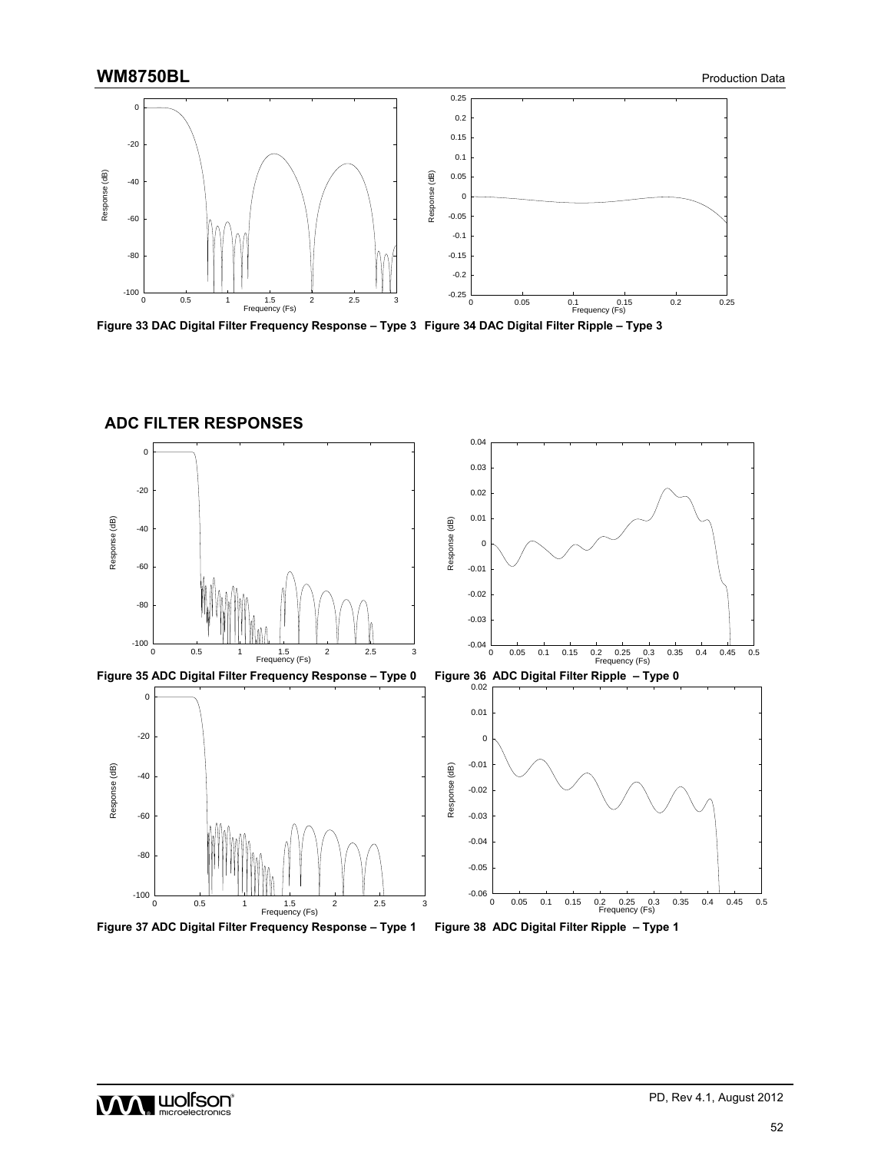

**Figure 33 DAC Digital Filter Frequency Response – Type 3 Figure 34 DAC Digital Filter Ripple – Type 3** 



**ADC FILTER RESPONSES** 

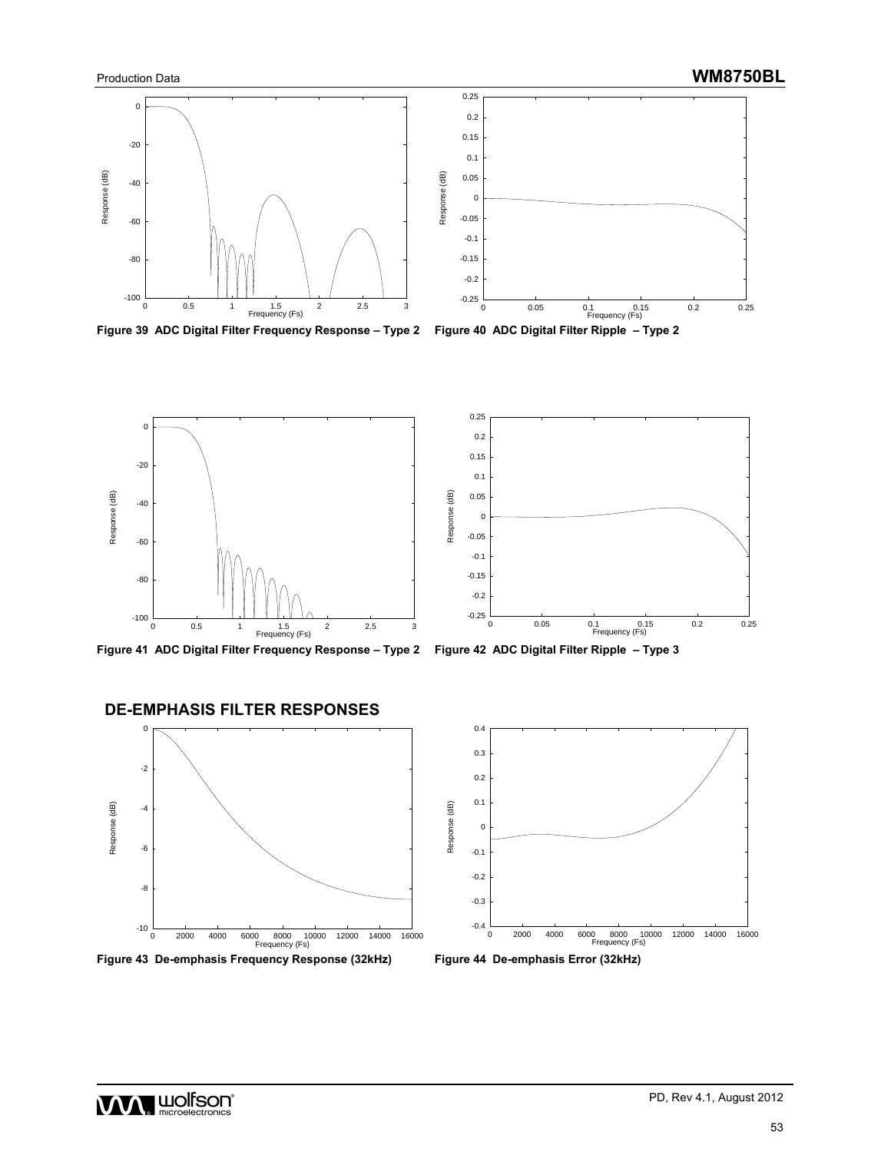

**Figure 39 ADC Digital Filter Frequency Response – Type 2 Figure 40 ADC Digital Filter Ripple – Type 2** 









## **DE-EMPHASIS FILTER RESPONSES**





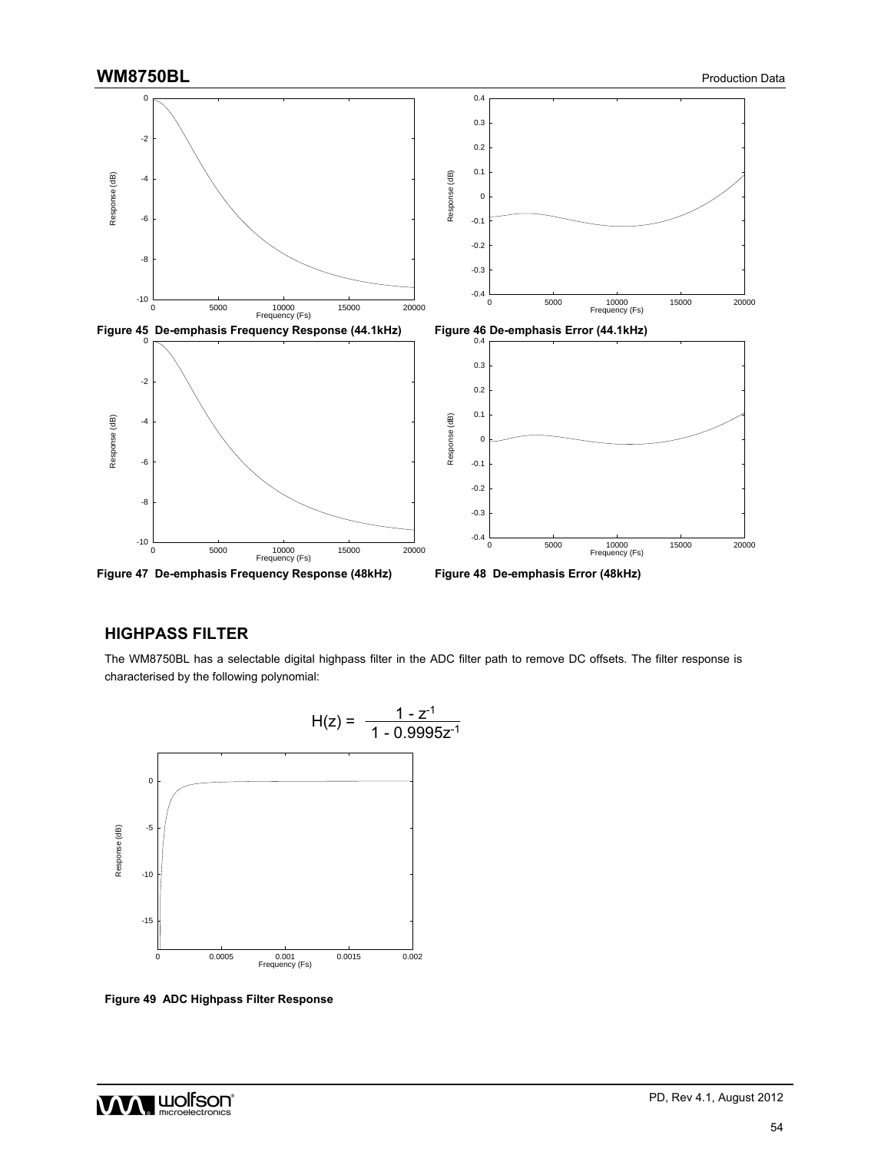

### **HIGHPASS FILTER**

The WM8750BL has a selectable digital highpass filter in the ADC filter path to remove DC offsets. The filter response is characterised by the following polynomial:



**Figure 49 ADC Highpass Filter Response** 

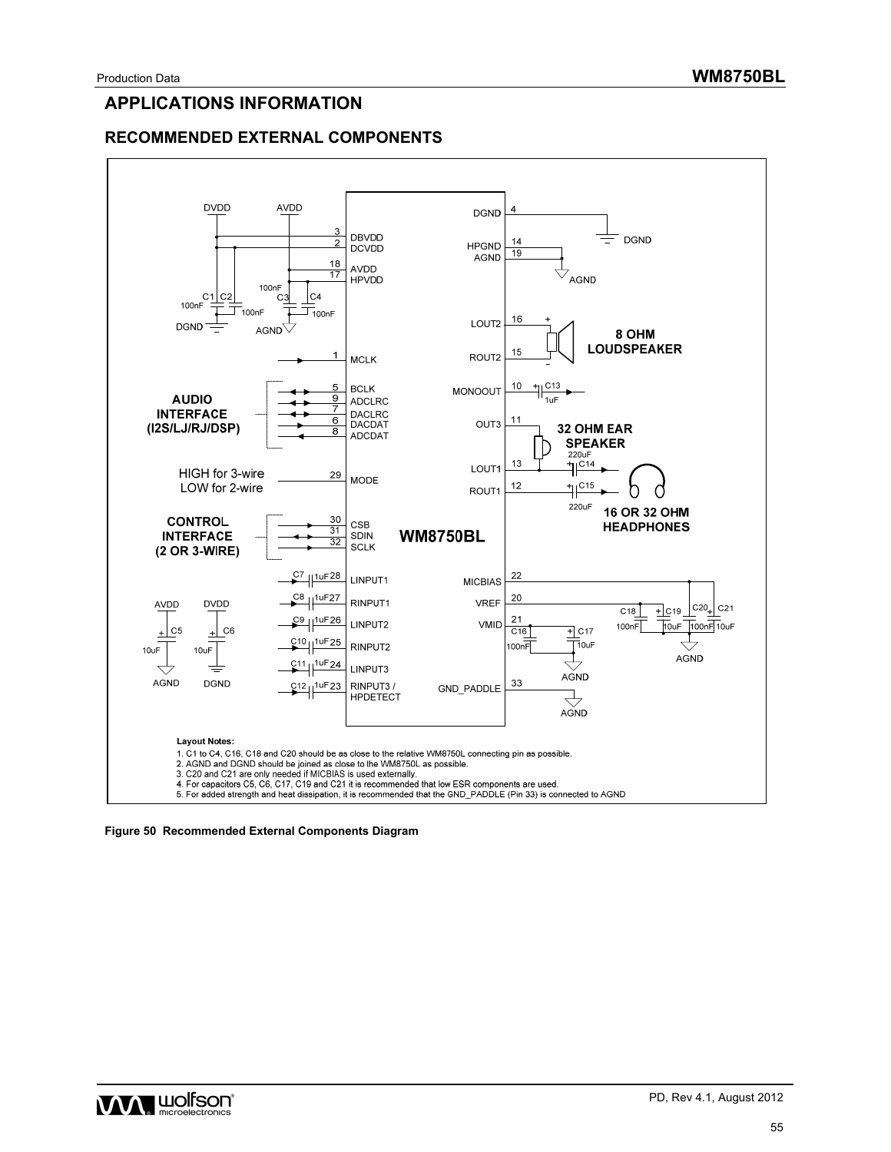## **APPLICATIONS INFORMATION**

### **RECOMMENDED EXTERNAL COMPONENTS**





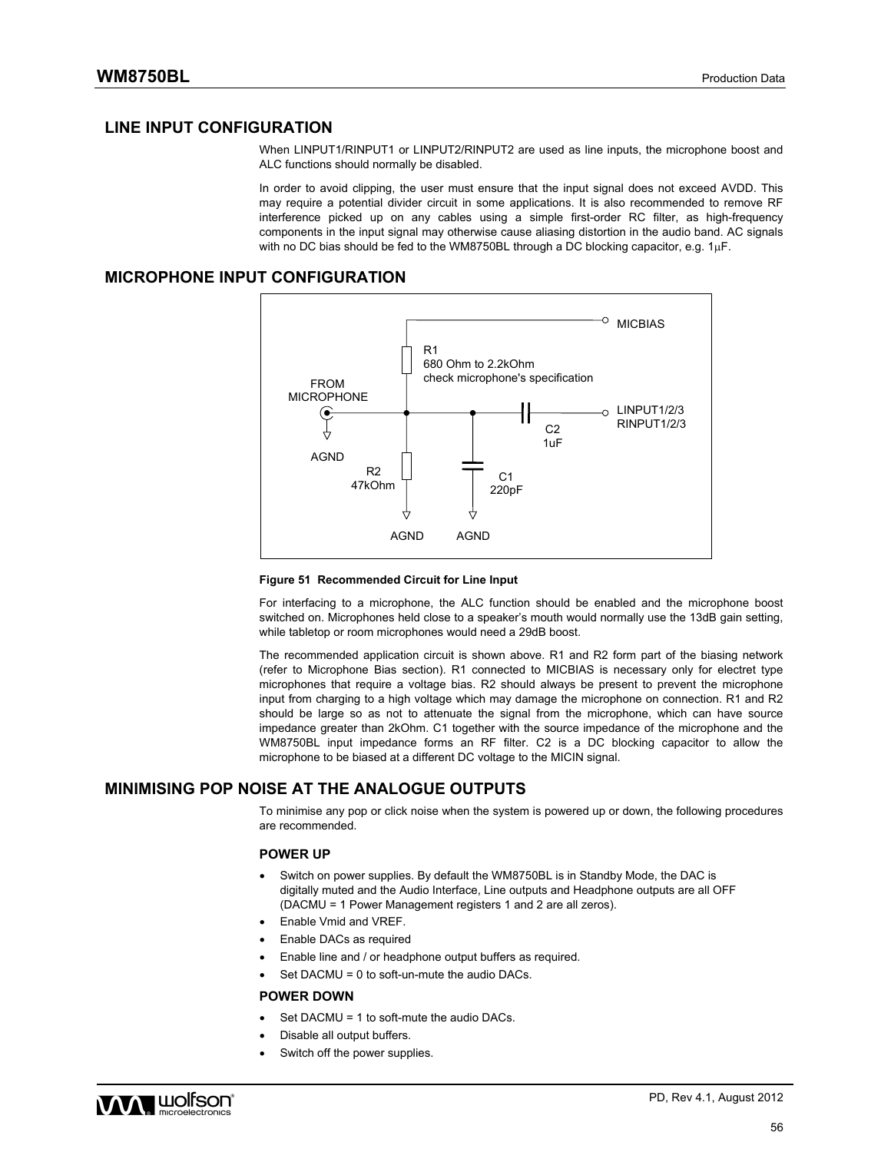### **LINE INPUT CONFIGURATION**

When LINPUT1/RINPUT1 or LINPUT2/RINPUT2 are used as line inputs, the microphone boost and ALC functions should normally be disabled.

In order to avoid clipping, the user must ensure that the input signal does not exceed AVDD. This may require a potential divider circuit in some applications. It is also recommended to remove RF interference picked up on any cables using a simple first-order RC filter, as high-frequency components in the input signal may otherwise cause aliasing distortion in the audio band. AC signals with no DC bias should be fed to the WM8750BL through a DC blocking capacitor, e.g.  $1\mu$ F.

### **MICROPHONE INPUT CONFIGURATION**



#### **Figure 51 Recommended Circuit for Line Input**

For interfacing to a microphone, the ALC function should be enabled and the microphone boost switched on. Microphones held close to a speaker's mouth would normally use the 13dB gain setting, while tabletop or room microphones would need a 29dB boost.

The recommended application circuit is shown above. R1 and R2 form part of the biasing network (refer to Microphone Bias section). R1 connected to MICBIAS is necessary only for electret type microphones that require a voltage bias. R2 should always be present to prevent the microphone input from charging to a high voltage which may damage the microphone on connection. R1 and R2 should be large so as not to attenuate the signal from the microphone, which can have source impedance greater than 2kOhm. C1 together with the source impedance of the microphone and the WM8750BL input impedance forms an RF filter. C2 is a DC blocking capacitor to allow the microphone to be biased at a different DC voltage to the MICIN signal.

### **MINIMISING POP NOISE AT THE ANALOGUE OUTPUTS**

To minimise any pop or click noise when the system is powered up or down, the following procedures are recommended.

#### **POWER UP**

- Switch on power supplies. By default the WM8750BL is in Standby Mode, the DAC is digitally muted and the Audio Interface, Line outputs and Headphone outputs are all OFF (DACMU = 1 Power Management registers 1 and 2 are all zeros).
- Enable Vmid and VREF.
- Enable DACs as required
- Enable line and / or headphone output buffers as required.
- Set DACMU = 0 to soft-un-mute the audio DACs.

#### **POWER DOWN**

- Set DACMU = 1 to soft-mute the audio DACs.
- Disable all output buffers.
- Switch off the power supplies.

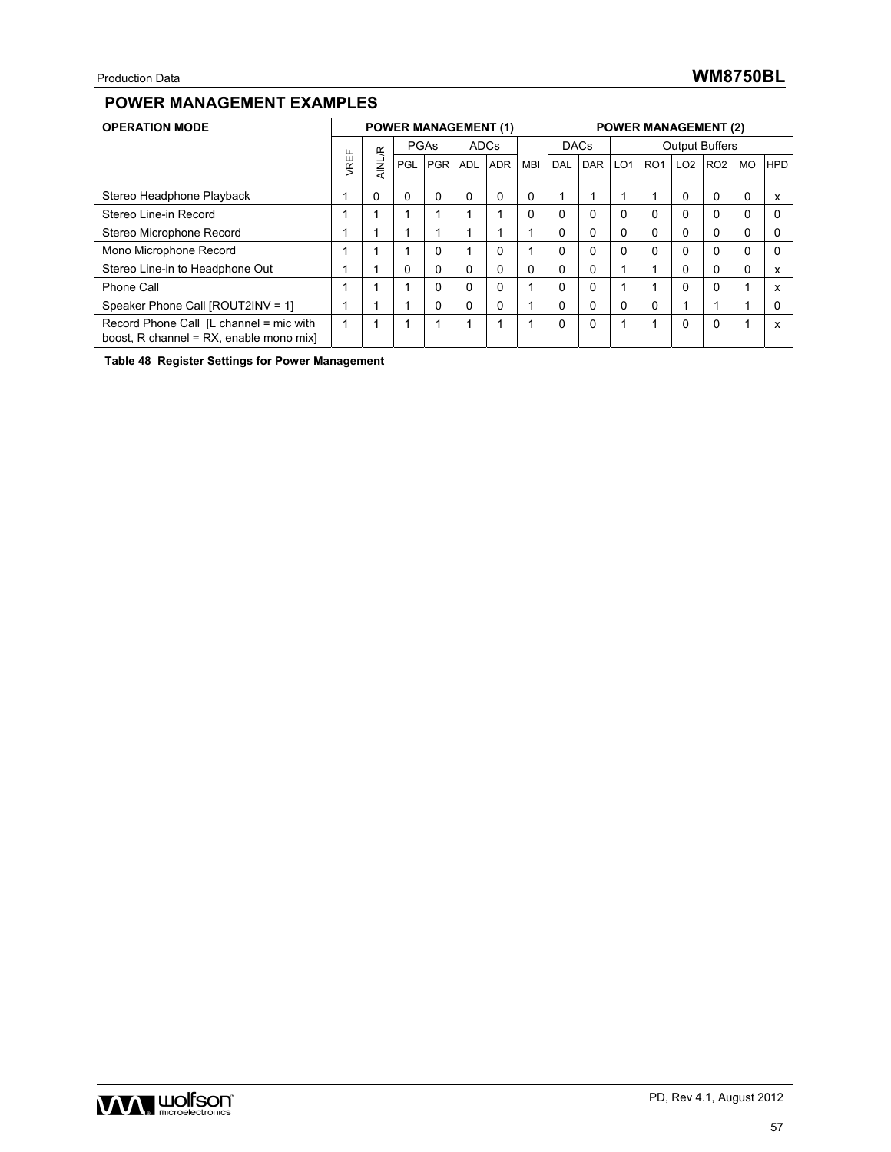### **POWER MANAGEMENT EXAMPLES**

| <b>OPERATION MODE</b>                                                              |   | <b>POWER MANAGEMENT (1)</b> |            |              |            |            | <b>POWER MANAGEMENT (2)</b> |             |     |                       |                 |                 |                 |           |            |
|------------------------------------------------------------------------------------|---|-----------------------------|------------|--------------|------------|------------|-----------------------------|-------------|-----|-----------------------|-----------------|-----------------|-----------------|-----------|------------|
|                                                                                    | щ |                             | PGAs       |              | ADCs       |            |                             | <b>DACs</b> |     | <b>Output Buffers</b> |                 |                 |                 |           |            |
|                                                                                    |   | <b>AINL/R</b>               | <b>PGL</b> | <b>PGR</b>   | <b>ADL</b> | <b>ADR</b> | <b>MBI</b>                  | <b>DAL</b>  | DAR | LO <sub>1</sub>       | RO <sub>1</sub> | LO <sub>2</sub> | RO <sub>2</sub> | <b>MO</b> | <b>HPD</b> |
| Stereo Headphone Playback                                                          |   | 0                           | 0          | $\Omega$     | $\Omega$   | $\Omega$   | $\Omega$                    |             |     |                       |                 | $\Omega$        | $\Omega$        | 0         | х          |
| Stereo Line-in Record                                                              |   |                             |            |              |            |            | $\Omega$                    | $\Omega$    | 0   | 0                     | $\mathbf{0}$    | 0               | $\Omega$        | 0         |            |
| Stereo Microphone Record                                                           |   |                             |            |              |            |            |                             | 0           | 0   | 0                     | $\Omega$        | 0               | $\Omega$        | 0         |            |
| Mono Microphone Record                                                             |   |                             |            | $\mathbf{0}$ |            | 0          |                             | 0           | 0   | 0                     | $\mathbf{0}$    | 0               | $\Omega$        | 0         |            |
| Stereo Line-in to Headphone Out                                                    |   |                             | 0          | 0            | 0          | 0          | $\Omega$                    | $\Omega$    | 0   |                       |                 | 0               | $\Omega$        | 0         | x          |
| Phone Call                                                                         |   |                             |            | 0            | 0          | 0          |                             | 0           | 0   |                       |                 | $\Omega$        | 0               |           | x          |
| Speaker Phone Call [ROUT2INV = 1]                                                  |   |                             |            | 0            | 0          | $\Omega$   |                             | $\Omega$    | 0   | 0                     | 0               |                 |                 |           |            |
| Record Phone Call [L channel = mic with<br>boost, R channel = RX, enable mono mix] |   |                             |            |              |            |            |                             | $\Omega$    | 0   |                       |                 | $\Omega$        | $\Omega$        |           | x          |

**Table 48 Register Settings for Power Management**

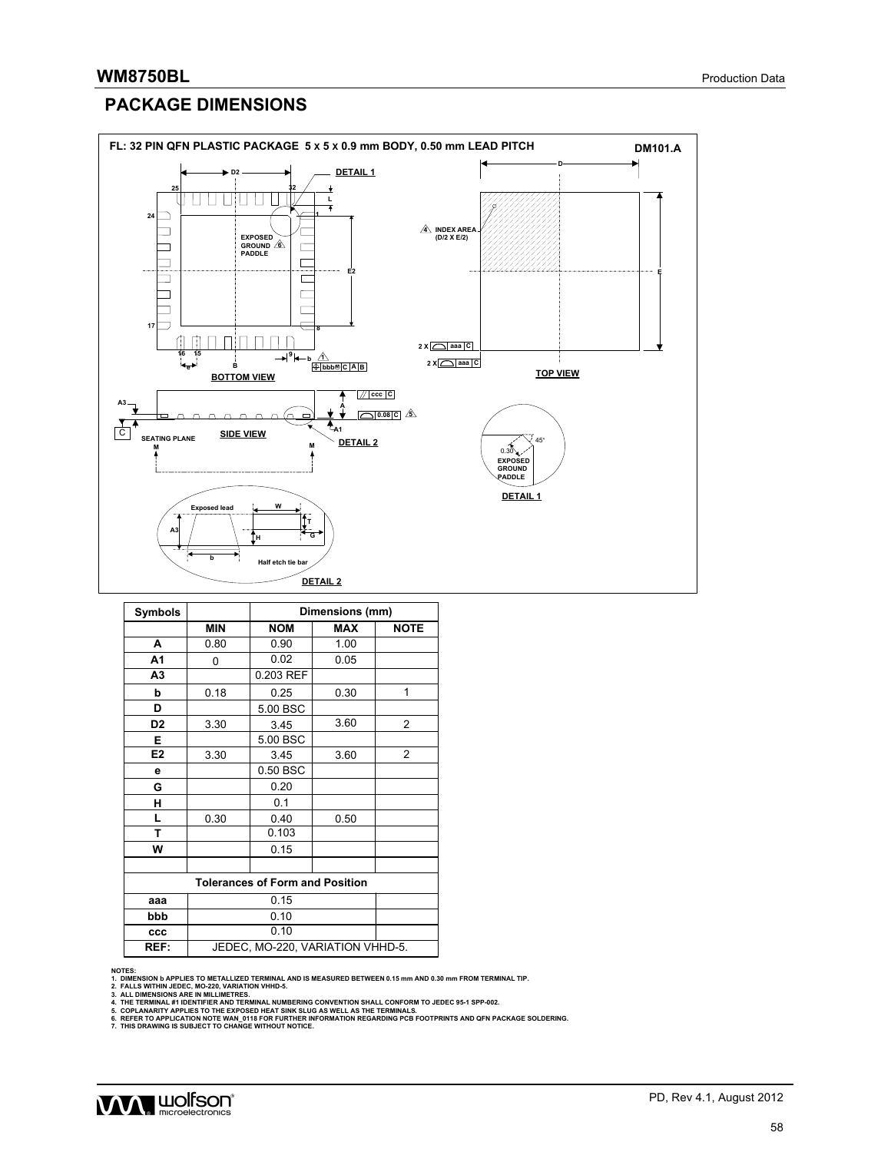## **PACKAGE DIMENSIONS**



| <b>Symbols</b> |                                        |            | Dimensions (mm) |                |  |  |  |  |  |
|----------------|----------------------------------------|------------|-----------------|----------------|--|--|--|--|--|
|                | <b>MIN</b>                             | <b>NOM</b> | <b>MAX</b>      | <b>NOTE</b>    |  |  |  |  |  |
| A              | 0.80                                   | 0.90       | 1.00            |                |  |  |  |  |  |
| A <sub>1</sub> | 0                                      | 0.02       | 0.05            |                |  |  |  |  |  |
| A <sub>3</sub> |                                        | 0.203 REF  |                 |                |  |  |  |  |  |
| b              | 0.18                                   | 0.25       | 0.30            | 1              |  |  |  |  |  |
| D              |                                        | 5.00 BSC   |                 |                |  |  |  |  |  |
| D <sub>2</sub> | 3.30                                   | 3.45       | 3.60            | 2              |  |  |  |  |  |
| Е              |                                        | 5.00 BSC   |                 |                |  |  |  |  |  |
| E <sub>2</sub> | 3.30                                   | 3.45       | 3.60            | $\overline{c}$ |  |  |  |  |  |
| е              |                                        | 0.50 BSC   |                 |                |  |  |  |  |  |
| G              |                                        | 0.20       |                 |                |  |  |  |  |  |
| н              |                                        | 0.1        |                 |                |  |  |  |  |  |
| L              | 0.30                                   | 0.40       | 0.50            |                |  |  |  |  |  |
| T              |                                        | 0.103      |                 |                |  |  |  |  |  |
| W              |                                        | 0.15       |                 |                |  |  |  |  |  |
|                |                                        |            |                 |                |  |  |  |  |  |
|                | <b>Tolerances of Form and Position</b> |            |                 |                |  |  |  |  |  |
| aaa            | 0.15                                   |            |                 |                |  |  |  |  |  |
| bbb            |                                        | 0.10       |                 |                |  |  |  |  |  |
| ccc            |                                        | 0.10       |                 |                |  |  |  |  |  |
| REF:           | JEDEC, MO-220, VARIATION VHHD-5.       |            |                 |                |  |  |  |  |  |

NOTES:<br>1. DIMENSION b APPLIES TO METALLIZED TERMINAL AND IS MEASURED BETWEEN 0.15 mm AND 0.30 mm FROM TERMINAL TIP.<br>2. FALLS WITHIN JEDEC, MO-220, VARIATION VHHD-5.<br>3. ALL DIMENSIONS ARE IN MILLIMETRES.<br>4. THE TERMINAL #1

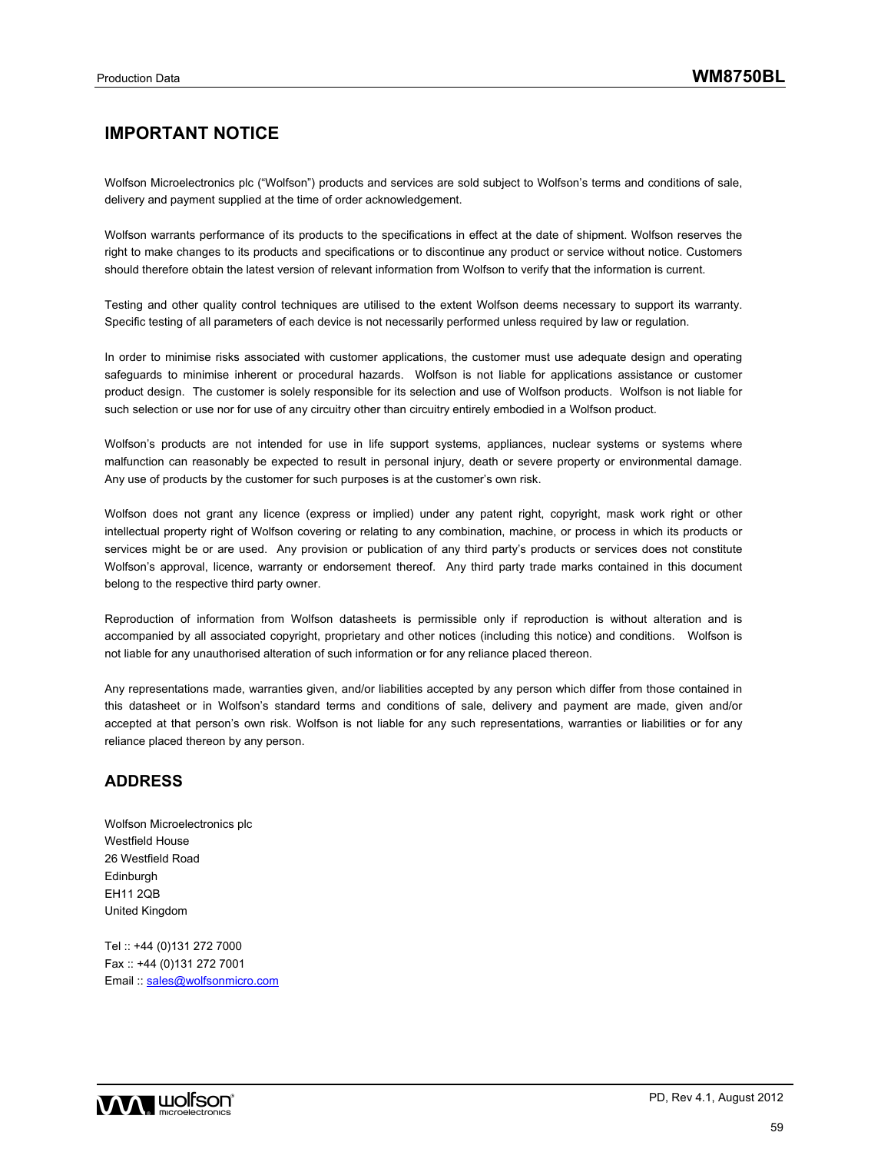## **IMPORTANT NOTICE**

Wolfson Microelectronics plc ("Wolfson") products and services are sold subject to Wolfson's terms and conditions of sale, delivery and payment supplied at the time of order acknowledgement.

Wolfson warrants performance of its products to the specifications in effect at the date of shipment. Wolfson reserves the right to make changes to its products and specifications or to discontinue any product or service without notice. Customers should therefore obtain the latest version of relevant information from Wolfson to verify that the information is current.

Testing and other quality control techniques are utilised to the extent Wolfson deems necessary to support its warranty. Specific testing of all parameters of each device is not necessarily performed unless required by law or regulation.

In order to minimise risks associated with customer applications, the customer must use adequate design and operating safeguards to minimise inherent or procedural hazards. Wolfson is not liable for applications assistance or customer product design. The customer is solely responsible for its selection and use of Wolfson products. Wolfson is not liable for such selection or use nor for use of any circuitry other than circuitry entirely embodied in a Wolfson product.

Wolfson's products are not intended for use in life support systems, appliances, nuclear systems or systems where malfunction can reasonably be expected to result in personal injury, death or severe property or environmental damage. Any use of products by the customer for such purposes is at the customer's own risk.

Wolfson does not grant any licence (express or implied) under any patent right, copyright, mask work right or other intellectual property right of Wolfson covering or relating to any combination, machine, or process in which its products or services might be or are used. Any provision or publication of any third party's products or services does not constitute Wolfson's approval, licence, warranty or endorsement thereof. Any third party trade marks contained in this document belong to the respective third party owner.

Reproduction of information from Wolfson datasheets is permissible only if reproduction is without alteration and is accompanied by all associated copyright, proprietary and other notices (including this notice) and conditions. Wolfson is not liable for any unauthorised alteration of such information or for any reliance placed thereon.

Any representations made, warranties given, and/or liabilities accepted by any person which differ from those contained in this datasheet or in Wolfson's standard terms and conditions of sale, delivery and payment are made, given and/or accepted at that person's own risk. Wolfson is not liable for any such representations, warranties or liabilities or for any reliance placed thereon by any person.

### **ADDRESS**

Wolfson Microelectronics plc Westfield House 26 Westfield Road **Edinburgh** EH11 2QB United Kingdom

Tel :: +44 (0)131 272 7000 Fax :: +44 (0)131 272 7001 Email :: sales@wolfsonmicro.com